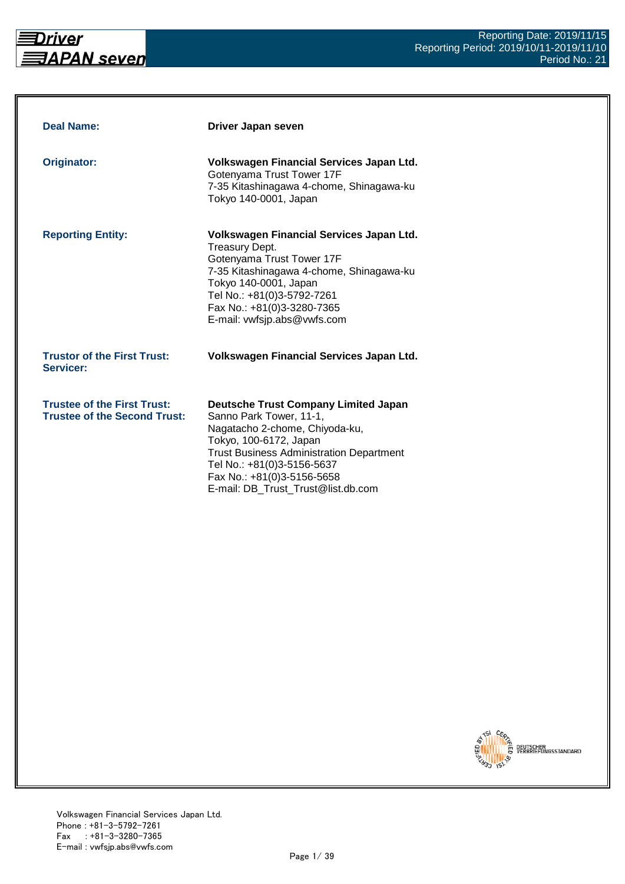

| <b>Deal Name:</b>                                                         | Driver Japan seven                                                                                                                                                                                                                                                                      |
|---------------------------------------------------------------------------|-----------------------------------------------------------------------------------------------------------------------------------------------------------------------------------------------------------------------------------------------------------------------------------------|
| <b>Originator:</b>                                                        | Volkswagen Financial Services Japan Ltd.<br>Gotenyama Trust Tower 17F<br>7-35 Kitashinagawa 4-chome, Shinagawa-ku<br>Tokyo 140-0001, Japan                                                                                                                                              |
| <b>Reporting Entity:</b>                                                  | Volkswagen Financial Services Japan Ltd.<br><b>Treasury Dept.</b><br>Gotenyama Trust Tower 17F<br>7-35 Kitashinagawa 4-chome, Shinagawa-ku<br>Tokyo 140-0001, Japan<br>Tel No.: +81(0)3-5792-7261<br>Fax No.: +81(0)3-3280-7365<br>E-mail: vwfsjp.abs@vwfs.com                          |
| <b>Trustor of the First Trust:</b><br>Servicer:                           | Volkswagen Financial Services Japan Ltd.                                                                                                                                                                                                                                                |
| <b>Trustee of the First Trust:</b><br><b>Trustee of the Second Trust:</b> | <b>Deutsche Trust Company Limited Japan</b><br>Sanno Park Tower, 11-1,<br>Nagatacho 2-chome, Chiyoda-ku,<br>Tokyo, 100-6172, Japan<br><b>Trust Business Administration Department</b><br>Tel No.: +81(0)3-5156-5637<br>Fax No.: +81(0)3-5156-5658<br>E-mail: DB_Trust_Trust@list.db.com |

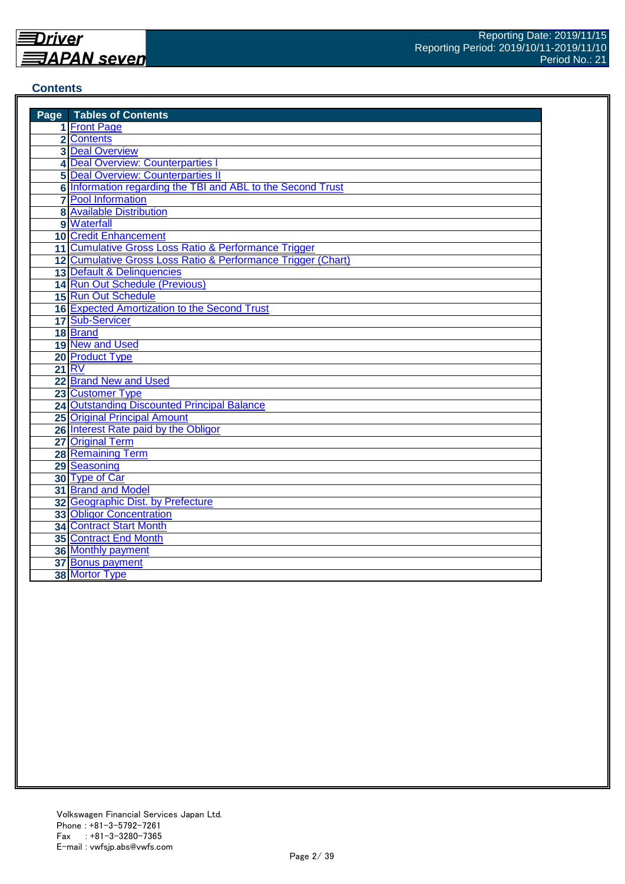#### **Contents**

| <b>Page</b> Tables of Contents                               |
|--------------------------------------------------------------|
| 1 Front Page                                                 |
| 2 Contents                                                   |
| <b>3 Deal Overview</b>                                       |
| 4 Deal Overview: Counterparties I                            |
| <b>5 Deal Overview: Counterparties II</b>                    |
| 6 Information regarding the TBI and ABL to the Second Trust  |
| <b>7</b> Pool Information                                    |
| <b>8</b> Available Distribution                              |
| 9 Waterfall                                                  |
| 10 Credit Enhancement                                        |
| 11 Cumulative Gross Loss Ratio & Performance Trigger         |
| 12 Cumulative Gross Loss Ratio & Performance Trigger (Chart) |
| 13 Default & Delinquencies                                   |
| 14 Run Out Schedule (Previous)                               |
| 15 Run Out Schedule                                          |
| <b>16 Expected Amortization to the Second Trust</b>          |
| 17 Sub-Servicer                                              |
| 18 Brand                                                     |
| 19 New and Used                                              |
| 20 Product Type                                              |
| <b>21 RV</b>                                                 |
| 22 Brand New and Used                                        |
| 23 Customer Type                                             |
| <b>24 Outstanding Discounted Principal Balance</b>           |
| <b>25 Original Principal Amount</b>                          |
| 26 Interest Rate paid by the Obligor                         |
| 27 Original Term                                             |
| <b>28 Remaining Term</b>                                     |
| 29 Seasoning                                                 |
| 30 Type of Car                                               |
| 31 Brand and Model                                           |
| 32 Geographic Dist. by Prefecture                            |
| 33 Obligor Concentration                                     |
| 34 Contract Start Month                                      |
| <b>35 Contract End Month</b>                                 |
| <b>36 Monthly payment</b>                                    |
| 37 Bonus payment                                             |
| 38 Mortor Type                                               |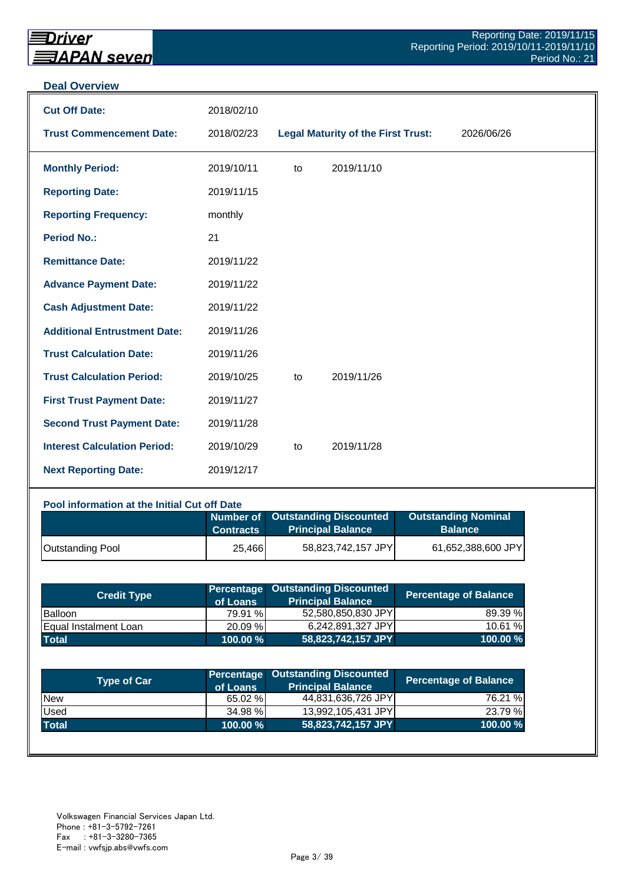#### **Deal Overview**

| <b>Cut Off Date:</b>                | 2018/02/10 |    |                                           |            |
|-------------------------------------|------------|----|-------------------------------------------|------------|
| <b>Trust Commencement Date:</b>     | 2018/02/23 |    | <b>Legal Maturity of the First Trust:</b> | 2026/06/26 |
| <b>Monthly Period:</b>              | 2019/10/11 | to | 2019/11/10                                |            |
| <b>Reporting Date:</b>              | 2019/11/15 |    |                                           |            |
| <b>Reporting Frequency:</b>         | monthly    |    |                                           |            |
| <b>Period No.:</b>                  | 21         |    |                                           |            |
| <b>Remittance Date:</b>             | 2019/11/22 |    |                                           |            |
| <b>Advance Payment Date:</b>        | 2019/11/22 |    |                                           |            |
| <b>Cash Adjustment Date:</b>        | 2019/11/22 |    |                                           |            |
| <b>Additional Entrustment Date:</b> | 2019/11/26 |    |                                           |            |
| <b>Trust Calculation Date:</b>      | 2019/11/26 |    |                                           |            |
| <b>Trust Calculation Period:</b>    | 2019/10/25 | to | 2019/11/26                                |            |
| <b>First Trust Payment Date:</b>    | 2019/11/27 |    |                                           |            |
| <b>Second Trust Payment Date:</b>   | 2019/11/28 |    |                                           |            |
| <b>Interest Calculation Period:</b> | 2019/10/29 | to | 2019/11/28                                |            |
| <b>Next Reporting Date:</b>         | 2019/12/17 |    |                                           |            |

## **Pool information at the Initial Cut off Date**

|                         | <b>Contracts</b> | Number of Outstanding Discounted<br><b>Principal Balance</b> | <b>Outstanding Nominal</b><br><b>Balance</b> |
|-------------------------|------------------|--------------------------------------------------------------|----------------------------------------------|
| <b>Outstanding Pool</b> | 25,466           | 58,823,742,157 JPY                                           | 61,652,388,600 JPY                           |

| <b>Credit Type</b>           | of Loans   | <b>Percentage Outstanding Discounted</b><br><b>Principal Balance</b> | <b>Percentage of Balance</b> |
|------------------------------|------------|----------------------------------------------------------------------|------------------------------|
| Balloon                      | 79.91 %    | 52,580,850,830 JPY                                                   | 89.39 %                      |
| <b>Equal Instalment Loan</b> | 20.09 %    | 6,242,891,327 JPY                                                    | 10.61 %                      |
| <b>Total</b>                 | 100.00 % \ | 58,823,742,157 JPY                                                   | 100.00 %                     |

| Type of Car  | of Loans | Percentage Outstanding Discounted<br>Principal Balance <sup>1</sup> | <b>Percentage of Balance</b> |
|--------------|----------|---------------------------------------------------------------------|------------------------------|
| <b>New</b>   | 65.02 %  | 44,831,636,726 JPY                                                  | 76.21 %                      |
| Used         | 34.98 %  | 13,992,105,431 JPY                                                  | 23.79 %                      |
| <b>Total</b> | 100.00 % | 58,823,742,157 JPY                                                  | 100.00 $%$                   |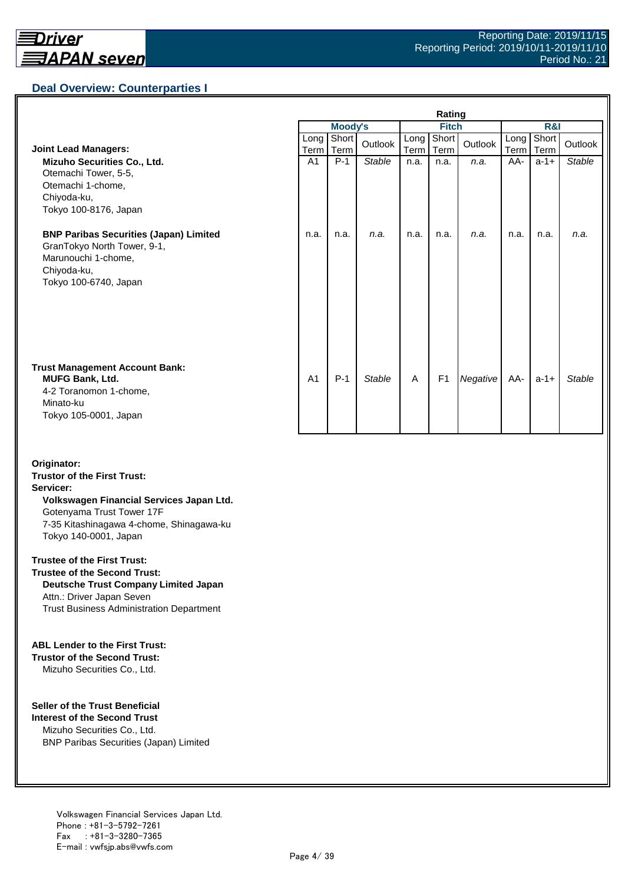## **Deal Overview: Counterparties I**

|                                                                                                                                             | Rating         |                |               |                   |                |          |              |               |               |
|---------------------------------------------------------------------------------------------------------------------------------------------|----------------|----------------|---------------|-------------------|----------------|----------|--------------|---------------|---------------|
|                                                                                                                                             |                | <b>Moody's</b> |               | <b>Fitch</b>      |                |          | R&I          |               |               |
| <b>Joint Lead Managers:</b>                                                                                                                 | Long<br>Term   | Short<br>Term  | Outlook       | Long<br>Term Term | Short          | Outlook  | Long<br>Term | Short<br>Term | Outlook       |
| Mizuho Securities Co., Ltd.<br>Otemachi Tower, 5-5,<br>Otemachi 1-chome,<br>Chiyoda-ku,<br>Tokyo 100-8176, Japan                            | A <sub>1</sub> | $P-1$          | <b>Stable</b> | n.a.              | n.a.           | n.a.     | AA-          | $a-1+$        | <b>Stable</b> |
| <b>BNP Paribas Securities (Japan) Limited</b><br>GranTokyo North Tower, 9-1,<br>Marunouchi 1-chome,<br>Chiyoda-ku,<br>Tokyo 100-6740, Japan | n.a.           | n.a.           | n.a.          | n.a.              | n.a.           | n.a.     | n.a.         | n.a.          | n.a.          |
| <b>Trust Management Account Bank:</b><br><b>MUFG Bank, Ltd.</b><br>4-2 Toranomon 1-chome,<br>Minato-ku<br>Tokyo 105-0001, Japan             | A <sub>1</sub> | $P-1$          | <b>Stable</b> | A                 | F <sub>1</sub> | Negative | AA-          | $a-1+$        | <b>Stable</b> |

#### **Originator: Trustor of the First Trust: Servicer: Volkswagen Financial Services Japan Ltd.** Gotenyama Trust Tower 17F 7-35 Kitashinagawa 4-chome, Shinagawa-ku Tokyo 140-0001, Japan

#### **Trustee of the First Trust:**

**Trustee of the Second Trust: Deutsche Trust Company Limited Japan** Attn.: Driver Japan Seven Trust Business Administration Department

#### **ABL Lender to the First Trust:**

**Trustor of the Second Trust:** Mizuho Securities Co., Ltd.

#### **Seller of the Trust Beneficial**

**Interest of the Second Trust** Mizuho Securities Co., Ltd. BNP Paribas Securities (Japan) Limited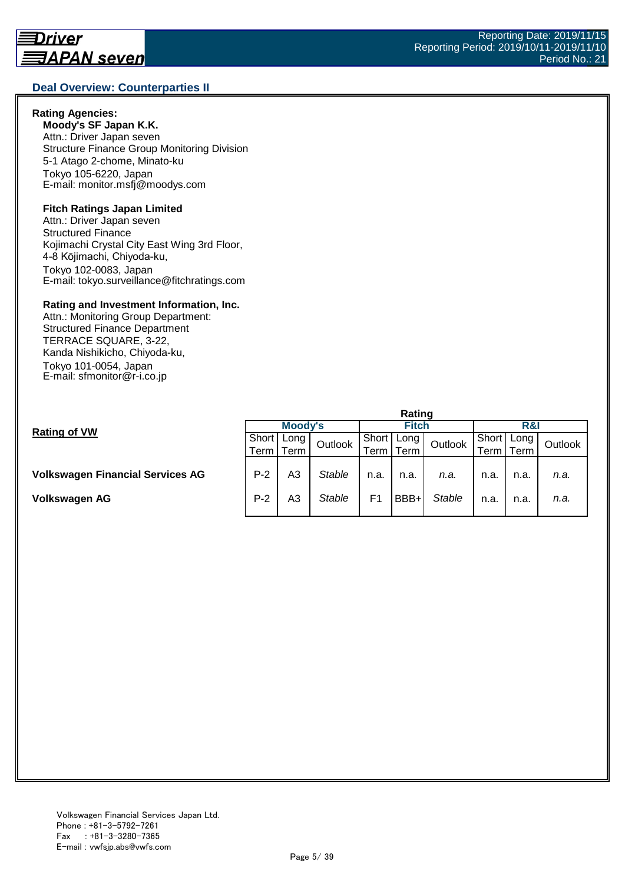#### **Deal Overview: Counterparties II**

#### **Rating Agencies:**

**Moody's SF Japan K.K.** Attn.: Driver Japan seven Structure Finance Group Monitoring Division 5-1 Atago 2-chome, Minato-ku Tokyo 105-6220, Japan E-mail: monitor.msfj@moodys.com

#### **Fitch Ratings Japan Limited**

Attn.: Driver Japan seven Structured Finance Kojimachi Crystal City East Wing 3rd Floor, 4-8 Kōjimachi, Chiyoda-ku, Tokyo 102-0083, Japan E-mail: tokyo.surveillance@fitchratings.com

#### **Rating and Investment Information, Inc.**

Attn.: Monitoring Group Department: Structured Finance Department TERRACE SQUARE, 3-22, Kanda Nishikicho, Chiyoda-ku, Tokyo 101-0054, Japan E-mail: sfmonitor@r-i.co.jp

|                                         | Rating |         |               |       |              |               |       |      |         |  |
|-----------------------------------------|--------|---------|---------------|-------|--------------|---------------|-------|------|---------|--|
| <b>Rating of VW</b>                     |        | Moody's |               |       | <b>Fitch</b> |               |       | R&I  |         |  |
|                                         | Short  | Long I  | Outlook       | Short | Long         | Outlook       | Short | Long | Outlook |  |
|                                         | Term   | Term    |               | Term. | Term         |               | ⊺erm⊣ | Term |         |  |
|                                         |        |         |               |       |              |               |       |      |         |  |
| <b>Volkswagen Financial Services AG</b> | $P-2$  | A3      | <b>Stable</b> | n.a.  | n.a.         | n.a.          | n.a.  | n.a. | n.a.    |  |
|                                         |        |         |               |       |              |               |       |      |         |  |
| Volkswagen AG                           | $P-2$  | A3      | Stable        | F1    | BBB+         | <b>Stable</b> | n.a.  | n.a. | n.a.    |  |
|                                         |        |         |               |       |              |               |       |      |         |  |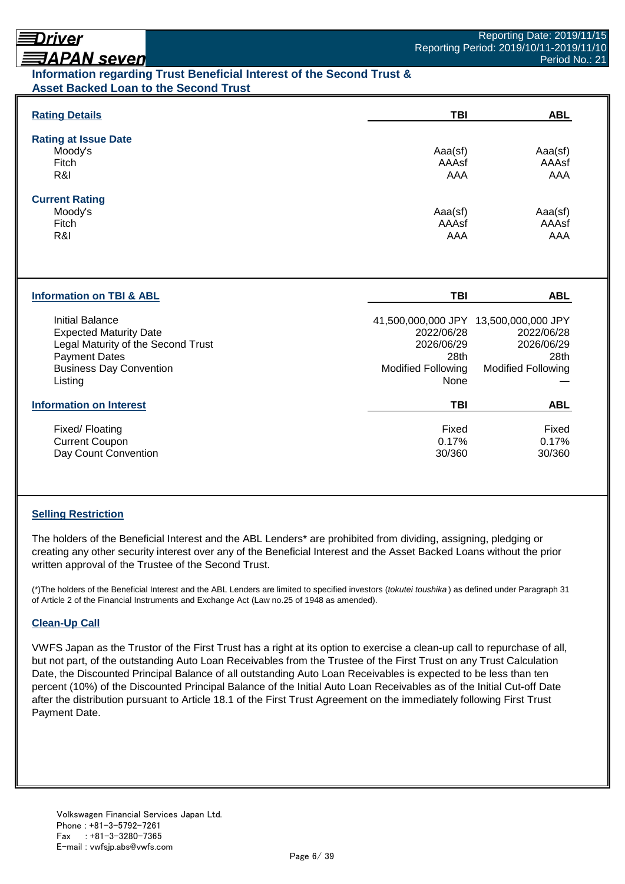# Driver

# **ヨAPAN seven**

## **Information regarding Trust Beneficial Interest of the Second Trust & Asset Backed Loan to the Second Trust**

| <b>Rating Details</b>                                                                  | <b>TBI</b>                                                   | <b>ABL</b>                                                        |
|----------------------------------------------------------------------------------------|--------------------------------------------------------------|-------------------------------------------------------------------|
| <b>Rating at Issue Date</b><br>Moody's                                                 | Aaa(sf)                                                      | Aaa(sf)                                                           |
| Fitch<br>R&I                                                                           | AAAsf<br>AAA                                                 | AAAsf<br><b>AAA</b>                                               |
| <b>Current Rating</b><br>Moody's                                                       | Aaa(sf)                                                      | Aaa(sf)                                                           |
| Fitch<br>R&I                                                                           | AAAsf<br>AAA                                                 | AAAsf<br>AAA                                                      |
|                                                                                        |                                                              |                                                                   |
| <b>Information on TBI &amp; ABL</b>                                                    | <b>TBI</b>                                                   | <b>ABL</b>                                                        |
| Initial Balance<br><b>Expected Maturity Date</b><br>Legal Maturity of the Second Trust | 2022/06/28<br>2026/06/29                                     | 41,500,000,000 JPY 13,500,000,000 JPY<br>2022/06/28<br>2026/06/29 |
| <b>Payment Dates</b><br><b>Business Day Convention</b><br>Listing                      | 28 <sub>th</sub><br><b>Modified Following</b><br><b>None</b> | 28th<br><b>Modified Following</b>                                 |
| <b>Information on Interest</b>                                                         | TBI                                                          | <b>ABL</b>                                                        |
| Fixed/Floating<br><b>Current Coupon</b><br>Day Count Convention                        | Fixed<br>0.17%<br>30/360                                     | Fixed<br>0.17%<br>30/360                                          |
|                                                                                        |                                                              |                                                                   |

## **Selling Restriction**

The holders of the Beneficial Interest and the ABL Lenders\* are prohibited from dividing, assigning, pledging or creating any other security interest over any of the Beneficial Interest and the Asset Backed Loans without the prior written approval of the Trustee of the Second Trust.

(\*)The holders of the Beneficial Interest and the ABL Lenders are limited to specified investors (*tokutei toushika* ) as defined under Paragraph 31 of Article 2 of the Financial Instruments and Exchange Act (Law no.25 of 1948 as amended).

## **Clean-Up Call**

VWFS Japan as the Trustor of the First Trust has a right at its option to exercise a clean-up call to repurchase of all, but not part, of the outstanding Auto Loan Receivables from the Trustee of the First Trust on any Trust Calculation Date, the Discounted Principal Balance of all outstanding Auto Loan Receivables is expected to be less than ten percent (10%) of the Discounted Principal Balance of the Initial Auto Loan Receivables as of the Initial Cut-off Date after the distribution pursuant to Article 18.1 of the First Trust Agreement on the immediately following First Trust Payment Date.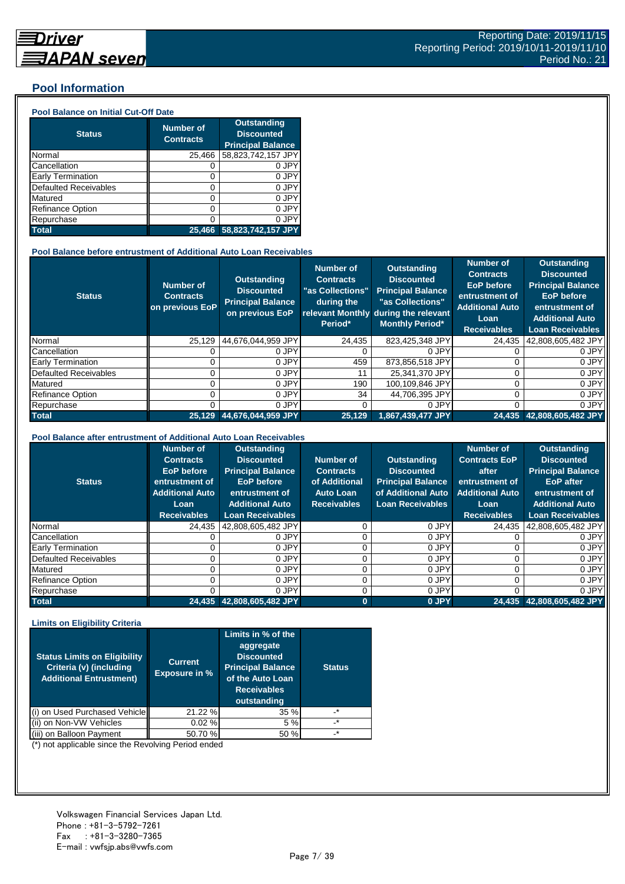## **Pool Information**

#### **Pool Balance on Initial Cut-Off Date**

| <b>Status</b>                | <b>Number of</b><br><b>Contracts</b> | <b>Outstanding</b><br><b>Discounted</b><br><b>Principal Balance</b> |
|------------------------------|--------------------------------------|---------------------------------------------------------------------|
| Normal                       | 25,466                               | 58,823,742,157 JPY                                                  |
| Cancellation                 | O                                    | 0 JPY                                                               |
| Early Termination            | 0                                    | 0 JPY                                                               |
| <b>Defaulted Receivables</b> | 0                                    | 0 JPY                                                               |
| Matured                      | 0                                    | 0 JPY                                                               |
| <b>Refinance Option</b>      | 0                                    | 0 JPY                                                               |
| Repurchase                   | 0                                    | 0 JPY                                                               |
| <b>Total</b>                 | 25.466                               | 58,823,742,157 JPY                                                  |

#### **Pool Balance before entrustment of Additional Auto Loan Receivables**

| <b>Status</b>                | <b>Number of</b><br><b>Contracts</b><br>on previous EoP | <b>Outstanding</b><br><b>Discounted</b><br><b>Principal Balance</b><br>on previous EoP | <b>Number of</b><br><b>Contracts</b><br>"as Collections"<br>during the<br>Period* | <b>Outstanding</b><br><b>Discounted</b><br><b>Principal Balance</b><br>"as Collections"<br>relevant Monthly during the relevant<br><b>Monthly Period*</b> | Number of<br><b>Contracts</b><br><b>EoP</b> before<br>entrustment of<br><b>Additional Auto</b><br>Loan<br><b>Receivables</b> | <b>Outstanding</b><br><b>Discounted</b><br><b>Principal Balance</b><br><b>EoP</b> before<br>entrustment of<br><b>Additional Auto</b><br><b>Loan Receivables</b> |
|------------------------------|---------------------------------------------------------|----------------------------------------------------------------------------------------|-----------------------------------------------------------------------------------|-----------------------------------------------------------------------------------------------------------------------------------------------------------|------------------------------------------------------------------------------------------------------------------------------|-----------------------------------------------------------------------------------------------------------------------------------------------------------------|
| Normal                       | 25.129                                                  | 44.676.044.959 JPY                                                                     | 24.435                                                                            | 823,425,348 JPY                                                                                                                                           | 24,435                                                                                                                       | 42,808,605,482 JPY                                                                                                                                              |
| Cancellation                 |                                                         | 0 JPY                                                                                  |                                                                                   | 0 JPY                                                                                                                                                     |                                                                                                                              | 0 JPY                                                                                                                                                           |
| <b>Early Termination</b>     |                                                         | 0 JPY                                                                                  | 459                                                                               | 873,856,518 JPY                                                                                                                                           |                                                                                                                              | 0 JPY                                                                                                                                                           |
| <b>Defaulted Receivables</b> |                                                         | 0 JPY                                                                                  | 11                                                                                | 25,341,370 JPY                                                                                                                                            |                                                                                                                              | 0 JPY                                                                                                                                                           |
| Matured                      |                                                         | 0 JPY                                                                                  | 190                                                                               | 100,109,846 JPY                                                                                                                                           |                                                                                                                              | 0 JPY                                                                                                                                                           |
| <b>Refinance Option</b>      |                                                         | 0 JPY                                                                                  | 34                                                                                | 44.706.395 JPY                                                                                                                                            |                                                                                                                              | 0 JPY                                                                                                                                                           |
| Repurchase                   |                                                         | 0 JPY                                                                                  | 0                                                                                 | 0 JPY                                                                                                                                                     |                                                                                                                              | 0 JPY                                                                                                                                                           |
| <b>Total</b>                 | 25.129                                                  | 44.676.044.959 JPY                                                                     | 25,129                                                                            | 1,867,439,477 JPY                                                                                                                                         | 24,435                                                                                                                       | 42,808,605,482 JPY                                                                                                                                              |

#### **Pool Balance after entrustment of Additional Auto Loan Receivables**

| <b>Status</b>            | <b>Number of</b><br><b>Contracts</b><br>EoP before<br>entrustment of<br><b>Additional Auto</b><br>Loan<br><b>Receivables</b> | <b>Outstanding</b><br><b>Discounted</b><br><b>Principal Balance</b><br><b>EoP</b> before<br>entrustment of<br><b>Additional Auto</b><br><b>Loan Receivables</b> | Number of<br><b>Contracts</b><br>of Additional<br><b>Auto Loan</b><br><b>Receivables</b> | <b>Outstanding</b><br><b>Discounted</b><br><b>Principal Balance</b><br>of Additional Auto<br><b>Loan Receivables</b> | <b>Number of</b><br><b>Contracts EoP</b><br>after<br>entrustment of<br><b>Additional Auto</b><br>Loan<br><b>Receivables</b> | <b>Outstanding</b><br><b>Discounted</b><br><b>Principal Balance</b><br><b>EoP</b> after<br>entrustment of<br><b>Additional Auto</b><br><b>Loan Receivables</b> |
|--------------------------|------------------------------------------------------------------------------------------------------------------------------|-----------------------------------------------------------------------------------------------------------------------------------------------------------------|------------------------------------------------------------------------------------------|----------------------------------------------------------------------------------------------------------------------|-----------------------------------------------------------------------------------------------------------------------------|----------------------------------------------------------------------------------------------------------------------------------------------------------------|
| Normal                   | 24.435                                                                                                                       | 42.808.605.482 JPY                                                                                                                                              |                                                                                          | 0 JPY                                                                                                                | 24.435                                                                                                                      | 42,808,605,482 JPY                                                                                                                                             |
| Cancellation             |                                                                                                                              | 0 JPY                                                                                                                                                           |                                                                                          | 0 JPY                                                                                                                |                                                                                                                             | 0 JPY                                                                                                                                                          |
| <b>Early Termination</b> |                                                                                                                              | 0 JPY                                                                                                                                                           |                                                                                          | 0 JPY                                                                                                                |                                                                                                                             | 0 JPY                                                                                                                                                          |
| Defaulted Receivables    |                                                                                                                              | 0 JPY                                                                                                                                                           |                                                                                          | 0 JPY                                                                                                                |                                                                                                                             | 0 JPY                                                                                                                                                          |
| Matured                  |                                                                                                                              | 0 JPY                                                                                                                                                           |                                                                                          | 0 JPY                                                                                                                |                                                                                                                             | 0 JPY                                                                                                                                                          |
| <b>Refinance Option</b>  |                                                                                                                              | 0 JPY                                                                                                                                                           |                                                                                          | 0 JPY                                                                                                                |                                                                                                                             | 0 JPY                                                                                                                                                          |
| Repurchase               |                                                                                                                              | 0 JPY                                                                                                                                                           |                                                                                          | 0 JPY                                                                                                                |                                                                                                                             | 0 JPY                                                                                                                                                          |
| <b>Total</b>             | 24.435                                                                                                                       | 42,808,605,482 JPY                                                                                                                                              | $\bf{0}$                                                                                 | 0 JPY                                                                                                                |                                                                                                                             | 24.435 42.808.605.482 JPY                                                                                                                                      |

#### **Limits on Eligibility Criteria**

| <b>Status Limits on Eligibility</b><br>Criteria (v) (including<br><b>Additional Entrustment)</b> | <b>Current</b><br><b>Exposure in %</b> | Limits in % of the<br>aggregate<br><b>Discounted</b><br><b>Principal Balance</b><br>of the Auto Loan<br><b>Receivables</b><br>outstanding | <b>Status</b> |
|--------------------------------------------------------------------------------------------------|----------------------------------------|-------------------------------------------------------------------------------------------------------------------------------------------|---------------|
| on Used Purchased Vehicle                                                                        | 21.22 %                                | 35 %                                                                                                                                      | _*            |
| on Non-VW Vehicles                                                                               | 0.02%                                  | 5 %                                                                                                                                       | $\cdot^*$     |
| on Balloon Payment                                                                               | 50.70 %                                | 50 %                                                                                                                                      | $\star$       |

(\*) not applicable since the Revolving Period ended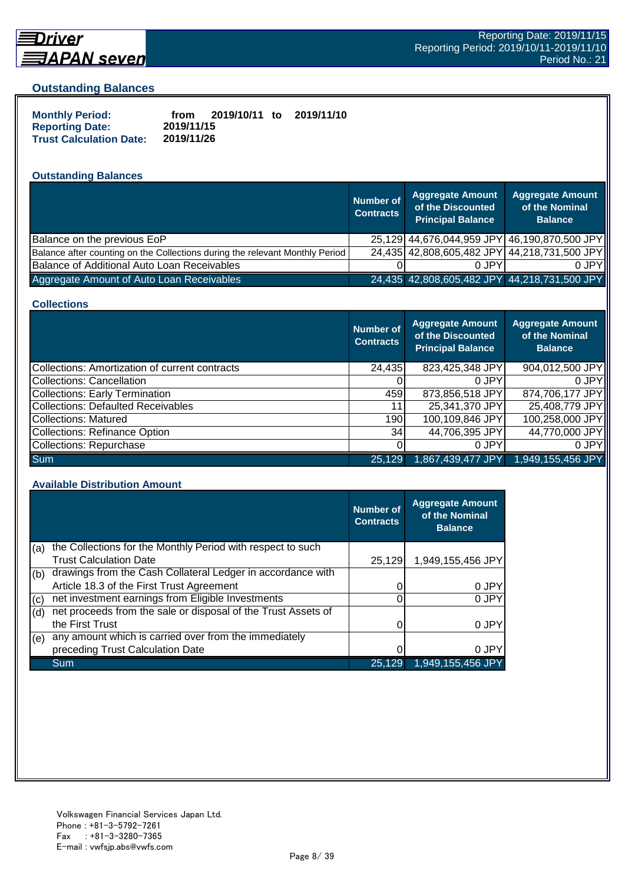

# **Driver** <u> 司APAN seven</u>

#### **Outstanding Balances**

| <b>Monthly Period:</b>         | from       | 2019/10/11 to | 2019/11/10 |
|--------------------------------|------------|---------------|------------|
| <b>Reporting Date:</b>         | 2019/11/15 |               |            |
| <b>Trust Calculation Date:</b> | 2019/11/26 |               |            |

## **Outstanding Balances**

|                                                                              | <b>Number of</b><br><b>Contracts</b> | <b>Aggregate Amount</b><br>of the Discounted<br><b>Principal Balance</b> | <b>Aggregate Amount</b><br>of the Nominal<br><b>Balance</b> |
|------------------------------------------------------------------------------|--------------------------------------|--------------------------------------------------------------------------|-------------------------------------------------------------|
| Balance on the previous EoP                                                  |                                      | 25,129 44,676,044,959 JPY 46,190,870,500 JPY                             |                                                             |
| Balance after counting on the Collections during the relevant Monthly Period |                                      | 24,435 42,808,605,482 JPY 44,218,731,500 JPY                             |                                                             |
| Balance of Additional Auto Loan Receivables                                  |                                      | 0 JPY                                                                    | 0.JPY                                                       |
| Aggregate Amount of Auto Loan Receivables                                    |                                      | 24,435 42,808,605,482 JPY 44,218,731,500 JPY                             |                                                             |

#### **Collections**

|                                                | <b>Number of</b><br><b>Contracts</b> | <b>Aggregate Amount</b><br>of the Discounted<br><b>Principal Balance</b> | <b>Aggregate Amount</b><br>of the Nominal<br><b>Balance</b> |
|------------------------------------------------|--------------------------------------|--------------------------------------------------------------------------|-------------------------------------------------------------|
| Collections: Amortization of current contracts | 24,435                               | 823,425,348 JPY                                                          | 904,012,500 JPY                                             |
| Collections: Cancellation                      |                                      | $0$ JPY                                                                  | 0.JPY                                                       |
| Collections: Early Termination                 | 459                                  | 873,856,518 JPY                                                          | 874,706,177 JPY                                             |
| <b>Collections: Defaulted Receivables</b>      | 11                                   | 25,341,370 JPY                                                           | 25,408,779 JPY                                              |
| Collections: Matured                           | 190                                  | 100,109,846 JPY                                                          | 100,258,000 JPY                                             |
| Collections: Refinance Option                  | 34I                                  | 44,706,395 JPY                                                           | 44,770,000 JPY                                              |
| Collections: Repurchase                        |                                      | 0 JPY                                                                    | 0.JPY                                                       |
| Sum                                            | 25.129                               | 1,867,439,477 JPY                                                        | 1,949,155,456 JPY                                           |

#### **Available Distribution Amount**

|     |                                                               | <b>Number of</b><br><b>Contracts</b> | <b>Aggregate Amount</b><br>of the Nominal<br><b>Balance</b> |
|-----|---------------------------------------------------------------|--------------------------------------|-------------------------------------------------------------|
| (a) | the Collections for the Monthly Period with respect to such   |                                      |                                                             |
|     | <b>Trust Calculation Date</b>                                 | 25,129                               | 1,949,155,456 JPY                                           |
| (b) | drawings from the Cash Collateral Ledger in accordance with   |                                      |                                                             |
|     | Article 18.3 of the First Trust Agreement                     |                                      | 0 JPY                                                       |
| (c) | net investment earnings from Eligible Investments             |                                      | 0 JPY                                                       |
| (d) | net proceeds from the sale or disposal of the Trust Assets of |                                      |                                                             |
|     | the First Trust                                               |                                      | 0 JPY                                                       |
| (e) | any amount which is carried over from the immediately         |                                      |                                                             |
|     | preceding Trust Calculation Date                              |                                      | 0 JPY                                                       |
|     | Sum                                                           | 25,129                               | 1,949,155,456 JPY                                           |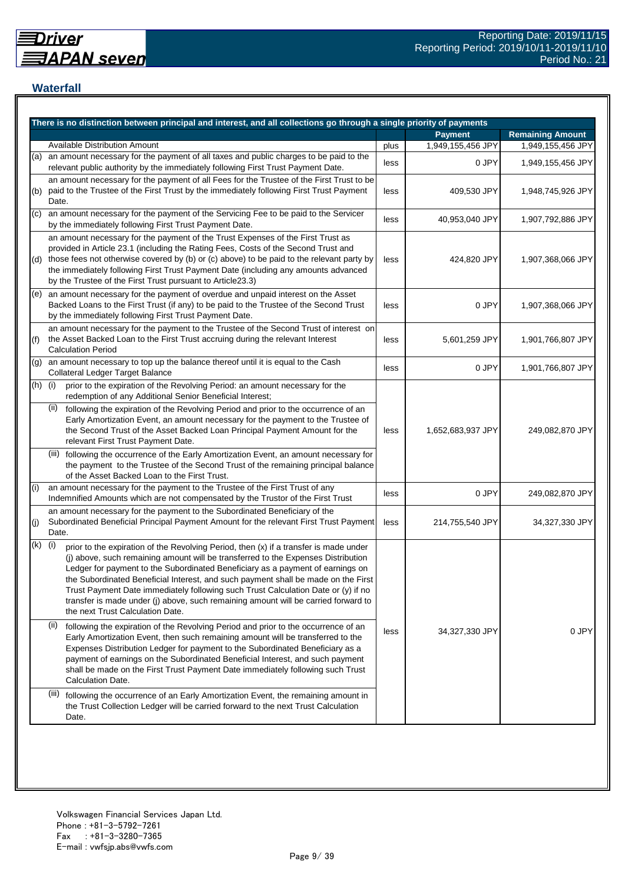## **Waterfall**

|     | There is no distinction between principal and interest, and all collections go through a single priority of payments                                                                                                                                                                                                                                                                                                                                                                                                                                                    |      |                   |                         |
|-----|-------------------------------------------------------------------------------------------------------------------------------------------------------------------------------------------------------------------------------------------------------------------------------------------------------------------------------------------------------------------------------------------------------------------------------------------------------------------------------------------------------------------------------------------------------------------------|------|-------------------|-------------------------|
|     |                                                                                                                                                                                                                                                                                                                                                                                                                                                                                                                                                                         |      | <b>Payment</b>    | <b>Remaining Amount</b> |
|     | <b>Available Distribution Amount</b>                                                                                                                                                                                                                                                                                                                                                                                                                                                                                                                                    | plus | 1,949,155,456 JPY | 1,949,155,456 JPY       |
| (a) | an amount necessary for the payment of all taxes and public charges to be paid to the<br>relevant public authority by the immediately following First Trust Payment Date.                                                                                                                                                                                                                                                                                                                                                                                               | less | 0 JPY             | 1,949,155,456 JPY       |
| (b) | an amount necessary for the payment of all Fees for the Trustee of the First Trust to be<br>paid to the Trustee of the First Trust by the immediately following First Trust Payment<br>Date.                                                                                                                                                                                                                                                                                                                                                                            | less | 409,530 JPY       | 1,948,745,926 JPY       |
| (c) | an amount necessary for the payment of the Servicing Fee to be paid to the Servicer<br>by the immediately following First Trust Payment Date.                                                                                                                                                                                                                                                                                                                                                                                                                           | less | 40,953,040 JPY    | 1,907,792,886 JPY       |
| (d) | an amount necessary for the payment of the Trust Expenses of the First Trust as<br>provided in Article 23.1 (including the Rating Fees, Costs of the Second Trust and<br>those fees not otherwise covered by (b) or (c) above) to be paid to the relevant party by<br>the immediately following First Trust Payment Date (including any amounts advanced<br>by the Trustee of the First Trust pursuant to Article23.3)                                                                                                                                                  | less | 424,820 JPY       | 1,907,368,066 JPY       |
| (e) | an amount necessary for the payment of overdue and unpaid interest on the Asset<br>Backed Loans to the First Trust (if any) to be paid to the Trustee of the Second Trust<br>by the immediately following First Trust Payment Date.                                                                                                                                                                                                                                                                                                                                     | less | 0 JPY             | 1,907,368,066 JPY       |
| (f) | an amount necessary for the payment to the Trustee of the Second Trust of interest on<br>the Asset Backed Loan to the First Trust accruing during the relevant Interest<br><b>Calculation Period</b>                                                                                                                                                                                                                                                                                                                                                                    | less | 5,601,259 JPY     | 1,901,766,807 JPY       |
| (g) | an amount necessary to top up the balance thereof until it is equal to the Cash<br>Collateral Ledger Target Balance                                                                                                                                                                                                                                                                                                                                                                                                                                                     | less | 0 JPY             | 1,901,766,807 JPY       |
| (h) | (i)<br>prior to the expiration of the Revolving Period: an amount necessary for the<br>redemption of any Additional Senior Beneficial Interest;                                                                                                                                                                                                                                                                                                                                                                                                                         |      |                   |                         |
|     | (ii)<br>following the expiration of the Revolving Period and prior to the occurrence of an<br>Early Amortization Event, an amount necessary for the payment to the Trustee of<br>the Second Trust of the Asset Backed Loan Principal Payment Amount for the<br>relevant First Trust Payment Date.                                                                                                                                                                                                                                                                       | less | 1,652,683,937 JPY | 249,082,870 JPY         |
|     | (iii) following the occurrence of the Early Amortization Event, an amount necessary for<br>the payment to the Trustee of the Second Trust of the remaining principal balance<br>of the Asset Backed Loan to the First Trust.                                                                                                                                                                                                                                                                                                                                            |      |                   |                         |
| (i) | an amount necessary for the payment to the Trustee of the First Trust of any<br>Indemnified Amounts which are not compensated by the Trustor of the First Trust                                                                                                                                                                                                                                                                                                                                                                                                         | less | 0 JPY             | 249,082,870 JPY         |
| (j) | an amount necessary for the payment to the Subordinated Beneficiary of the<br>Subordinated Beneficial Principal Payment Amount for the relevant First Trust Payment<br>Date.                                                                                                                                                                                                                                                                                                                                                                                            | less | 214,755,540 JPY   | 34,327,330 JPY          |
| (k) | (i)<br>prior to the expiration of the Revolving Period, then (x) if a transfer is made under<br>(j) above, such remaining amount will be transferred to the Expenses Distribution<br>Ledger for payment to the Subordinated Beneficiary as a payment of earnings on<br>the Subordinated Beneficial Interest, and such payment shall be made on the First<br>Trust Payment Date immediately following such Trust Calculation Date or (y) if no<br>transfer is made under (j) above, such remaining amount will be carried forward to<br>the next Trust Calculation Date. |      |                   |                         |
|     | (ii)<br>following the expiration of the Revolving Period and prior to the occurrence of an<br>Early Amortization Event, then such remaining amount will be transferred to the<br>Expenses Distribution Ledger for payment to the Subordinated Beneficiary as a<br>payment of earnings on the Subordinated Beneficial Interest, and such payment<br>shall be made on the First Trust Payment Date immediately following such Trust<br><b>Calculation Date.</b>                                                                                                           | less | 34,327,330 JPY    | 0 JPY                   |
|     | (iii)<br>following the occurrence of an Early Amortization Event, the remaining amount in<br>the Trust Collection Ledger will be carried forward to the next Trust Calculation<br>Date.                                                                                                                                                                                                                                                                                                                                                                                 |      |                   |                         |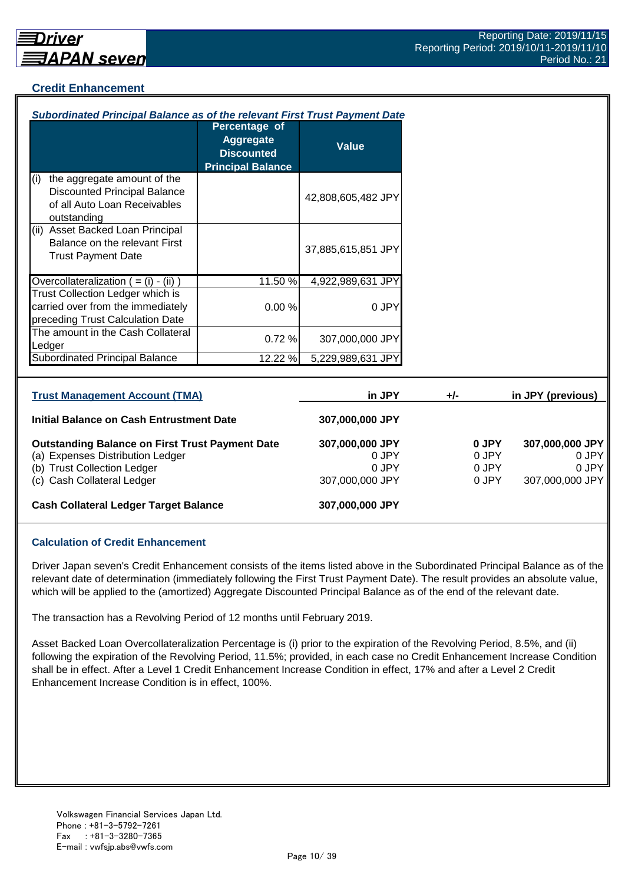#### **Credit Enhancement**

| <b>Subordinated Principal Balance as of the relevant First Trust Payment Date</b>                                                                       |                                                                                           |                                                      |       |                                  |                                                      |
|---------------------------------------------------------------------------------------------------------------------------------------------------------|-------------------------------------------------------------------------------------------|------------------------------------------------------|-------|----------------------------------|------------------------------------------------------|
|                                                                                                                                                         | <b>Percentage of</b><br><b>Aggregate</b><br><b>Discounted</b><br><b>Principal Balance</b> | <b>Value</b>                                         |       |                                  |                                                      |
| the aggregate amount of the<br>(i)<br><b>Discounted Principal Balance</b><br>of all Auto Loan Receivables<br>outstanding                                |                                                                                           | 42,808,605,482 JPY                                   |       |                                  |                                                      |
| (ii) Asset Backed Loan Principal<br>Balance on the relevant First<br><b>Trust Payment Date</b>                                                          |                                                                                           | 37,885,615,851 JPY                                   |       |                                  |                                                      |
| Overcollateralization $( = (i) - (ii))$                                                                                                                 | 11.50 %                                                                                   | 4,922,989,631 JPY                                    |       |                                  |                                                      |
| Trust Collection Ledger which is<br>carried over from the immediately<br>preceding Trust Calculation Date                                               | 0.00%                                                                                     | 0 JPY                                                |       |                                  |                                                      |
| The amount in the Cash Collateral<br>Ledger                                                                                                             | 0.72%                                                                                     | 307,000,000 JPY                                      |       |                                  |                                                      |
| <b>Subordinated Principal Balance</b>                                                                                                                   | 12.22 %                                                                                   | 5,229,989,631 JPY                                    |       |                                  |                                                      |
| <b>Trust Management Account (TMA)</b>                                                                                                                   |                                                                                           | in JPY                                               | $+/-$ |                                  | in JPY (previous)                                    |
| <b>Initial Balance on Cash Entrustment Date</b>                                                                                                         |                                                                                           | 307,000,000 JPY                                      |       |                                  |                                                      |
| <b>Outstanding Balance on First Trust Payment Date</b><br>(a) Expenses Distribution Ledger<br>(b) Trust Collection Ledger<br>(c) Cash Collateral Ledger |                                                                                           | 307,000,000 JPY<br>0 JPY<br>0 JPY<br>307,000,000 JPY |       | 0 JPY<br>0 JPY<br>0 JPY<br>0 JPY | 307,000,000 JPY<br>0 JPY<br>0 JPY<br>307,000,000 JPY |
| <b>Cash Collateral Ledger Target Balance</b>                                                                                                            |                                                                                           | 307,000,000 JPY                                      |       |                                  |                                                      |

#### **Calculation of Credit Enhancement**

Driver Japan seven's Credit Enhancement consists of the items listed above in the Subordinated Principal Balance as of the relevant date of determination (immediately following the First Trust Payment Date). The result provides an absolute value, which will be applied to the (amortized) Aggregate Discounted Principal Balance as of the end of the relevant date.

The transaction has a Revolving Period of 12 months until February 2019.

Asset Backed Loan Overcollateralization Percentage is (i) prior to the expiration of the Revolving Period, 8.5%, and (ii) following the expiration of the Revolving Period, 11.5%; provided, in each case no Credit Enhancement Increase Condition shall be in effect. After a Level 1 Credit Enhancement Increase Condition in effect, 17% and after a Level 2 Credit Enhancement Increase Condition is in effect, 100%.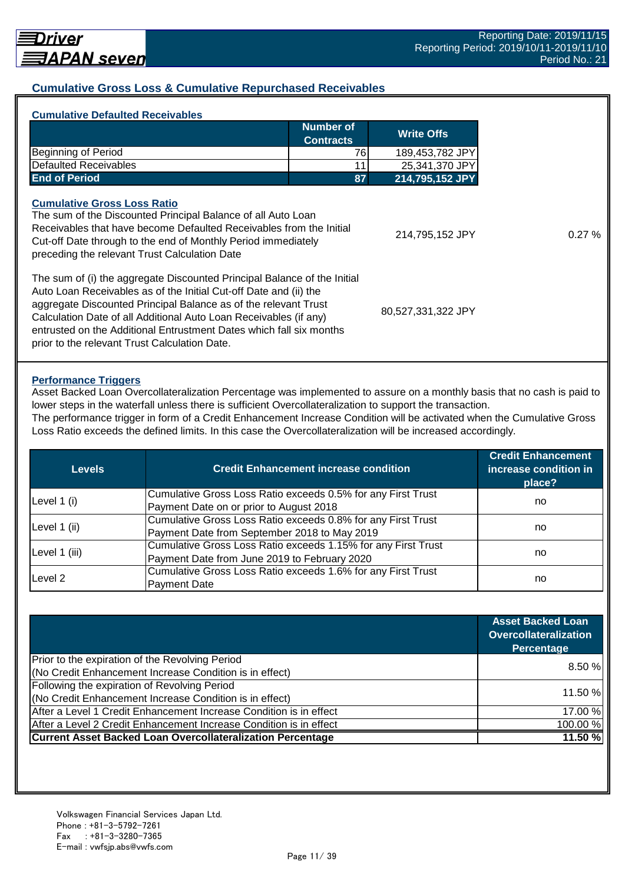## **Cumulative Gross Loss & Cumulative Repurchased Receivables**

|                                                                                                                                     | Number of<br><b>Contracts</b> | <b>Write Offs</b> |           |
|-------------------------------------------------------------------------------------------------------------------------------------|-------------------------------|-------------------|-----------|
| Beginning of Period                                                                                                                 | 76                            | 189,453,782 JPY   |           |
| Defaulted Receivables                                                                                                               |                               | 25,341,370 JPY    |           |
| <b>End of Period</b>                                                                                                                | 87                            | 214,795,152 JPY   |           |
| The sum of the Discounted Principal Balance of all Auto Loan<br>Receivables that have become Defaulted Receivables from the Initial |                               |                   |           |
| Cut-off Date through to the end of Monthly Period immediately<br>preceding the relevant Trust Calculation Date                      |                               | 214,795,152 JPY   | $0.27 \%$ |

#### **Performance Triggers**

Asset Backed Loan Overcollateralization Percentage was implemented to assure on a monthly basis that no cash is paid to lower steps in the waterfall unless there is sufficient Overcollateralization to support the transaction. The performance trigger in form of a Credit Enhancement Increase Condition will be activated when the Cumulative Gross

Loss Ratio exceeds the defined limits. In this case the Overcollateralization will be increased accordingly.

| Levels        | <b>Credit Enhancement increase condition</b>                  | <b>Credit Enhancement</b><br>increase condition in<br>place? |
|---------------|---------------------------------------------------------------|--------------------------------------------------------------|
|               | Cumulative Gross Loss Ratio exceeds 0.5% for any First Trust  |                                                              |
| Level 1 (i)   | Payment Date on or prior to August 2018                       | no                                                           |
| Level 1 (ii)  | Cumulative Gross Loss Ratio exceeds 0.8% for any First Trust  |                                                              |
|               | Payment Date from September 2018 to May 2019                  | no                                                           |
|               | Cumulative Gross Loss Ratio exceeds 1.15% for any First Trust |                                                              |
| Level 1 (iii) | Payment Date from June 2019 to February 2020                  | no                                                           |
| Level 2       | Cumulative Gross Loss Ratio exceeds 1.6% for any First Trust  |                                                              |
|               | <b>Payment Date</b>                                           | no                                                           |

|                                                                    | <b>Asset Backed Loan</b><br><b>Overcollateralization</b><br><b>Percentage</b> |
|--------------------------------------------------------------------|-------------------------------------------------------------------------------|
| Prior to the expiration of the Revolving Period                    | 8.50%                                                                         |
| (No Credit Enhancement Increase Condition is in effect)            |                                                                               |
| Following the expiration of Revolving Period                       |                                                                               |
| (No Credit Enhancement Increase Condition is in effect)            | 11.50 %                                                                       |
| After a Level 1 Credit Enhancement Increase Condition is in effect | 17.00 %                                                                       |
| After a Level 2 Credit Enhancement Increase Condition is in effect | 100.00%                                                                       |
| <b>Current Asset Backed Loan Overcollateralization Percentage</b>  | 11.50%                                                                        |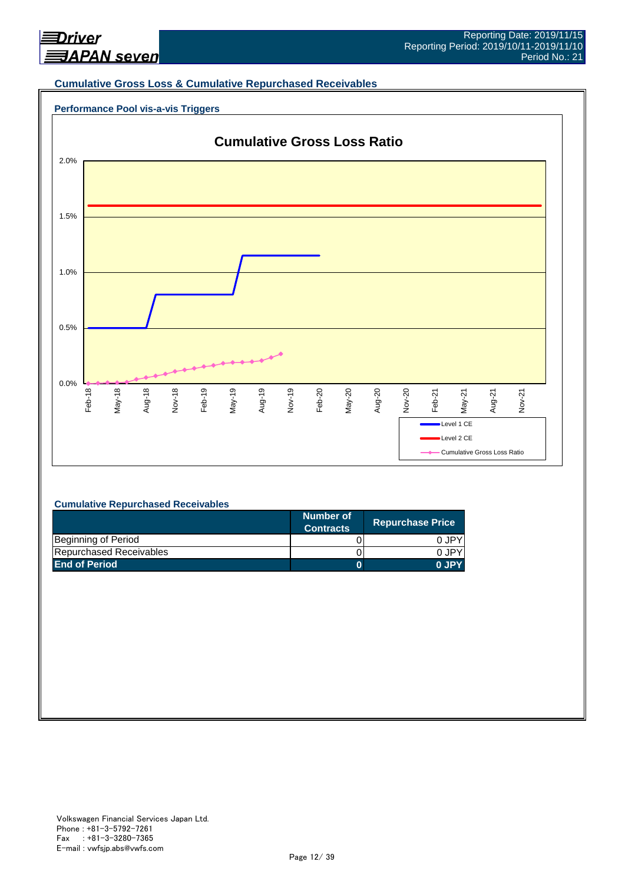

#### **Cumulative Gross Loss & Cumulative Repurchased Receivables**

## **Performance Pool vis-a-vis Triggers**



#### **Cumulative Repurchased Receivables**

|                         | Number of<br><b>Contracts</b> | <b>Repurchase Price</b> |
|-------------------------|-------------------------------|-------------------------|
| Beginning of Period     |                               | 0 JPY                   |
| Repurchased Receivables |                               | 0.JPY                   |
| <b>End of Period</b>    |                               | 0 JPY                   |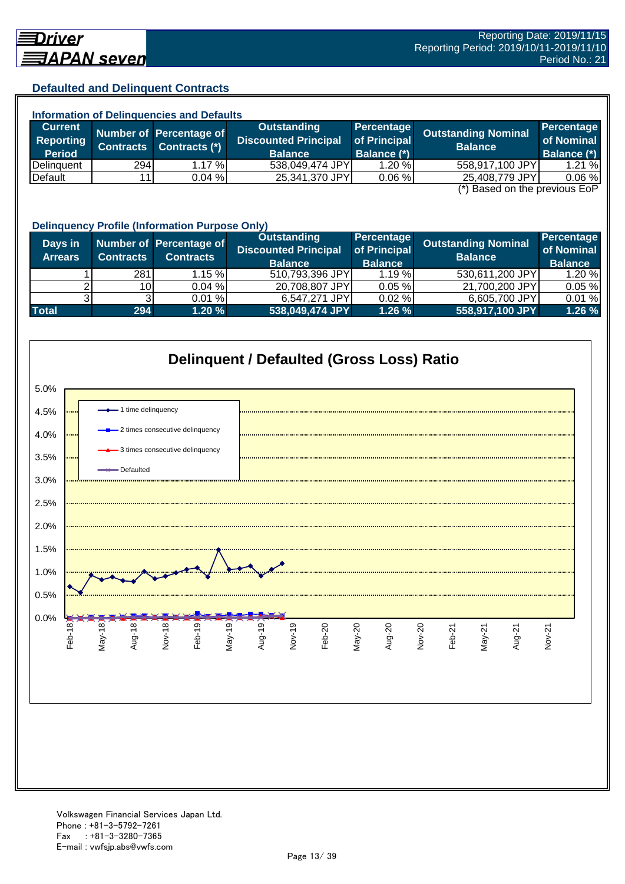## **Defaulted and Delinquent Contracts**

| <b>Information of Delinquencies and Defaults</b> |                  |                         |                             |                    |                                                            |                    |  |
|--------------------------------------------------|------------------|-------------------------|-----------------------------|--------------------|------------------------------------------------------------|--------------------|--|
| <b>Current</b>                                   |                  | Number of Percentage of | Outstanding                 | Percentage         | <b>Outstanding Nominal</b>                                 | <b>Percentage</b>  |  |
| Reporting                                        | <b>Contracts</b> | Contracts (*)           | <b>Discounted Principal</b> | of Principal       | <b>Balance</b>                                             | of Nominal         |  |
| <b>Period</b>                                    |                  |                         | <b>Balance</b>              | <b>Balance (*)</b> |                                                            | <b>Balance (*)</b> |  |
| Delinquent                                       | 294              | 1.17%                   | 538,049,474 JPY             | 1.20%              | 558,917,100 JPY                                            | 1.21%              |  |
| Default                                          | 11               | 0.04%                   | 25,341,370 JPY              | 0.06%              | 25,408,779 JPY                                             | 0.06%              |  |
|                                                  |                  |                         |                             |                    | $\binom{*}{k}$ Desain an the provision $\Gamma_{\alpha}$ D |                    |  |

(\*) Based on the previous EoP

|                           | <b>Delinquency Profile (Information Purpose Only)</b> |                                             |                                                                     |                                              |                                              |                                                   |  |  |
|---------------------------|-------------------------------------------------------|---------------------------------------------|---------------------------------------------------------------------|----------------------------------------------|----------------------------------------------|---------------------------------------------------|--|--|
| Days in<br><b>Arrears</b> | Contracts                                             | Number of Percentage of<br><b>Contracts</b> | <b>Outstanding</b><br><b>Discounted Principal</b><br><b>Balance</b> | Percentage<br>of Principal<br><b>Balance</b> | <b>Outstanding Nominal</b><br><b>Balance</b> | <b>Percentage</b><br>of Nominal<br><b>Balance</b> |  |  |
|                           | 281                                                   | 1.15%                                       | 510,793,396 JPY                                                     | 1.19%                                        | 530,611,200 JPY                              | 1.20 %                                            |  |  |
|                           | 10 I                                                  | $0.04 \%$                                   | 20,708,807 JPY                                                      | 0.05%                                        | 21,700,200 JPY                               | 0.05%                                             |  |  |
|                           |                                                       | 0.01%                                       | 6,547,271 JPY                                                       | 0.02%                                        | 6,605,700 JPY                                | 0.01%                                             |  |  |
| <b>Total</b>              | 294                                                   | 1.20%                                       | 538,049,474 JPY                                                     | 1.26%                                        | 558,917,100 JPY                              | 1.26 %                                            |  |  |

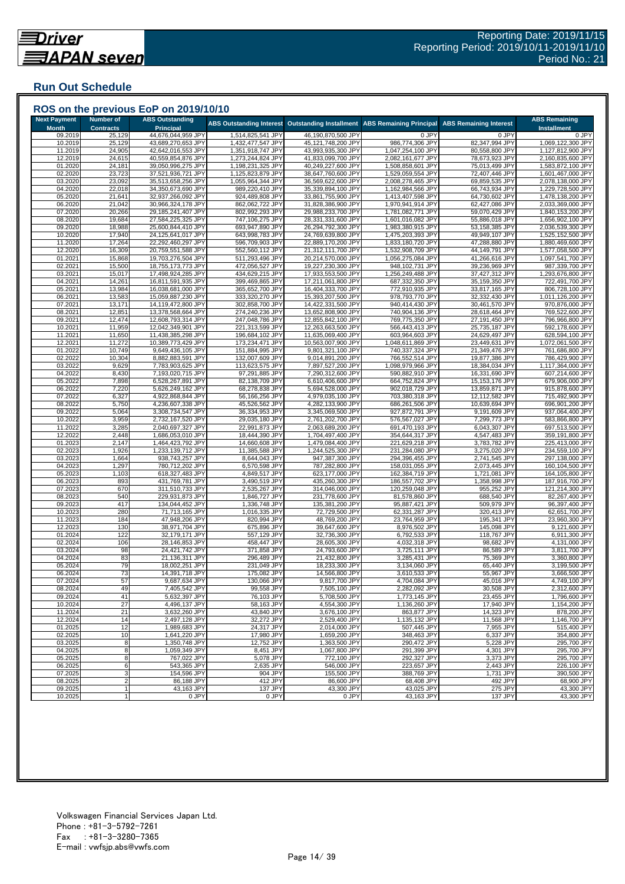## **Run Out Schedule**

| <b>Next Payment</b> | Number of        | <b>ABS Outstanding</b>                   | <b>ABS Outstanding Interest</b>        | <b>Outstanding Installment</b>           | <b>ABS Remaining Principal</b>         | <b>ABS Remaining Interest</b>    | <b>ABS Remaining</b>                   |
|---------------------|------------------|------------------------------------------|----------------------------------------|------------------------------------------|----------------------------------------|----------------------------------|----------------------------------------|
| <b>Month</b>        | <b>Contracts</b> | <b>Principal</b>                         |                                        |                                          |                                        |                                  | <b>Installment</b>                     |
| 09.2019<br>10.2019  | 25,129           | 44,676,044,959 JPY<br>43,689,270,653 JPY | 1,514,825,541 JPY<br>1.432.477.547 JPY | 46,190,870,500 JPY                       | 0 JPY<br>986,774,306 JPY               | 0 JPY<br>82,347,994 JPY          | 0 JPY<br>1,069,122,300 JPY             |
| 11.2019             | 25,129<br>24,905 | 42,642,016,553 JPY                       | 1,351,918,747 JPY                      | 45,121,748,200 JPY<br>43,993,935,300 JPY | 1,047,254,100 JPY                      | 80,558,800 JPY                   | 1,127,812,900 JPY                      |
| 12.2019             | 24,615           | 40,559,854,876 JPY                       | 1,273,244,824 JPY                      | 41,833,099,700 JPY                       | 2,082,161,677 JPY                      | 78,673,923 JPY                   | 2,160,835,600 JPY                      |
| 01.2020             | 24,181           | 39,050,996,275 JPY                       | 1,198,231,325 JPY                      | 40,249,227,600 JPY                       | 1,508,858,601 JPY                      | 75,013,499 JPY                   | 1,583,872,100 JPY                      |
| 02.2020             | 23,723           | 37,521,936,721 JPY                       | 1,125,823,879 JPY                      | 38,647,760,600 JPY                       | 1,529,059,554 JPY                      | 72,407,446 JPY                   | 1,601,467,000 JPY                      |
| 03.2020             | 23,092           | 35,513,658,256 JPY                       | 1,055,964,344 JPY                      | 36,569,622,600 JPY                       | 2,008,278,465 JPY                      | 69,859,535 JPY                   | 2,078,138,000 JPY                      |
| 04.2020             | 22,018           | 34,350,673,690 JPY                       | 989,220,410 JPY                        | 35,339,894,100 JPY<br>33,861,755,900 JPY | 1,162,984,566 JPY                      | 66,743,934 JPY                   | 1,229,728,500 JPY                      |
| 05.2020<br>06.2020  | 21,641<br>21,042 | 32,937,266,092 JPY<br>30,966,324,178 JPY | 924,489,808 JPY<br>862,062,722 JPY     | 31,828,386,900 JPY                       | 1,413,407,598 JPY<br>1,970,941,914 JPY | 64,730,602 JPY<br>62,427,086 JPY | 1,478,138,200 JPY<br>2,033,369,000 JPY |
| 07.2020             | 20,266           | 29,185,241,407 JPY                       | 802,992,293 JPY                        | 29,988,233,700 JPY                       | 1,781,082,771 JPY                      | 59,070,429 JPY                   | 1,840,153,200 JPY                      |
| 08.2020             | 19,684           | 27,584,225,325 JPY                       | 747,106,275 JPY                        | 28,331,331,600 JPY                       | 1,601,016,082 JPY                      | 55,886,018 JPY                   | 1,656,902,100 JPY                      |
| 09.2020             | 18,988           | 25,600,844,410 JPY                       | 693,947,890 JPY                        | 26,294,792,300 JPY                       | 1,983,380,915 JPY                      | 53,158,385 JPY                   | 2,036,539,300 JPY                      |
| 10.2020             | 17,940           | 24,125,641,017 JPY                       | 643,998,783 JPY                        | 24,769,639,800 JPY                       | 1,475,203,393 JPY                      | 49,949,107 JPY                   | 1,525,152,500 JPY                      |
| 11.2020             | 17,264           | 22,292,460,297 JPY<br>20,759,551,588 JPY | 596,709,903 JPY<br>552,560,112 JPY     | 22,889,170,200 JPY<br>21,312,111,700 JPY | 1,833,180,720 JPY                      | 47,288,880 JPY                   | 1,880,469,600 JPY                      |
| 12.2020<br>01.2021  | 16,309<br>15,868 | 19,703,276,504 JPY                       | 511,293,496 JPY                        | 20,214,570,000 JPY                       | 1,532,908,709 JPY<br>1,056,275,084 JPY | 44,149,791 JPY<br>41,266,616 JPY | 1,577,058,500 JPY<br>1,097,541,700 JPY |
| 02.2021             | 15,500           | 18,755,173,773 JPY                       | 472,056,527 JPY                        | 19,227,230,300 JPY                       | 948,102,731 JPY                        | 39,236,969 JPY                   | 987,339,700 JPY                        |
| 03.2021             | 15,017           | 17,498,924,285 JPY                       | 434,629,215 JPY                        | 17,933,553,500 JPY                       | 1,256,249,488 JPY                      | 37,427,312 JPY                   | 1,293,676,800 JPY                      |
| 04.2021             | 14,261           | 16,811,591,935 JPY                       | 399,469,865 JPY                        | 17,211,061,800 JPY                       | 687,332,350 JPY                        | 35,159,350 JPY                   | 722,491,700 JPY                        |
| 05.2021             | 13,984           | 16,038,681,000 JPY                       | 365,652,700 JPY                        | 16,404,333,700 JPY                       | 772,910,935 JPY                        | 33,817,165 JPY                   | 806,728,100 JPY                        |
| 06.2021             | 13,583           | 15,059,887,230 JPY                       | 333,320,270 JPY                        | 15,393,207,500 JPY                       | 978,793,770 JPY                        | 32,332,430 JPY                   | 1,011,126,200 JPY                      |
| 07.2021             | 13,171           | 14,119,472,800 JPY                       | 302,858,700 JPY                        | 14,422,331,500 JPY                       | 940,414,430 JPY                        | 30,461,570 JPY                   | 970,876,000 JPY                        |
| 08.2021<br>09.2021  | 12,851<br>12,474 | 13,378,568,664 JPY<br>12,608,793,314 JPY | 274,240,236 JPY<br>247,048,786 JPY     | 13,652,808,900 JP\<br>12,855,842,100 JPY | 740,904,136 JPY<br>769,775,350 JPY     | 28,618,464 JPY<br>27,191,450 JPY | 769,522,600 JPY<br>796,966,800 JPY     |
| 10.2021             | 11,959           | 12,042,349,901 JPY                       | 221,313,599 JPY                        | 12,263,663,500 JPY                       | 566,443,413 JPY                        | 25,735,187 JPY                   | 592,178,600 JPY                        |
| 11.2021             | 11,650           | 11,438,385,298 JPY                       | 196,684,102 JPY                        | 11,635,069,400 JPY                       | 603,964,603 JPY                        | 24,629,497 JPY                   | 628,594,100 JPY                        |
| 12.2021             | 11,272           | 10,389,773,429 JPY                       | 173,234,471 JPY                        | 10,563,007,900 JPY                       | 1,048,611,869 JPY                      | 23,449,631 JPY                   | 1,072,061,500 JPY                      |
| 01.2022             | 10,749           | 9,649,436,105 JPY                        | 151,884,995 JPY                        | 9,801,321,100 JPY                        | 740,337,324 JPY                        | 21,349,476 JPY                   | 761,686,800 JPY                        |
| 02.2022             | 10,304           | 8,882,883,591 JPY                        | 132,007,609 JPY                        | 9,014,891,200 JPY                        | 766,552,514 JPY                        | 19,877,386 JPY                   | 786,429,900 JPY                        |
| 03.2022             | 9,629            | 7,783,903,625 JPY                        | 113,623,575 JPY                        | 7,897,527,200 JPY                        | 1,098,979,966 JPY                      | 18,384,034 JPY                   | 1,117,364,000 JPY                      |
| 04.2022<br>05.2022  | 8,430<br>7,898   | 7,193,020,715 JPY<br>6,528,267,891 JPY   | 97,291,885 JPY<br>82,138,709 JPY       | 7,290,312,600 JPY<br>6,610,406,600 JPY   | 590,882,910 JPY<br>664,752,824 JPY     | 16,331,690 JPY<br>15,153,176 JPY | 607,214,600 JPY<br>679,906,000 JPY     |
| 06.2022             | 7,220            | 5,626,249,162 JPY                        | 68,278,838 JPY                         | 5,694,528,000 JPY                        | 902,018,729 JPY                        | 13,859,871 JPY                   | 915,878,600 JPY                        |
| 07.2022             | 6,327            | 4,922,868,844 JPY                        | 56,166,256 JPY                         | 4,979,035,100 JPY                        | 703,380,318 JPY                        | 12,112,582 JPY                   | 715,492,900 JPY                        |
| 08.2022             | 5,750            | 4,236,607,338 JPY                        | 45,526,562 JPY                         | 4,282,133,900 JPY                        | 686,261,506 JPY                        | 10,639,694 JPY                   | 696,901,200 JPY                        |
| 09.2022             | 5,064            | 3,308,734,547 JPY                        | 36,334,953 JPY                         | 3,345,069,500 JPY                        | 927,872,791 JPY                        | 9,191,609 JPY                    | 937,064,400 JPY                        |
| 10.2022             | 3,959            | 2,732,167,520 JPY                        | 29,035,180 JPY                         | 2,761,202,700 JPY                        | 576,567,027 JPY                        | 7,299,773 JPY                    | 583,866,800 JPY                        |
| 11.202              | 3,285            | 2,040,697,327 JPY                        | 22,991,873 JPY                         | 2,063,689,200 JPY                        | 691,470,193 JPY                        | 6,043,307 JPY                    | 697,513,500 JPY                        |
| 12.202<br>01.2023   | 2,448<br>2,147   | 1,686,053,010 JPY<br>1,464,423,792 JPY   | 18,444,390 JPY<br>14,660,608 JPY       | 1,704,497,400 JP\<br>1,479,084,400 JPY   | 354,644,317 JPY<br>221,629,218 JPY     | 4,547,483 JPY<br>3,783,782 JPY   | 359,191,800 JPY<br>225,413,000 JPY     |
| 02.2023             | 1,926            | 1,233,139,712 JPY                        | 11,385,588 JPY                         | 1,244,525,300 JPY                        | 231,284,080 JPY                        | 3,275,020 JPY                    | 234,559,100 JPY                        |
| 03.2023             | 1,664            | 938,743,257 JPY                          | 8,644,043 JPY                          | 947,387,300 JPY                          | 294,396,455 JPY                        | 2,741,545 JPY                    | 297,138,000 JPY                        |
| 04.2023             | 1,297            | 780,712,202 JPY                          | 6,570,598 JPY                          | 787,282,800 JPY                          | 158,031,055 JPY                        | 2,073,445 JPY                    | 160,104,500 JPY                        |
| 05.2023             | 1,103            | 618,327,483 JPY                          | 4,849,517 JPY                          | 623,177,000 JPY                          | 162,384,719 JPY                        | 1,721,081 JPY                    | 164,105,800 JPY                        |
| 06.2023             | 893              | 431,769,781 JPY                          | 3,490,519 JPY                          | 435,260,300 JPY                          | 186,557,702 JPY                        | 1,358,998 JPY                    | 187,916,700 JPY                        |
| 07.2023<br>08.2023  | 670<br>540       | 311,510,733 JPY<br>229,931,873 JPY       | 2,535,267 JPY<br>1,846,727 JPY         | 314,046,000 JPY<br>231,778,600 JPY       | 120,259,048 JPY<br>81,578,860 JPY      | 955,252 JPY<br>688,540 JPY       | 121,214,300 JPY<br>82,267,400 JPY      |
| 09.2023             | 417              | 134,044,452 JPY                          | 1,336,748 JPY                          | 135,381,200 JPY                          | 95,887,421 JPY                         | 509,979 JPY                      | 96,397,400 JPY                         |
| 10.2023             | 280              | 71,713,165 JPY                           | 1,016,335 JPY                          | 72,729,500 JPY                           | 62,331,287 JPY                         | 320,413 JPY                      | 62,651,700 JPY                         |
| 11.2023             | 184              | 47,948,206 JPY                           | 820,994 JPY                            | 48,769,200 JPY                           | 23,764,959 JPY                         | 195,341 JPY                      | 23,960,300 JPY                         |
| 12.2023             | 130              | 38,971,704 JPY                           | 675,896 JPY                            | 39,647,600 JPY                           | 8,976,502 JPY                          | 145,098 JPY                      | 9,121,600 JPY                          |
| 01.2024             | 122              | 32,179,171 JPY                           | 557,129 JPY                            | 32,736,300 JPY                           | 6,792,533 JPY                          | 118,767 JPY                      | 6,911,300 JPY                          |
| 02.2024             | 106<br>98        | 28,146,853 JPY<br>24.421.742 JPY         | 458,447 JPY                            | 28,605,300 JPY<br>24,793,600 JPY         | 4,032,318 JPY                          | 98,682 JPY                       | 4,131,000 JPY<br>3,811,700 JPY         |
| 03.2024<br>04.2024  | 83               | 21,136,311 JPY                           | 371,858 JPY<br>296,489 JPY             | 21,432,800 JPY                           | 3,725,111 JPY<br>3,285,431 JPY         | 86,589 JPY<br>75,369 JPY         | 3,360,800 JPY                          |
| 05.2024             | 79               | 18,002,251 JPY                           | 231,049 JPY                            | 18,233,300 JPY                           | 3,134,060 JPY                          | 65,440 JPY                       | 3,199,500 JPY                          |
| 06.2024             | 73               | 14,391,718 JPY                           | 175,082 JPY                            | 14,566,800 JPY                           | 3,610,533 JPY                          | 55,967 JPY                       | 3,666,500 JPY                          |
| 07.2024             | 57               | 9,687,634 JPY                            | 130,066 JPY                            | 9,817,700 JPY                            | 4,704,084 JPY                          | 45,016 JPY                       | 4,749,100 JPY                          |
| 08.2024             | 49               | 7,405,542 JPY                            | 99,558 JPY                             | 7,505,100 JPY                            | 2,282,092 JPY                          | 30,508 JPY                       | 2,312,600 JPY                          |
| 09.2024             | 41               | 5,632,397 JPY                            | 76,103 JPY                             | 5,708,500 JPY                            | 1,773,145 JPY                          | 23,455 JPY                       | 1,796,600 JPY                          |
| 10.2024             | 27               | 4,496,137 JPY                            | 58,163 JPY                             | 4,554,300 JPY                            | 1,136,260 JPY<br>863.877 JPY           | 17,940 JPY                       | 1,154,200 JPY<br>878,200 JPY           |
| 11.2024<br>12.2024  | 21<br>14         | 3,632,260 JPY<br>2,497,128 JPY           | 43,840 JPY<br>32,272 JPY               | 3,676,100 JPY<br>2,529,400 JPY           | 1,135,132 JPY                          | 14,323 JPY<br>11,568 JPY         | 1,146,700 JPY                          |
| 01.2025             | 12               | 1,989,683 JPY                            | 24,317 JPY                             | 2,014,000 JPY                            | 507,445 JPY                            | 7,955 JPY                        | 515,400 JPY                            |
| 02.2025             | 10               | 1,641,220 JPY                            | 17,980 JPY                             | 1,659,200 JPY                            | 348,463 JPY                            | 6,337 JPY                        | 354,800 JPY                            |
| 03.2025             | 8                | 1,350,748 JPY                            | 12,752 JPY                             | 1,363,500 JPY                            | 290,472 JPY                            | 5,228 JPY                        | 295,700 JPY                            |
| 04.2025             | 8                | 1,059,349 JPY                            | 8,451 JPY                              | 1,067,800 JPY                            | 291,399 JPY                            | 4,301 JPY                        | 295,700 JPY                            |
| 05.2025             | 8                | 767.022 JPY                              | 5,078 JPY                              | 772,100 JPY                              | 292,327 JPY                            | 3,373 JPY                        | 295,700 JPY                            |
|                     |                  | 543,365 JPY                              | 2,635 JPY                              | 546,000 JPY                              | 223,657 JPY                            | 2,443 JPY                        | 226,100 JPY                            |
| 06.2025             | 6                |                                          |                                        |                                          |                                        |                                  |                                        |
| 07.2025             |                  | 154,596 JPY                              | 904 JPY                                | 155,500 JPY                              | 388,769 JPY                            | 1,731 JPY                        | 390,500 JPY                            |
| 08.2025<br>09.2025  |                  | 86,188 JPY<br>43,163 JPY                 | 412 JPY<br>137 JPY                     | 86,600 JPY<br>43,300 JPY                 | 68,408 JPY<br>43,025 JPY               | 492 JPY<br>275 JPY               | 68,900 JPY<br>43,300 JPY               |

###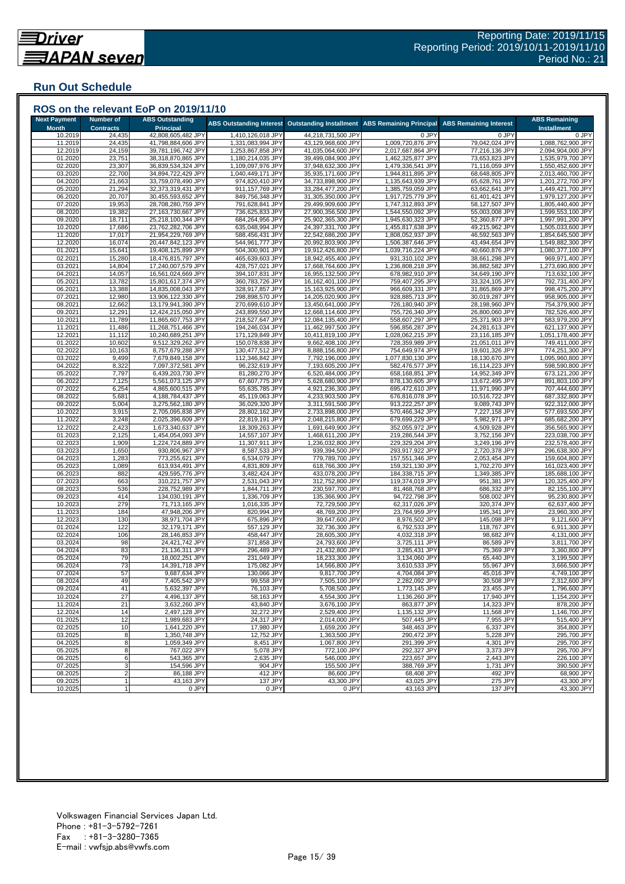## **Run Out Schedule**

| <b>Next Payment</b> | <b>Number of</b> | ROS on the relevant EoP on 2019/11/10<br><b>ABS Outstanding</b> | <b>ABS Outstanding Interest</b>        | <b>Outstanding Installment</b>           | <b>ABS Remaining Principal</b>         | <b>ABS Remaining Interest</b>    | <b>ABS Remaining</b>                   |
|---------------------|------------------|-----------------------------------------------------------------|----------------------------------------|------------------------------------------|----------------------------------------|----------------------------------|----------------------------------------|
| <b>Month</b>        | <b>Contracts</b> | <b>Principal</b>                                                |                                        |                                          |                                        |                                  | <b>Installment</b>                     |
| 10.2019             | 24,435           | 42,808,605,482 JPY                                              | 1,410,126,018 JPY                      | 44,218,731,500 JPY                       | 0 JPY                                  | 0 JPY                            | $0$ JPY                                |
| 11.2019<br>12.2019  | 24,435<br>24,159 | 41,798,884,606 JPY<br>39,781,196,742 JPY                        | 1,331,083,994 JPY<br>1,253,867,858 JPY | 43,129,968,600 JPY<br>41,035,064,600 JPY | 1,009,720,876 JPY<br>2,017,687,864 JPY | 79,042,024 JPY<br>77,216,136 JPY | 1,088,762,900 JPY<br>2,094,904,000 JPY |
| 01.2020             | 23,751           | 38,318,870,865 JPY                                              | 1,180,214,035 JPY                      | 39,499,084,900 JPY                       | 1,462,325,877 JPY                      | 73,653,823 JPY                   | 1,535,979,700 JPY                      |
| 02.2020             | 23,307           | 36,839,534,324 JPY                                              | 1,109,097,976 JPY                      | 37,948,632,300 JPY                       | 1,479,336,541 JPY                      | 71,116,059 JPY                   | 1,550,452,600 JPY                      |
| 03.2020             | 22,700           | 34,894,722,429 JPY                                              | 1,040,449,171 JPY                      | 35,935,171,600 JPY                       | 1,944,811,895 JPY                      | 68,648,805 JPY                   | 2,013,460,700 JPY                      |
| 04.2020<br>05.2020  | 21,663<br>21,294 | 33,759,078,490 JPY<br>32,373,319,431 JPY                        | 974,820,410 JPY<br>911,157,769 JPY     | 34,733,898,900 JPY<br>33,284,477,200 JPY | 1,135,643,939 JP\<br>1,385,759,059 JPY | 65,628,761 JPY<br>63,662,641 JPY | 1,201,272,700 JPY<br>1,449,421,700 JPY |
| 06.2020             | 20,707           | 30,455,593,652 JPY                                              | 849,756,348 JPY                        | 31,305,350,000 JPY                       | 1,917,725,779 JPY                      | 61,401,421 JPY                   | 1,979,127,200 JPY                      |
| 07.2020             | 19,953           | 28,708,280,759 JPY                                              | 791,628,841 JPY                        | 29,499,909,600 JPY                       | 1,747,312,893 JPY                      | 58,127,507 JPY                   | 1,805,440,400 JPY                      |
| 08.2020             | 19,382           | 27,163,730,667 JPY                                              | 736,625,833 JPY                        | 27,900,356,500 JPY                       | 1,544,550,092 JPY                      | 55,003,008 JPY                   | 1,599,553,100 JPY                      |
| 09.2020<br>10.2020  | 18,711<br>17,686 | 25,218,100,344 JPY<br>23,762,282,706 JPY                        | 684,264,956 JPY<br>635,048,994 JPY     | 25,902,365,300 JPY<br>24,397,331,700 JPY | 1,945,630,323 JPY<br>1,455,817,638 JPY | 52,360,877 JPY<br>49,215,962 JPY | 1,997,991,200 JPY<br>1,505,033,600 JPY |
| 11.2020             | 17,017           | 21,954,229,769 JPY                                              | 588,456,431 JPY                        | 22,542,686,200 JPY                       | 1,808,052,937 JP\                      | 46,592,563 JPY                   | 1,854,645,500 JPY                      |
| 12.2020             | 16,074           | 20,447,842,123 JPY                                              | 544,961,777 JPY                        | 20,992,803,900 JPY                       | 1,506,387,646 JPY                      | 43,494,654 JPY                   | 1,549,882,300 JPY                      |
| 01.2021             | 15,641           | 19,408,125,899 JPY                                              | 504,300,901 JPY                        | 19,912,426,800 JP\                       | 1,039,716,224 JPY                      | 40,660,876 JPY                   | 1,080,377,100 JPY                      |
| 02.2021             | 15,280           | 18,476,815,797 JPY                                              | 465,639,603 JPY                        | 18,942,455,400 JPY                       | 931,310,102 JPY                        | 38,661,298 JPY                   | 969,971,400 JPY                        |
| 03.2021<br>04.202   | 14,804<br>14,057 | 17,240,007,579 JPY<br>16,561,024,669 JPY                        | 428,757,021 JPY<br>394,107,831 JPY     | 17,668,764,600 JPY<br>16,955,132,500 JPY | 1,236,808,218 JPY<br>678,982,910 JPY   | 36,882,582 JPY<br>34,649,190 JPY | 1,273,690,800 JPY<br>713,632,100 JPY   |
| 05.2021             | 13,782           | 15,801,617,374 JPY                                              | 360,783,726 JPY                        | 16,162,401,100 JPY                       | 759,407,295 JPY                        | 33,324,105 JPY                   | 792,731,400 JPY                        |
| 06.2021             | 13,388           | 14,835,008,043 JPY                                              | 328,917,857 JPY                        | 15,163,925,900 JPY                       | 966,609,331 JPY                        | 31,865,869 JPY                   | 998,475,200 JPY                        |
| 07.2021             | 12,980           | 13,906,122,330 JPY                                              | 298,898,570 JPY                        | 14,205,020,900 JPY                       | 928,885,713 JPY                        | 30,019,287 JPY                   | 958,905,000 JPY                        |
| 08.2021             | 12,662           | 13,179,941,390 JPY                                              | 270,699,610 JPY                        | 13,450,641,000 JPY                       | 726,180,940 JPY                        | 28,198,960 JPY                   | 754,379,900 JPY                        |
| 09.2021<br>10.2021  | 12,291<br>11,789 | 12,424,215,050 JPY<br>11,865,607,753 JPY                        | 243,899,550 JPY<br>218,527,647 JPY     | 12,668,114,600 JPY<br>12,084,135,400 JPY | 755,726,340 JPY<br>558,607,297 JPY     | 26,800,060 JPY<br>25,371,903 JPY | 782,526,400 JPY<br>583,979,200 JPY     |
| 11.2021             | 11,486           | 11,268,751,466 JPY                                              | 194,246,034 JPY                        | 11,462,997,500 JPY                       | 596,856,287 JPY                        | 24,281,613 JPY                   | 621,137,900 JPY                        |
| 12.2021             | 11,112           | 10,240,689,251 JPY                                              | 171,129,849 JPY                        | 10,411,819,100 JPY                       | 1,028,062,215 JP\                      | 23,116,185 JPY                   | 1,051,178,400 JPY                      |
| 01.2022             | 10,602           | 9,512,329,262 JPY                                               | 150,078,838 JPY                        | 9,662,408,100 JPY                        | 728,359,989 JPY                        | 21,051,011 JPY                   | 749,411,000 JPY                        |
| 02.2022             | 10,163           | 8,757,679,288 JPY                                               | 130,477,512 JPY                        | 8,888,156,800 JPY                        | 754,649,974 JPY                        | 19,601,326 JPY                   | 774,251,300 JPY                        |
| 03.2022<br>04.202   | 9,499<br>8,322   | 7,679,849,158 JPY<br>7,097,372,581 JPY                          | 112,346,842 JPY<br>96,232,619 JPY      | 7,792,196,000 JPY<br>7,193,605,200 JPY   | 1,077,830,130 JPY<br>582,476,577 JPY   | 18,130,670 JPY<br>16,114,223 JPY | 1,095,960,800 JPY<br>598,590,800 JPY   |
| 05.2022             | 7,797            | 6,439,203,730 JPY                                               | 81,280,270 JPY                         | 6,520,484,000 JPY                        | 658,168,851 JPY                        | 14,952,349 JPY                   | 673,121,200 JPY                        |
| 06.2022             | 7,125            | 5,561,073,125 JPY                                               | 67,607,775 JPY                         | 5,628,680,900 JPY                        | 878,130,605 JPY                        | 13,672,495 JPY                   | 891,803,100 JPY                        |
| 07.2022             | 6,254            | 4,865,600,515 JPY                                               | 55,635,785 JPY                         | 4,921,236,300 JPY                        | 695,472,610 JPY                        | 11,971,990 JPY                   | 707,444,600 JPY                        |
| 08.2022             | 5,681            | 4,188,784,437 JPY                                               | 45,119,063 JPY                         | 4,233,903,500 JPY                        | 676,816,078 JPY                        | 10,516,722 JPY                   | 687,332,800 JPY                        |
| 09.202<br>10.2022   | 5,004<br>3,915   | 3,275,562,180 JPY<br>2,705,095,838 JPY                          | 36,029,320 JPY<br>28,802,162 JPY       | 3,311,591,500 JPY<br>2,733,898,000 JPY   | 913,222,257 JPY<br>570,466,342 JPY     | 9,089,743 JPY<br>7,227,158 JPY   | 922,312,000 JPY<br>577,693,500 JPY     |
| 11.2022             | 3,248            | 2,025,396,609 JPY                                               | 22,819,191 JPY                         | 2,048,215,800 JPY                        | 679,699,229 JPY                        | 5,982,971 JPY                    | 685,682,200 JPY                        |
| 12.2022             | 2,423            | 1,673,340,637 JPY                                               | 18,309,263 JPY                         | 1,691,649,900 JPY                        | 352,055,972 JPY                        | 4,509,928 JPY                    | 356,565,900 JPY                        |
| 01.2023             | 2,125            | 1,454,054,093 JPY                                               | 14,557,107 JPY                         | 1,468,611,200 JPY                        | 219,286,544 JPY                        | 3,752,156 JPY                    | 223,038,700 JPY                        |
| 02.2023             | 1,909            | 1,224,724,889 JPY                                               | 11,307,911 JPY                         | 1,236,032,800 JPY                        | 229,329,204 JPY                        | 3,249,196 JPY                    | 232,578,400 JPY                        |
| 03.2023<br>04.2023  | 1,650<br>1,283   | 930,806,967 JPY<br>773,255,621 JPY                              | 8,587,533 JPY<br>6,534,079 JPY         | 939,394,500 JPY<br>779,789,700 JPY       | 293,917,922 JPY<br>157,551,346 JPY     | 2,720,378 JPY<br>2,053,454 JPY   | 296,638,300 JPY<br>159,604,800 JPY     |
| 05.2023             | 1,089            | 613,934,491 JPY                                                 | 4,831,809 JPY                          | 618,766,300 JPY                          | 159,321,130 JPY                        | 1,702,270 JPY                    | 161,023,400 JPY                        |
| 06.2023             | 882              | 429,595,776 JPY                                                 | 3,482,424 JPY                          | 433,078,200 JPY                          | 184,338,715 JPY                        | 1,349,385 JPY                    | 185,688,100 JPY                        |
| 07.2023             | 663              | 310,221,757 JPY                                                 | 2,531,043 JPY                          | 312,752,800 JPY                          | 119,374,019 JPY                        | 951,381 JPY                      | 120,325,400 JPY                        |
| 08.2023             | 536              | 228,752,989 JPY                                                 | 1,844,711 JPY                          | 230,597,700 JPY                          | 81,468,768 JPY                         | 686,332 JPY                      | 82,155,100 JPY                         |
| 09.2023<br>10.2023  | 414<br>279       | 134,030,191 JPY<br>71,713,165 JPY                               | 1,336,709 JPY<br>1,016,335 JPY         | 135,366,900 JPY<br>72,729,500 JPY        | 94,722,798 JPY<br>62,317,026 JPY       | 508,002 JPY<br>320,374 JPY       | 95,230,800 JPY<br>62,637,400 JPY       |
| 11.2023             | 184              | 47,948,206 JPY                                                  | 820,994 JPY                            | 48,769,200 JPY                           | 23,764,959 JPY                         | 195,341 JPY                      | 23,960,300 JPY                         |
| 12.2023             | 130              | 38,971,704 JPY                                                  | 675,896 JPY                            | 39,647,600 JPY                           | 8,976,502 JPY                          | 145,098 JPY                      | 9,121,600 JPY                          |
| 01.2024             | 122              | 32,179,171 JPY                                                  | 557,129 JPY                            | 32,736,300 JPY                           | 6,792,533 JPY                          | 118,767 JPY                      | 6,911,300 JPY                          |
| 02.2024             | 106              | 28,146,853 JPY                                                  | 458,447 JPY                            | 28,605,300 JPY<br>24,793,600 JPY         | 4,032,318 JPY                          | 98,682 JPY                       | 4,131,000 JPY                          |
| 03.2024<br>04.2024  | 98<br>83         | 24,421,742 JPY<br>21,136,311 JPY                                | 371,858 JPY<br>296,489 JPY             | 21,432,800 JPY                           | 3,725,111 JPY<br>3,285,431 JPY         | 86,589 JPY<br>75,369 JPY         | 3,811,700 JPY<br>3,360,800 JPY         |
| 05.2024             | 79               | 18,002,251 JPY                                                  | 231,049 JPY                            | 18,233,300 JPY                           | 3,134,060 JPY                          | 65,440 JPY                       | 3,199,500 JPY                          |
| 06.2024             | 73               | 14,391,718 JPY                                                  | 175,082 JPY                            | 14,566,800 JPY                           | 3,610,533 JPY                          | 55,967 JPY                       | 3,666,500 JPY                          |
| 07.2024             | 57               | 9,687,634 JPY                                                   | 130,066 JPY                            | 9,817,700 JPY                            | 4,704,084 JPY                          | 45,016 JPY                       | 4,749,100 JPY                          |
| 08.2024             | 49               | 7,405,542 JPY                                                   | 99,558 JPY                             | 7,505,100 JPY                            | 2,282,092 JPY                          | 30,508 JPY                       | 2,312,600 JPY                          |
| 09.2024<br>10.2024  | 41<br>27         | 5,632,397 JPY<br>4,496,137 JPY                                  | 76,103 JPY<br>58,163 JPY               | 5,708,500 JPY<br>4,554,300 JPY           | 1,773,145 JPY<br>1,136,260 JPY         | 23,455 JPY<br>17,940 JPY         | 1,796,600 JPY<br>1,154,200 JPY         |
| 11.2024             | 21               | 3,632,260 JPY                                                   | 43,840 JPY                             | 3,676,100 JPY                            | 863,877 JPY                            | 14,323 JPY                       | 878,200 JPY                            |
| 12.2024             | 14               | 2,497,128 JPY                                                   | 32,272 JPY                             | 2,529,400 JPY                            | 1,135,132 JPY                          | 11,568 JPY                       | 1,146,700 JPY                          |
| 01.2025             | 12               | 1,989,683 JPY                                                   | 24,317 JPY                             | 2,014,000 JPY                            | 507.445 JPY                            | 7,955 JPY                        | 515,400 JPY                            |
| 02.2025             | 10               | 1,641,220 JPY                                                   | 17,980 JPY                             | 1.659.200 JPY                            | 348,463 JPY                            | 6,337 JPY                        | 354,800 JPY                            |
| 03.2025<br>04.2025  | 8<br>8           | 1,350,748 JPY<br>1,059,349 JPY                                  | 12,752 JPY<br>8,451 JPY                | 1,363,500 JPY<br>1,067,800 JPY           | 290,472 JPY<br>291,399 JPY             | 5,228 JPY<br>4,301 JPY           | 295,700 JPY<br>295,700 JPY             |
| 05.2025             | 8                | 767,022 JPY                                                     | 5,078 JPY                              | 772,100 JPY                              | 292,327 JPY                            | 3,373 JPY                        | 295,700 JPY                            |
| 06.2025             | 6                | 543,365 JPY                                                     | 2,635 JPY                              | 546,000 JPY                              | 223,657 JPY                            | 2,443 JPY                        | 226,100 JPY                            |
| 07.2025             |                  | 154,596 JPY                                                     | 904 JPY                                | 155,500 JPY                              | 388,769 JPY                            | 1,731 JPY                        | 390,500 JPY                            |
| 08.2025             |                  | 86,188 JPY                                                      | 412 JPY                                | 86,600 JPY                               | 68,408 JPY                             | 492 JPY                          | 68,900 JPY                             |
| 09.2025<br>10.2025  |                  | 43,163 JPY<br>0 JPY                                             | 137 JPY<br>0 JPY                       | 43,300 JPY<br>0 JPY                      | 43,025 JPY<br>43,163 JPY               | 275 JPY<br>137 JPY               | 43,300 JPY<br>43,300 JPY               |
|                     |                  |                                                                 |                                        |                                          |                                        |                                  |                                        |

###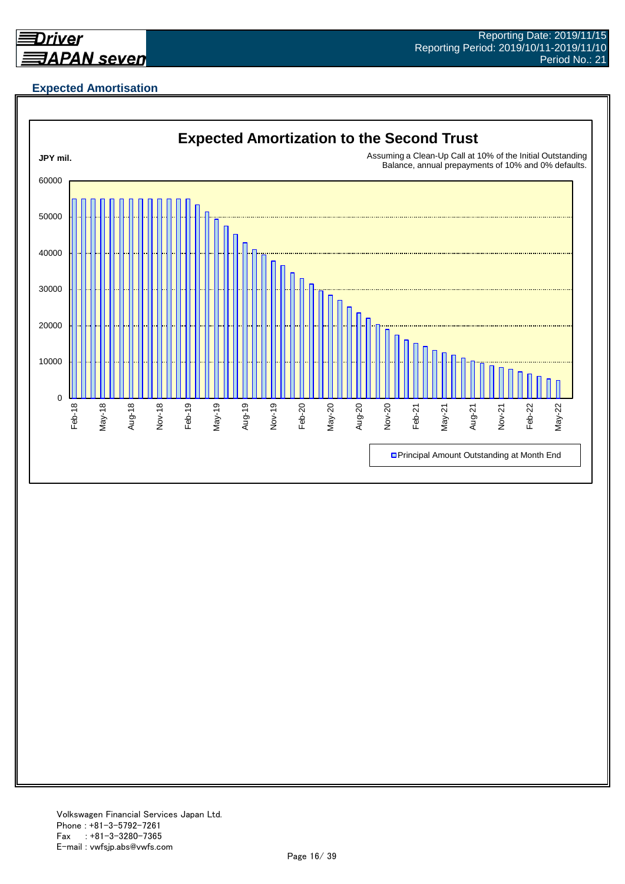

## **Expected Amortisation**

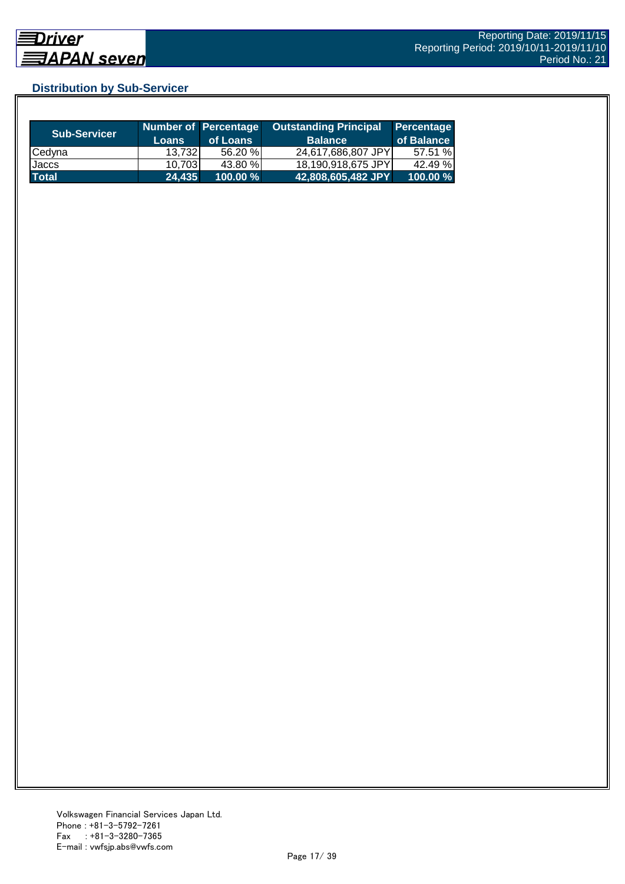## **Distribution by Sub-Servicer**

| <b>Sub-Servicer</b> | <b>Loans</b> | Number of Percentage<br>of Loans | Outstanding Principal<br><b>Balance</b> | Percentage<br>of Balance |
|---------------------|--------------|----------------------------------|-----------------------------------------|--------------------------|
| Cedyna              | 13,732       | 56.20 %                          | 24,617,686,807 JPY                      | 57.51 %                  |
| Jaccs               | 10.703       | 43.80 %                          | 18.190.918.675 JPY                      | 42.49 %                  |
| <b>Total</b>        | 24,435       | 100.00 %                         | 42,808,605,482 JPY                      | 100.00 %                 |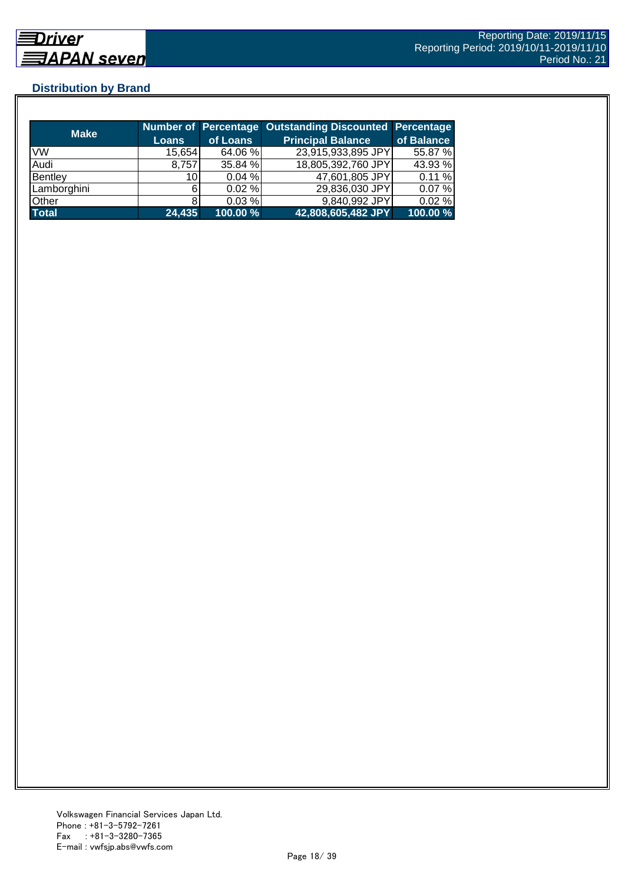## **Distribution by Brand**

| <b>Make</b>  |        |          | <b>Number of Percentage Outstanding Discounted Percentage</b> |            |
|--------------|--------|----------|---------------------------------------------------------------|------------|
|              | Loans  | of Loans | <b>Principal Balance</b>                                      | of Balance |
| <b>VW</b>    | 15,654 | 64.06 %  | 23,915,933,895 JPY                                            | 55.87 %    |
| Audi         | 8.757  | 35.84 %  | 18,805,392,760 JPY                                            | 43.93 %    |
| Bentley      | 10     | 0.04%    | 47,601,805 JPY                                                | 0.11%      |
| Lamborghini  |        | 0.02%    | 29,836,030 JPY                                                | 0.07%      |
| Other        |        | 0.03%    | 9,840,992 JPY                                                 | 0.02%      |
| <b>Total</b> | 24,435 | 100.00 % | 42,808,605,482 JPY                                            | 100.00 %   |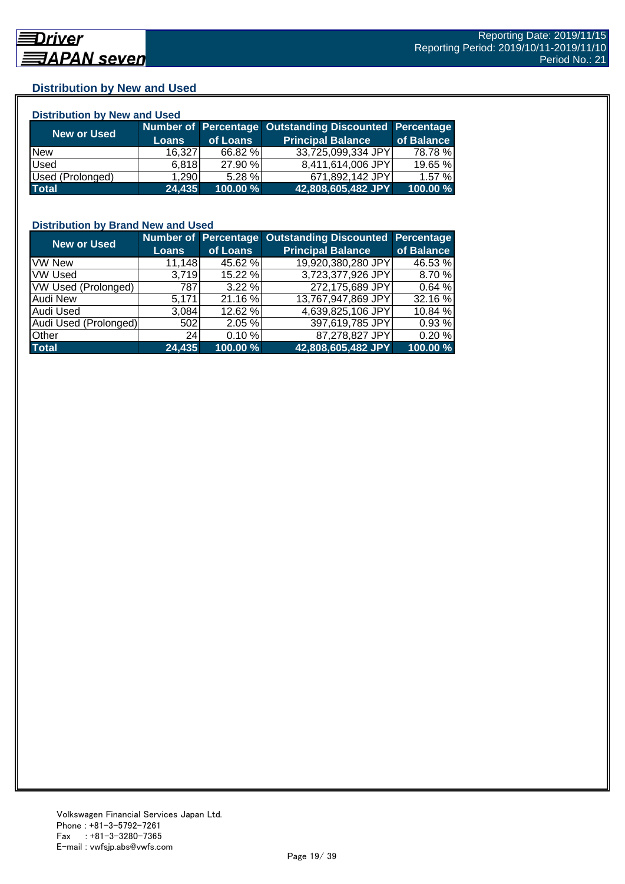## **Distribution by New and Used**

| <b>Distribution by New and Used</b> |              |           |                                                        |            |  |  |
|-------------------------------------|--------------|-----------|--------------------------------------------------------|------------|--|--|
|                                     |              |           | Number of Percentage Outstanding Discounted Percentage |            |  |  |
| New or Used                         | <b>Loans</b> | of Loans  | <b>Principal Balance</b>                               | of Balance |  |  |
| <b>New</b>                          | 16,327       | 66.82 %   | 33,725,099,334 JPY                                     | 78.78 %    |  |  |
| Used                                | 6,818        | 27.90 %   | 8,411,614,006 JPY                                      | 19.65 %    |  |  |
| Used (Prolonged)                    | 1.290        | $5.28 \%$ | 671,892,142 JPY                                        | 1.57%      |  |  |
| <b>Total</b>                        | 24,435       | 100.00 %  | 42,808,605,482 JPY                                     | 100.00 %   |  |  |

#### **Distribution by Brand New and Used**

| <b>New or Used</b>         |              |          | Number of Percentage Outstanding Discounted Percentage |            |
|----------------------------|--------------|----------|--------------------------------------------------------|------------|
|                            | <b>Loans</b> | of Loans | <b>Principal Balance</b>                               | of Balance |
| <b>VW New</b>              | 11,148       | 45.62 %  | 19,920,380,280 JPY                                     | 46.53 %    |
| <b>VW Used</b>             | 3,719        | 15.22 %  | 3,723,377,926 JPY                                      | 8.70 %     |
| <b>VW Used (Prolonged)</b> | 787          | 3.22%    | 272,175,689 JPY                                        | 0.64%      |
| <b>Audi New</b>            | 5.171        | 21.16 %  | 13,767,947,869 JPY                                     | 32.16 %    |
| <b>Audi Used</b>           | 3,084        | 12.62 %  | 4,639,825,106 JPY                                      | 10.84 %    |
| Audi Used (Prolonged)      | 502I         | 2.05 %   | 397,619,785 JPY                                        | 0.93 %     |
| <b>Other</b>               | 24           | 0.10%    | 87,278,827 JPY                                         | 0.20%      |
| <b>Total</b>               | 24,435       | 100.00 % | 42,808,605,482 JPY                                     | 100.00 %   |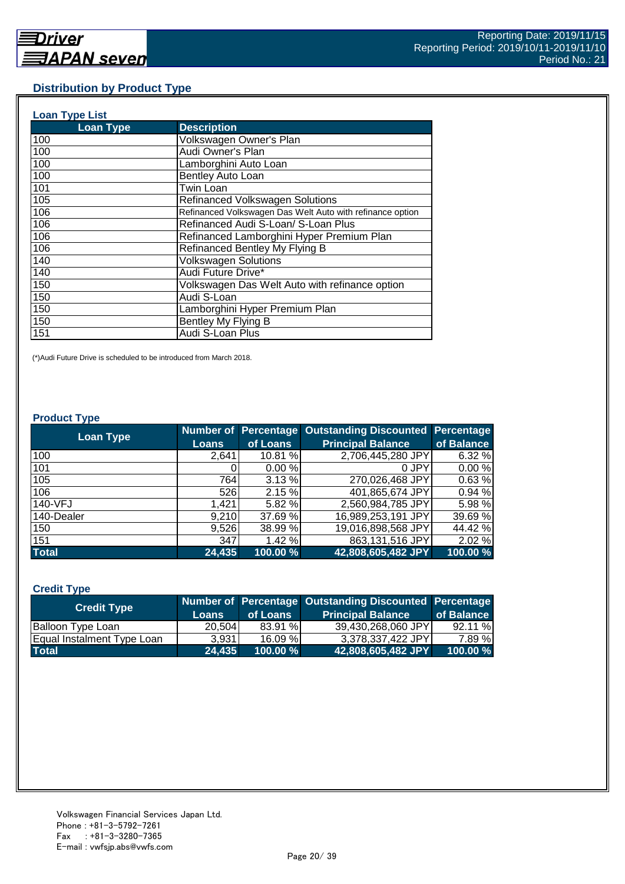#### **Distribution by Product Type**

| <b>Loan Type List</b> |                                                           |
|-----------------------|-----------------------------------------------------------|
| <b>Loan Type</b>      | <b>Description</b>                                        |
| 100                   | Volkswagen Owner's Plan                                   |
| 100                   | Audi Owner's Plan                                         |
| 100                   | Lamborghini Auto Loan                                     |
| 100                   | Bentley Auto Loan                                         |
| 101                   | Twin Loan                                                 |
| 105                   | <b>Refinanced Volkswagen Solutions</b>                    |
| 106                   | Refinanced Volkswagen Das Welt Auto with refinance option |
| 106                   | Refinanced Audi S-Loan/ S-Loan Plus                       |
| 106                   | Refinanced Lamborghini Hyper Premium Plan                 |
| 106                   | Refinanced Bentley My Flying B                            |
| 140                   | <b>Volkswagen Solutions</b>                               |
| 140                   | Audi Future Drive*                                        |
| 150                   | Volkswagen Das Welt Auto with refinance option            |
| 150                   | Audi S-Loan                                               |
| 150                   | Lamborghini Hyper Premium Plan                            |
| 150                   | Bentley My Flying B                                       |
| 151                   | Audi S-Loan Plus                                          |

(\*)Audi Future Drive is scheduled to be introduced from March 2018.

#### **Product Type**

| <b>Loan Type</b> |              |          | <b>Number of Percentage Outstanding Discounted</b> | <b>Percentage</b> |
|------------------|--------------|----------|----------------------------------------------------|-------------------|
|                  | <b>Loans</b> | of Loans | <b>Principal Balance</b>                           | of Balance        |
| 100              | 2.641        | 10.81 %  | 2,706,445,280 JPY                                  | 6.32 %            |
| 101              |              | 0.00%    | 0 JPY                                              | 0.00%             |
| 105              | 764          | 3.13%    | 270,026,468 JPY                                    | 0.63%             |
| 106              | 526          | 2.15%    | 401,865,674 JPY                                    | 0.94 %            |
| 140-VFJ          | 1,421        | 5.82 %   | 2,560,984,785 JPY                                  | 5.98 %            |
| 140-Dealer       | 9,210        | 37.69 %  | 16,989,253,191 JPY                                 | 39.69 %           |
| 150              | 9,526        | 38.99 %  | 19,016,898,568 JPY                                 | 44.42 %           |
| 151              | 347          | 1.42%    | 863,131,516 JPY                                    | 2.02 %            |
| <b>Total</b>     | 24,435       | 100.00 % | 42,808,605,482 JPY                                 | 100.00 %          |

#### **Credit Type**

| <b>Credit Type</b>         |        |             | Number of Percentage Outstanding Discounted Percentage |            |
|----------------------------|--------|-------------|--------------------------------------------------------|------------|
|                            | Loans  | of Loans    | <b>Principal Balance</b>                               | of Balance |
| <b>Balloon Type Loan</b>   | 20,504 | 83.91 %     | 39,430,268,060 JPY                                     | 92.11 %    |
| Equal Instalment Type Loan | 3.931  | 16.09%      | 3.378.337.422 JPYI                                     | 7.89%      |
| <b>Total</b>               | 24,435 | $100.00 \%$ | 42,808,605,482 JPY                                     | 100.00 %   |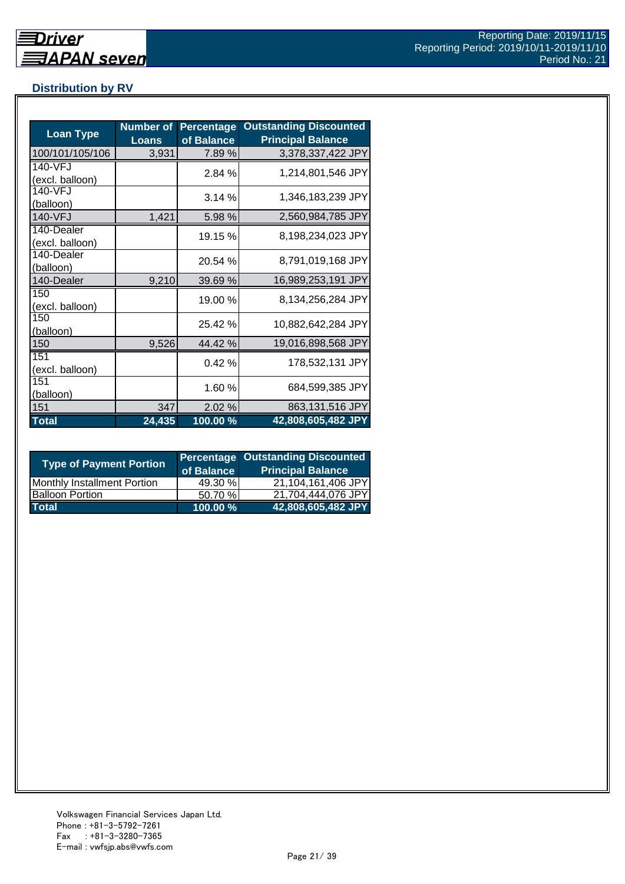## **Distribution by RV**

| <b>Loan Type</b>              | <b>Number of</b><br><b>Loans</b> | <b>Percentage</b><br>of Balance | <b>Outstanding Discounted</b><br><b>Principal Balance</b> |
|-------------------------------|----------------------------------|---------------------------------|-----------------------------------------------------------|
| 100/101/105/106               | 3,931                            | 7.89%                           | 3,378,337,422 JPY                                         |
| 140-VFJ<br>(excl. balloon)    |                                  | 2.84 %                          | 1,214,801,546 JPY                                         |
| 140-VFJ<br>(balloon)          |                                  | 3.14%                           | 1,346,183,239 JPY                                         |
| 140-VFJ                       | 1,421                            | 5.98 %                          | 2,560,984,785 JPY                                         |
| 140-Dealer<br>(excl. balloon) |                                  | 19.15 %                         | 8,198,234,023 JPY                                         |
| 140-Dealer<br>(balloon)       |                                  | 20.54 %                         | 8,791,019,168 JPY                                         |
| 140-Dealer                    | 9,210                            | 39.69 %                         | 16,989,253,191 JPY                                        |
| 150<br>(excl. balloon)        |                                  | 19.00 %                         | 8,134,256,284 JPY                                         |
| 150<br>(balloon)              |                                  | 25.42 %                         | 10,882,642,284 JPY                                        |
| 150                           | 9,526                            | 44.42 %                         | 19,016,898,568 JPY                                        |
| 151<br>(excl. balloon)        |                                  | 0.42%                           | 178,532,131 JPY                                           |
| 151<br>(balloon)              |                                  | 1.60 %                          | 684,599,385 JPY                                           |
| 151                           | 347                              | 2.02 %                          | 863,131,516 JPY                                           |
| <b>Total</b>                  | 24,435                           | 100.00 %                        | 42,808,605,482 JPY                                        |

| <b>Type of Payment Portion</b>     | of Balance | <b>Percentage Outstanding Discounted</b><br><b>Principal Balance</b> |
|------------------------------------|------------|----------------------------------------------------------------------|
| <b>Monthly Installment Portion</b> | 49.30 %    | 21,104,161,406 JPY                                                   |
| <b>Balloon Portion</b>             | 50.70%     | 21,704,444,076 JPY                                                   |
| <b>Total</b>                       | 100.00 %   | 42,808,605,482 JPY                                                   |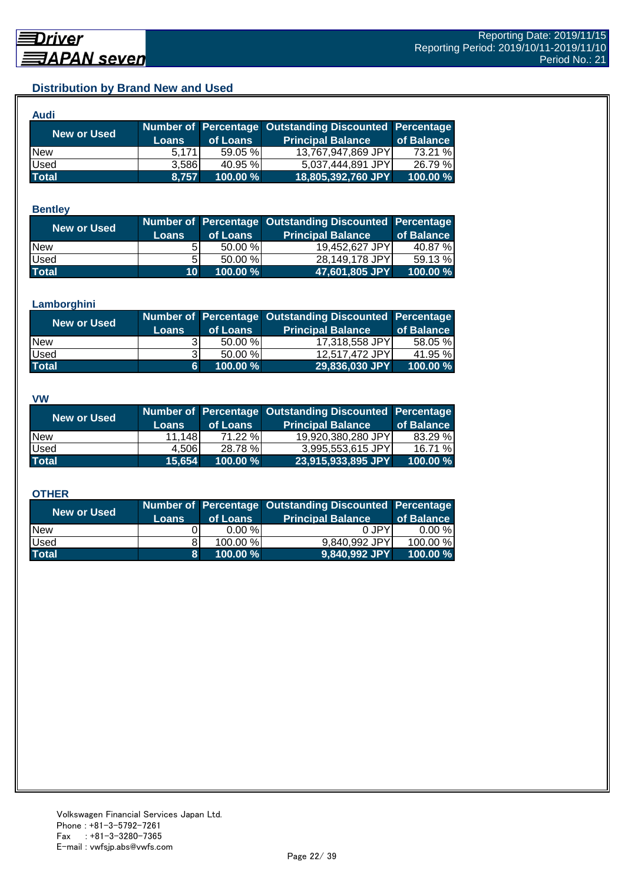## **Distribution by Brand New and Used**

| Audi         |              |          |                                                        |            |
|--------------|--------------|----------|--------------------------------------------------------|------------|
| New or Used  |              |          | Number of Percentage Outstanding Discounted Percentage |            |
|              | <b>Loans</b> | of Loans | <b>Principal Balance</b>                               | of Balance |
| <b>New</b>   | 5.171        | 59.05 %  | 13,767,947,869 JPY                                     | 73.21 %    |
| Used         | 3.586        | 40.95 %  | 5,037,444,891 JPY                                      | 26.79 %    |
| <b>Total</b> | 8,757        | 100.00 % | 18,805,392,760 JPY                                     | 100.00 %   |

#### **Bentley**

| New or Used  | <b>Loans</b>    | of Loans   | Number of Percentage Outstanding Discounted Percentage<br><b>Principal Balance</b> | of Balance |
|--------------|-----------------|------------|------------------------------------------------------------------------------------|------------|
| <b>New</b>   |                 | $50.00\%$  | 19,452,627 JPY                                                                     | 40.87 %    |
| Used         | 51              | $50.00 \%$ | 28,149,178 JPY                                                                     | 59.13 %    |
| <b>Total</b> | 10 <sup>1</sup> | 100.00 %   | 47,601,805 JPY                                                                     | 100.00 %   |

#### **Lamborghini**

| <b>New or Used</b> | <b>Loans</b> | of Loans   | Number of Percentage Outstanding Discounted Percentage<br><b>Principal Balance</b> | of Balance |
|--------------------|--------------|------------|------------------------------------------------------------------------------------|------------|
| <b>New</b>         |              | 50.00 %    | 17,318,558 JPY                                                                     | 58.05 %    |
| <b>Used</b>        |              | $50.00 \%$ | 12,517,472 JPY                                                                     | 41.95 %    |
| <b>Total</b>       | 6.           | 100.00 %   | 29,836,030 JPY                                                                     | 100.00 %   |

#### **VW**

| New or Used  |              |             | Number of Percentage Outstanding Discounted Percentage |            |
|--------------|--------------|-------------|--------------------------------------------------------|------------|
|              | <b>Loans</b> | of Loans    | <b>Principal Balance</b>                               | of Balance |
| <b>New</b>   | 11.148       | 71.22 %     | 19.920.380.280 JPYI                                    | 83.29 %    |
| <b>Used</b>  | 4.506        | 28.78 %     | 3,995,553,615 JPY                                      | 16.71 %    |
| <b>Total</b> | 15.654       | $100.00 \%$ | 23,915,933,895 JPY                                     | 100.00 %   |

#### **OTHER**

| New or Used  | <b>Loans</b> | of Loans  | Number of Percentage Outstanding Discounted Percentage<br><b>Principal Balance</b> | of Balance |
|--------------|--------------|-----------|------------------------------------------------------------------------------------|------------|
| <b>New</b>   |              | $0.00 \%$ | 0 JPY                                                                              | $0.00 \%$  |
| <b>Used</b>  |              | 100.00 %  | 9,840,992 JPY                                                                      | 100.00 %   |
| <b>Total</b> | 8            | 100.00 %  | 9,840,992 JPY                                                                      | 100.00 %   |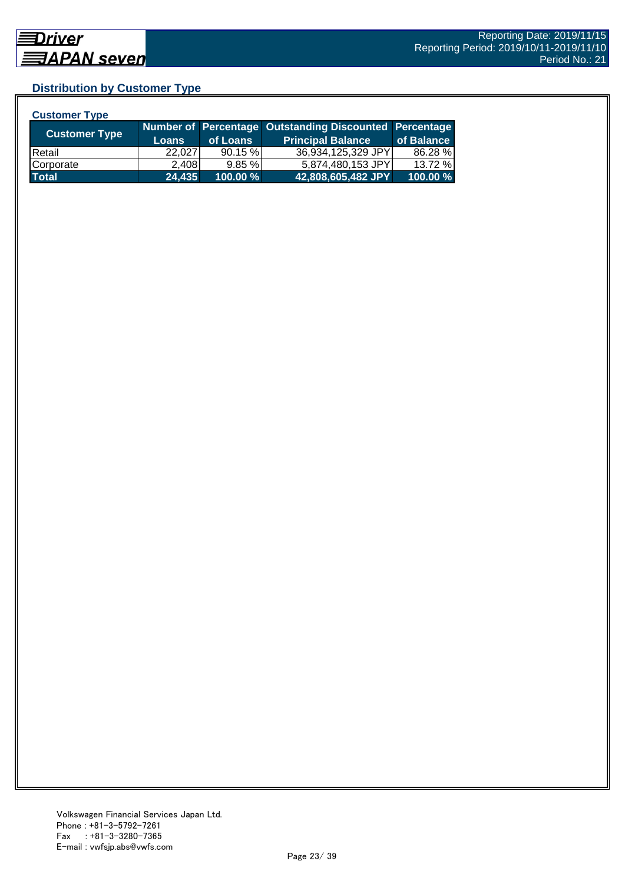## **Distribution by Customer Type**

| <b>Customer Type</b> |              |          |                                                        |            |
|----------------------|--------------|----------|--------------------------------------------------------|------------|
|                      |              |          | Number of Percentage Outstanding Discounted Percentage |            |
| <b>Customer Type</b> | <b>Loans</b> | of Loans | <b>Principal Balance</b>                               | of Balance |
| <b>IRetail</b>       | 22.027       | 90.15%   | 36,934,125,329 JPY                                     | 86.28 %    |
| Corporate            | 2,408        | 9.85%    | 5,874,480,153 JPY                                      | 13.72 %    |
| <b>Total</b>         | 24,435       | 100.00 % | 42,808,605,482 JPY                                     | 100.00 %   |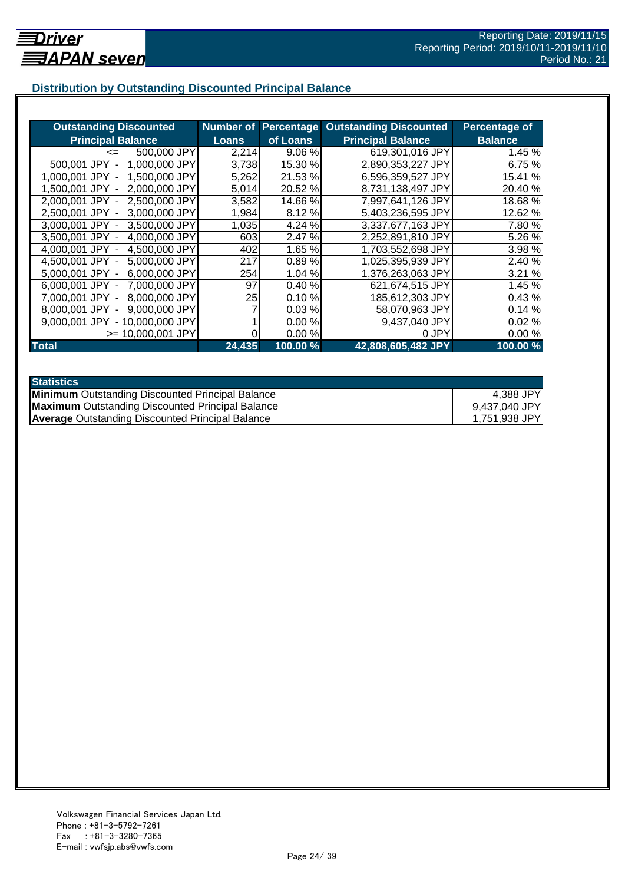## **Distribution by Outstanding Discounted Principal Balance**

| <b>Outstanding Discounted</b>      | <b>Number of</b> |          | <b>Percentage Outstanding Discounted</b> | <b>Percentage of</b> |
|------------------------------------|------------------|----------|------------------------------------------|----------------------|
| <b>Principal Balance</b>           | <b>Loans</b>     | of Loans | <b>Principal Balance</b>                 | <b>Balance</b>       |
| 500,000 JPY<br>$\leq$              | 2,214            | 9.06%    | 619,301,016 JPY                          | 1.45 %               |
| 500,001 JPY<br>1,000,000 JPY       | 3,738            | 15.30 %  | 2,890,353,227 JPY                        | 6.75 %               |
| 1,500,000 JPY<br>1.000.001 JPY     | 5,262            | 21.53 %  | 6,596,359,527 JPY                        | 15.41 %              |
| 2,000,000 JPY<br>1,500,001 JPY -   | 5,014            | 20.52 %  | 8,731,138,497 JPY                        | 20.40 %              |
| 2,500,000 JPY<br>2.000.001 JPY -   | 3,582            | 14.66 %  | 7,997,641,126 JPY                        | 18.68 %              |
| 2,500,001 JPY -<br>3,000,000 JPY   | 1,984            | 8.12%    | 5,403,236,595 JPY                        | 12.62 %              |
| 3,500,000 JPY<br>3,000,001 JPY -   | 1,035            | 4.24 %   | 3,337,677,163 JPY                        | 7.80 %               |
| 4,000,000 JPY<br>3,500,001 JPY -   | 603              | 2.47 %   | 2,252,891,810 JPY                        | 5.26 %               |
| 4,500,000 JPY<br>4,000,001 JPY -   | 402              | 1.65 %   | 1,703,552,698 JPY                        | 3.98 %               |
| 5,000,000 JPY<br>4.500,001 JPY -   | 217              | 0.89%    | 1,025,395,939 JPY                        | 2.40 %               |
| 6,000,000 JPY<br>5.000.001 JPY -   | 254              | 1.04 %   | 1,376,263,063 JPY                        | 3.21 %               |
| 7,000,000 JPY<br>$6.000.001$ JPY - | 97               | 0.40%    | 621,674,515 JPY                          | 1.45 %               |
| 8,000,000 JPY<br>7.000.001 JPY     | 25               | 0.10%    | 185,612,303 JPY                          | 0.43%                |
| 9,000,000 JPY<br>8,000,001 JPY     |                  | 0.03%    | 58,070,963 JPY                           | 0.14%                |
| 9,000,001 JPY<br>- 10,000,000 JPY  |                  | 0.00%    | 9,437,040 JPY                            | 0.02%                |
| $>= 10,000,001$ JPY                |                  | 0.00%    | 0 JPY                                    | 0.00%                |
| <b>Total</b>                       | 24,435           | 100.00 % | 42,808,605,482 JPY                       | 100.00 %             |

| <b>Statistics</b>                                       |               |
|---------------------------------------------------------|---------------|
| <b>Minimum Outstanding Discounted Principal Balance</b> | 4,388 JPY     |
| <b>Maximum</b> Outstanding Discounted Principal Balance | 9,437,040 JPY |
| <b>Average Outstanding Discounted Principal Balance</b> | 1,751,938 JPY |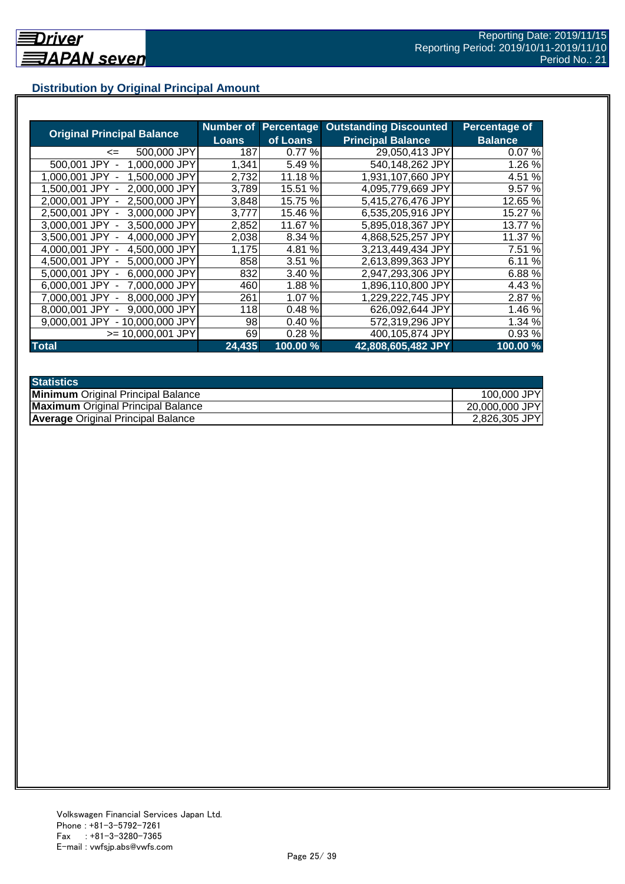## **Distribution by Original Principal Amount**

|                                           | Number of |          | <b>Percentage Outstanding Discounted</b> | <b>Percentage of</b> |
|-------------------------------------------|-----------|----------|------------------------------------------|----------------------|
| <b>Original Principal Balance</b>         | Loans     | of Loans | <b>Principal Balance</b>                 | <b>Balance</b>       |
| 500,000 JPY<br><=                         | 187       | 0.77%    | 29,050,413 JPY                           | 0.07%                |
| 1,000,000 JPY<br>500,001 JPY              | 1,341     | 5.49 %   | 540,148,262 JPY                          | 1.26 %               |
| 1,500,000 JPY<br>1.000.001<br>JPY         | 2,732     | 11.18 %  | 1,931,107,660 JPY                        | 4.51 %               |
| 2.000.000 JPY<br>1.500.001 JPY            | 3,789     | 15.51 %  | 4,095,779,669 JPY                        | 9.57%                |
| 2,500,000 JPY<br>2.000.001 JPY -          | 3,848     | 15.75 %  | 5,415,276,476 JPY                        | 12.65 %              |
| 3,000,000 JPY<br>2.500.001 JPY -          | 3,777     | 15.46 %  | 6,535,205,916 JPY                        | 15.27 %              |
| 3.000.001 JPY -<br>3.500,000 JPY          | 2,852     | 11.67 %  | 5,895,018,367 JPY                        | 13.77 %              |
| 4,000,000 JPY<br>3,500,001 JPY -          | 2,038     | 8.34 %   | 4,868,525,257 JPY                        | 11.37 %              |
| 4,500,000 JPY<br>4.000.001 JPY -          | 1,175     | 4.81 %   | 3,213,449,434 JPY                        | 7.51 %               |
| 4,500,001 JPY -<br>5,000,000 JPY          | 858       | 3.51 %   | 2,613,899,363 JPY                        | 6.11 %               |
| 6,000,000 JPY<br>5.000.001 JPY -          | 832       | 3.40 %   | 2,947,293,306 JPY                        | 6.88%                |
| 7,000,000 JPY<br>6.000.001 JPY -          | 460       | 1.88%    | 1,896,110,800 JPY                        | 4.43 %               |
| 8,000,000 JPY<br>7.000.001 JPY -          | 261       | 1.07 %   | 1,229,222,745 JPY                        | 2.87 %               |
| 9,000,000 JPY<br>8.000.001 JPY            | 118       | 0.48%    | 626,092,644 JPY                          | 1.46 %               |
| 9.000.001 JPY<br>10.000.000 JPY<br>$\sim$ | 98        | 0.40%    | 572,319,296 JPY                          | 1.34 %               |
| >= 10.000.001 JPY                         | 69        | 0.28%    | 400,105,874 JPY                          | 0.93%                |
| <b>Total</b>                              | 24,435    | 100.00 % | 42,808,605,482 JPY                       | 100.00 %             |

| <b>Statistics</b>                         |                |
|-------------------------------------------|----------------|
| <b>Minimum</b> Original Principal Balance | 100,000 JPY    |
| <b>Maximum</b> Original Principal Balance | 20,000,000 JPY |
| <b>Average Original Principal Balance</b> | 2,826,305 JPY  |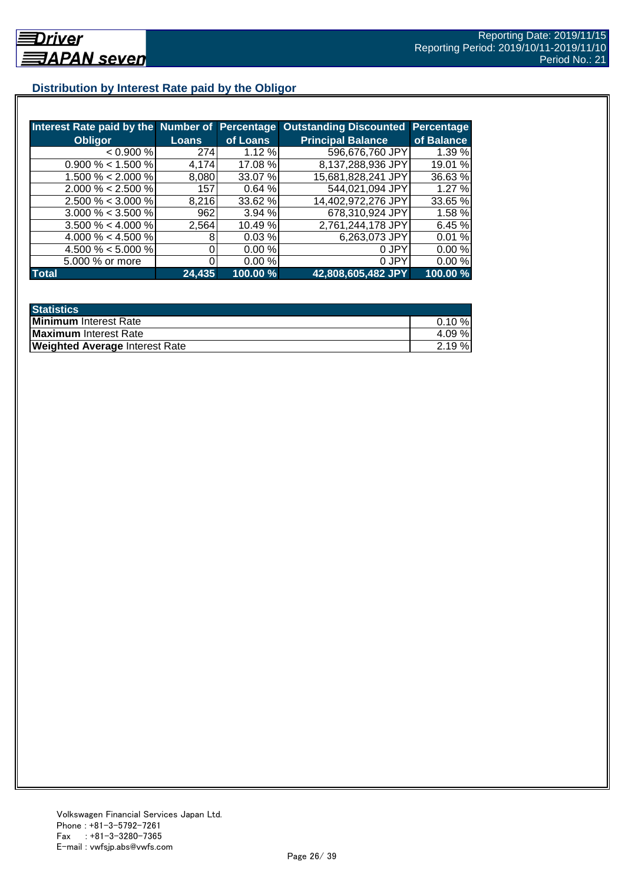## **Distribution by Interest Rate paid by the Obligor**

| Interest Rate paid by the Number of Percentage |              |           | <b>Outstanding Discounted</b> | Percentage |
|------------------------------------------------|--------------|-----------|-------------------------------|------------|
| <b>Obligor</b>                                 | <b>Loans</b> | of Loans  | <b>Principal Balance</b>      | of Balance |
| < 0.900 %                                      | 274          | 1.12%     | 596,676,760 JPY               | 1.39%      |
| $0.900\% < 1.500\%$                            | 4,174        | 17.08 %   | 8,137,288,936 JPY             | 19.01 %    |
| $1.500\% < 2.000\%$                            | 8.080        | 33.07 %   | 15,681,828,241 JPY            | 36.63 %    |
| $2.000\% < 2.500\%$                            | 157          | 0.64%     | 544,021,094 JPY               | 1.27 %     |
| $2.500\% < 3.000\%$                            | 8.216        | 33.62 %   | 14,402,972,276 JPY            | 33.65 %    |
| $3.000\% < 3.500\%$                            | 962          | 3.94%     | 678,310,924 JPY               | 1.58 %     |
| $3.500\% < 4.000\%$                            | 2.564        | 10.49 %   | 2,761,244,178 JPY             | 6.45 %     |
| 4.000 % < 4.500 %                              |              | 0.03%     | 6,263,073 JPY                 | 0.01%      |
| 4.500 % < 5.000 %                              |              | $0.00 \%$ | 0 JPY                         | 0.00%      |
| 5.000 % or more                                |              | 0.00 %    | 0 JPY                         | 0.00%      |
| <b>Total</b>                                   | 24,435       | 100.00 %  | 42,808,605,482 JPY            | 100.00 %   |

| <b>Statistics</b>                     |           |
|---------------------------------------|-----------|
| <b>Minimum</b> Interest Rate          | $0.10 \%$ |
| Maximum Interest Rate                 | 4.09 %    |
| <b>Weighted Average Interest Rate</b> | 2.19%     |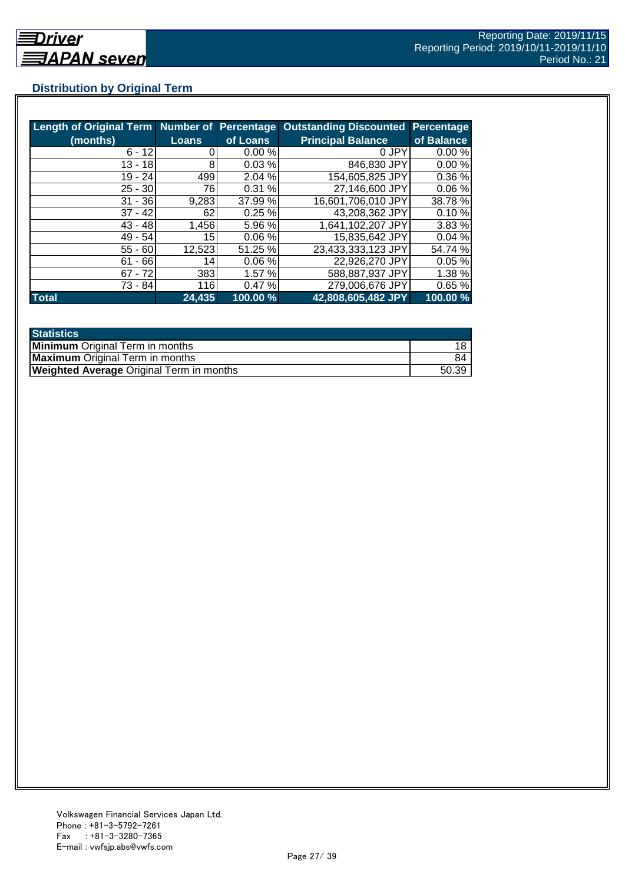## **Distribution by Original Term**

| Length of Original Term Number of Percentage |              |          | <b>Outstanding Discounted</b> | <b>Percentage</b> |
|----------------------------------------------|--------------|----------|-------------------------------|-------------------|
| (months)                                     | <b>Loans</b> | of Loans | <b>Principal Balance</b>      | of Balance        |
| $6 - 12$                                     |              | 0.00%    | 0 JPY                         | 0.00%             |
| $13 - 18$                                    | 8            | 0.03%    | 846,830 JPY                   | 0.00%             |
| 19 - 24                                      | 499          | 2.04%    | 154,605,825 JPY               | 0.36%             |
| $25 - 30$                                    | 76           | 0.31%    | 27,146,600 JPY                | 0.06%             |
| $31 - 36$                                    | 9,283        | 37.99 %  | 16,601,706,010 JPY            | 38.78 %           |
| $37 - 42$                                    | 62           | 0.25%    | 43,208,362 JPY                | 0.10%             |
| $43 - 48$                                    | 1,456        | 5.96 %   | 1,641,102,207 JPY             | 3.83%             |
| $49 - 54$                                    | 15           | 0.06%    | 15,835,642 JPY                | 0.04%             |
| $55 - 60$                                    | 12,523       | 51.25 %  | 23,433,333,123 JPY            | 54.74 %           |
| $61 - 66$                                    | 14           | 0.06%    | 22,926,270 JPY                | 0.05%             |
| $67 - 72$                                    | 383          | 1.57 %   | 588,887,937 JPY               | 1.38 %            |
| 73 - 84                                      | 116          | 0.47%    | 279,006,676 JPY               | 0.65%             |
| <b>Total</b>                                 | 24,435       | 100.00 % | 42,808,605,482 JPY            | 100.00 %          |

| <b>Statistics</b>                               |       |
|-------------------------------------------------|-------|
| <b>Minimum</b> Original Term in months          |       |
| <b>Maximum</b> Original Term in months          | 84    |
| <b>Weighted Average Original Term in months</b> | 50.39 |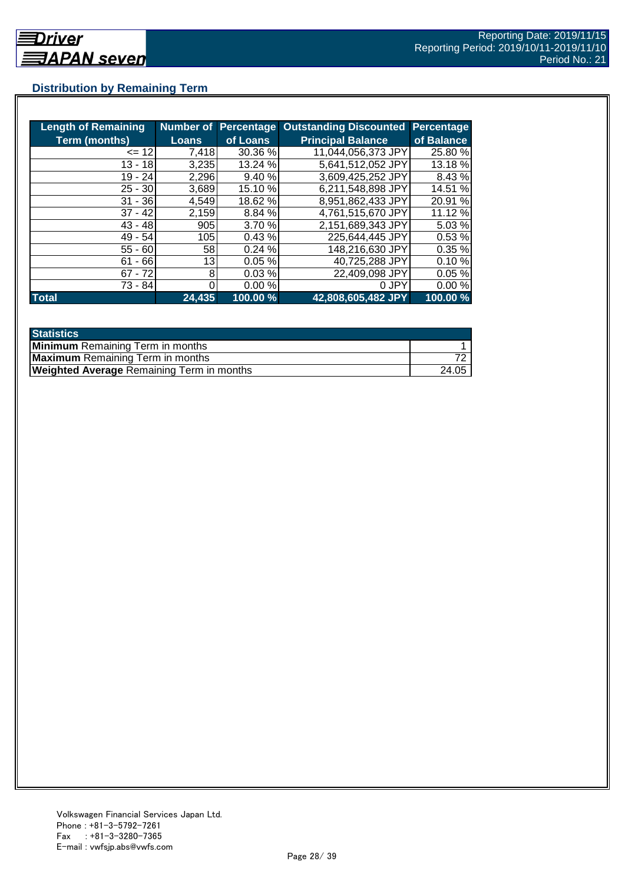## **Distribution by Remaining Term**

| <b>Length of Remaining</b> |              |          | Number of Percentage Outstanding Discounted | <b>Percentage</b> |
|----------------------------|--------------|----------|---------------------------------------------|-------------------|
| <b>Term (months)</b>       | <b>Loans</b> | of Loans | <b>Principal Balance</b>                    | of Balance        |
| $= 12$                     | 7,418        | 30.36 %  | 11,044,056,373 JPY                          | 25.80 %           |
| $13 - 18$                  | 3,235        | 13.24 %  | 5,641,512,052 JPY                           | 13.18 %           |
| $19 - 24$                  | 2,296        | 9.40%    | 3,609,425,252 JPY                           | 8.43 %            |
| $25 - 30$                  | 3,689        | 15.10 %  | 6,211,548,898 JPY                           | 14.51 %           |
| $31 - 36$                  | 4,549        | 18.62 %  | 8,951,862,433 JPY                           | 20.91 %           |
| $37 - 42$                  | 2,159        | 8.84 %   | 4,761,515,670 JPY                           | 11.12 %           |
| $43 - 48$                  | 905          | 3.70 %   | 2,151,689,343 JPY                           | 5.03 %            |
| $49 - 54$                  | 105          | 0.43%    | 225,644,445 JPY                             | 0.53%             |
| $55 - 60$                  | 58           | 0.24%    | 148,216,630 JPY                             | 0.35%             |
| $61 - 66$                  | 13           | 0.05%    | 40,725,288 JPY                              | 0.10%             |
| $67 - 72$                  | 8            | 0.03%    | 22,409,098 JPY                              | 0.05%             |
| 73 - 84                    |              | 0.00%    | 0 JPY                                       | 0.00%             |
| <b>Total</b>               | 24,435       | 100.00 % | 42,808,605,482 JPY                          | 100.00 %          |

| <b>Statistics</b>                                |       |
|--------------------------------------------------|-------|
| <b>Minimum</b> Remaining Term in months          |       |
| <b>Maximum</b> Remaining Term in months          |       |
| <b>Weighted Average Remaining Term in months</b> | 24.05 |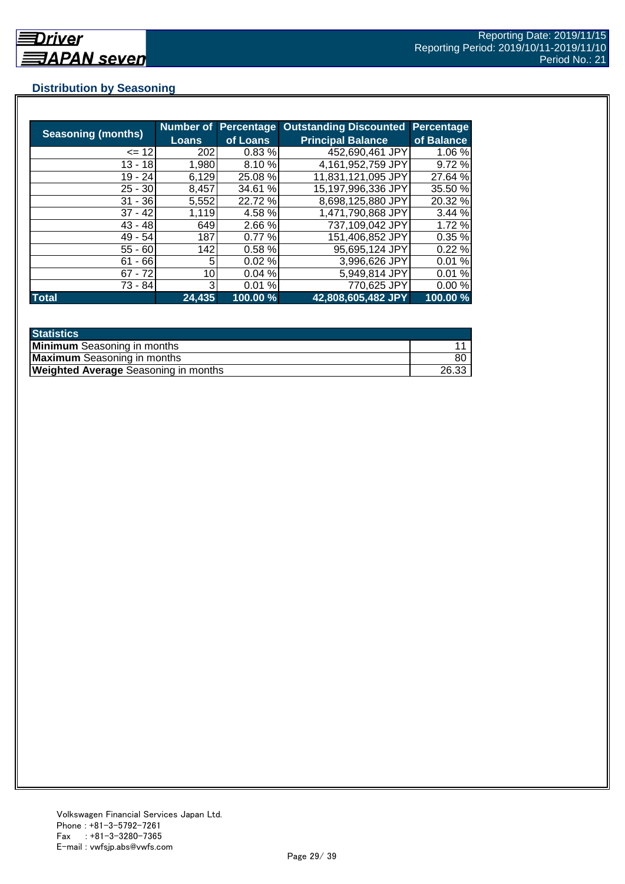## **Distribution by Seasoning**

| <b>Seasoning (months)</b> |              | <b>Number of Percentage</b> | <b>Outstanding Discounted</b> | <b>Percentage</b> |
|---------------------------|--------------|-----------------------------|-------------------------------|-------------------|
|                           | <b>Loans</b> | of Loans                    | <b>Principal Balance</b>      | of Balance        |
| $= 12$                    | 202          | 0.83%                       | 452,690,461 JPY               | 1.06 %            |
| $13 - 18$                 | 1,980        | 8.10 %                      | 4,161,952,759 JPY             | 9.72%             |
| $19 - 24$                 | 6,129        | 25.08 %                     | 11,831,121,095 JPY            | 27.64 %           |
| $25 - 30$                 | 8,457        | 34.61 %                     | 15,197,996,336 JPY            | 35.50 %           |
| $31 - 36$                 | 5,552        | 22.72 %                     | 8,698,125,880 JPY             | 20.32 %           |
| $37 - 42$                 | 1,119        | 4.58 %                      | 1,471,790,868 JPY             | 3.44%             |
| $43 - 48$                 | 649          | 2.66 %                      | 737,109,042 JPY               | 1.72 %            |
| $49 - 54$                 | 187          | 0.77%                       | 151,406,852 JPY               | 0.35%             |
| $55 - 60$                 | 142          | 0.58 %                      | 95.695,124 JPY                | 0.22%             |
| $61 - 66$                 | 5            | 0.02%                       | 3,996,626 JPY                 | 0.01%             |
| $67 - 72$                 | 10           | 0.04%                       | 5,949,814 JPY                 | 0.01%             |
| 73 - 84                   | 3            | 0.01%                       | 770,625 JPY                   | 0.00%             |
| <b>Total</b>              | 24,435       | 100.00 %                    | 42,808,605,482 JPY            | 100.00 %          |

| <b>Statistics</b>                           |       |
|---------------------------------------------|-------|
| <b>Minimum</b> Seasoning in months          |       |
| <b>Maximum</b> Seasoning in months          | 80    |
| <b>Weighted Average Seasoning in months</b> | 26.33 |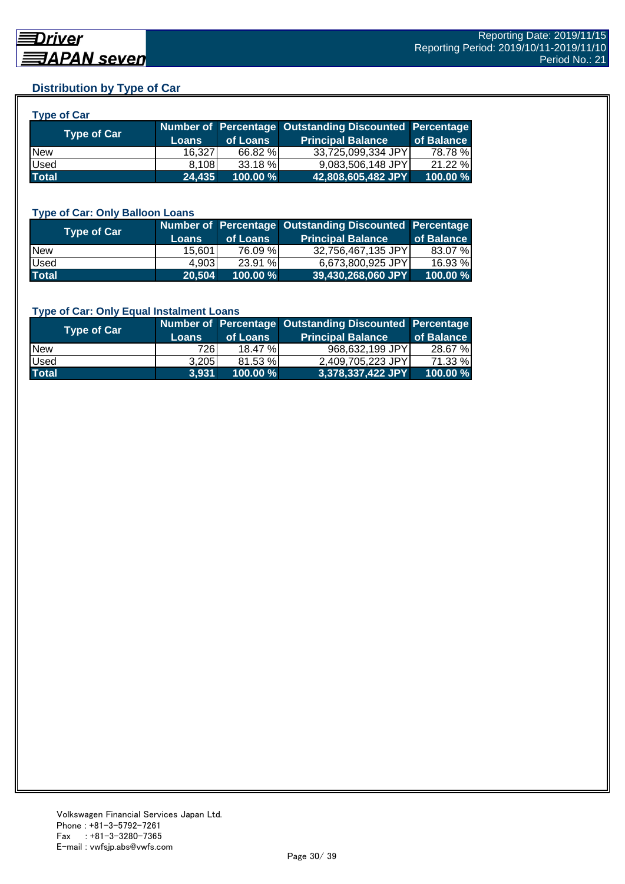## **Distribution by Type of Car**

| <b>Type of Car</b> |        |          |                                                        |            |
|--------------------|--------|----------|--------------------------------------------------------|------------|
| <b>Type of Car</b> |        |          | Number of Percentage Outstanding Discounted Percentage |            |
|                    | Loans  | of Loans | <b>Principal Balance</b>                               | of Balance |
| <b>New</b>         | 16,327 | 66.82 %  | 33,725,099,334 JPY                                     | 78.78%     |
| Used               | 8.108  | 33.18 %  | 9,083,506,148 JPY                                      | 21.22 %    |
| <b>Total</b>       | 24,435 | 100.00 % | 42,808,605,482 JPY                                     | 100.00 %   |

#### **Type of Car: Only Balloon Loans**

| Type of Car  | <b>Loans</b> | of Loans    | Number of Percentage Outstanding Discounted Percentage<br><b>Principal Balance</b> | of Balance |
|--------------|--------------|-------------|------------------------------------------------------------------------------------|------------|
| <b>New</b>   | 15.601       | 76.09 %     | 32.756.467.135 JPYI                                                                | 83.07 %    |
| Used         | 4.9031       | 23.91%      | 6.673.800.925 JPYI                                                                 | 16.93 %    |
| <b>Total</b> | 20,504       | $100.00 \%$ | 39,430,268,060 JPY                                                                 | 100.00%    |

#### **Type of Car: Only Equal Instalment Loans**

| <b>Type of Car</b> |              |             | Number of Percentage Outstanding Discounted Percentage |            |
|--------------------|--------------|-------------|--------------------------------------------------------|------------|
|                    | <b>Loans</b> | of Loans    | <b>Principal Balance</b>                               | of Balance |
| <b>New</b>         | 726I         | 18.47%      | 968,632,199 JPY                                        | 28.67 %I   |
| Used               | 3.205        | 81.53 %     | 2.409.705.223 JPY                                      | 71.33 %    |
| <b>Total</b>       | 3.931        | $100.00 \%$ | 3,378,337,422 JPY                                      | 100.00 %   |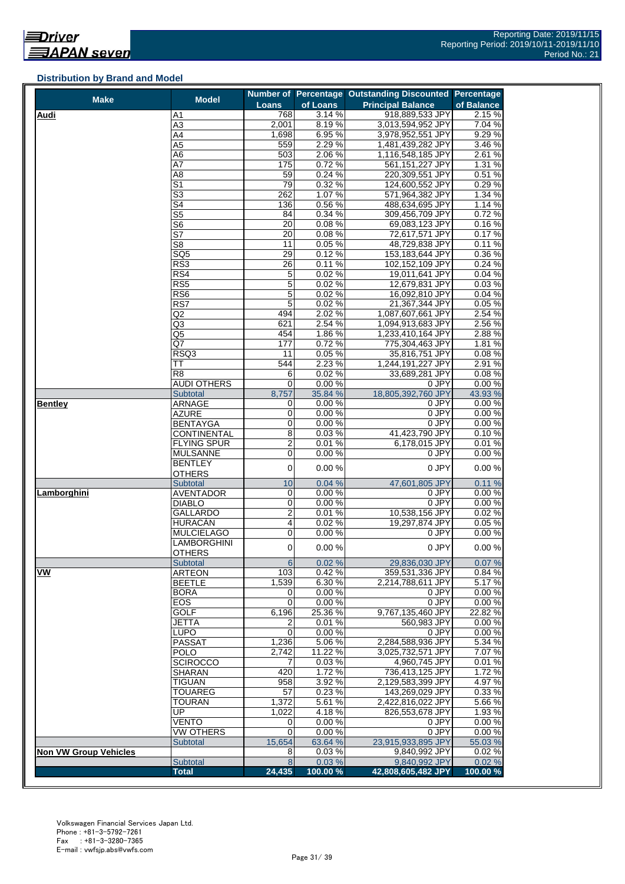#### **Distribution by Brand and Model**

| <b>Make</b>                  | <b>Model</b>                     |                         |                  | Number of Percentage Outstanding Discounted Percentage |                     |
|------------------------------|----------------------------------|-------------------------|------------------|--------------------------------------------------------|---------------------|
|                              |                                  | <b>Loans</b>            | of Loans         | <b>Principal Balance</b>                               | of Balance          |
| <b>Audi</b>                  | A1                               | 768                     | 3.14%            | 918,889,533 JPY                                        | 2.15%               |
|                              | $\overline{A3}$                  | 2,001                   | 8.19%            | 3,013,594,952 JPY                                      | 7.04%               |
|                              | A4                               | 1,698                   | 6.95%            | 3,978,952,551 JPY                                      | 9.29%               |
|                              | A5                               | 559                     | 2.29%            | 1,481,439,282 JPY                                      | 3.46 %              |
|                              | A6<br>A7                         | 503<br>175              | 2.06%            | 1,116,548,185 JPY                                      | 2.61%<br>1.31 %     |
|                              | A <sub>8</sub>                   | 59                      | 0.72%<br>0.24%   | 561,151,227 JPY<br>220,309,551 JPY                     | 0.51%               |
|                              | $\overline{\mathsf{S}1}$         | 79                      | 0.32%            | 124,600,552 JPY                                        | 0.29%               |
|                              | $\overline{\mathbb{S}^3}$        | 262                     | 1.07%            | 571,964,382 JPY                                        | 1.34 %              |
|                              | S4                               | 136                     | 0.56%            | 488,634,695 JPY                                        | 1.14 %              |
|                              | $\overline{\text{S5}}$           | 84                      | 0.34%            | 309,456,709 JPY                                        | 0.72%               |
|                              | S <sub>6</sub>                   | 20                      | 0.08%            | 69,083,123 JPY                                         | 0.16%               |
|                              | $\overline{\mathsf{S}7}$         | 20                      | 0.08%            | 72,617,571 JPY                                         | 0.17%               |
|                              | S <sub>8</sub>                   | 11                      | 0.05%            | 48,729,838 JPY                                         | 0.11%               |
|                              | SQ <sub>5</sub>                  | $\overline{29}$         | 0.12%            | 153,183,644 JPY                                        | 0.36%               |
|                              | RS3                              | 26                      | 0.11%            | 102,152,109 JPY                                        | 0.24%               |
|                              | RS4                              | $\mathbf 5$             | 0.02%            | 19,011,641 JPY                                         | 0.04%               |
|                              | RS <sub>5</sub>                  | 5                       | 0.02%            | 12,679,831 JPY                                         | 0.03%               |
|                              | RS6                              | 5                       | 0.02%            | 16,092,810 JPY                                         | 0.04%               |
|                              | RS7                              | 5                       | 0.02%            | 21,367,344 JPY                                         | 0.05%               |
|                              | Q2                               | 494                     | 2.02%            | 1,087,607,661 JPY                                      | 2.54 %              |
|                              | Q3                               | 621                     | 2.54%            | 1,094,913,683 JPY                                      | 2.56 %              |
|                              | Q5                               | 454                     | 1.86%            | 1,233,410,164 JPY                                      | 2.88%               |
|                              | Q7                               | 177                     | 0.72%            | 775,304,463 JPY                                        | 1.81 %              |
|                              | RSQ3                             | 11                      | 0.05%            | 35,816,751 JPY                                         | 0.08%               |
|                              | TT                               | 544                     | 2.23%            | 1,244,191,227 JPY                                      | 2.91 %              |
|                              | $\overline{R8}$                  | 6                       | 0.02%            | 33,689,281 JPY                                         | 0.08%               |
|                              | AUDI OTHERS                      | 0                       | 0.00%<br>35.84 % | 0 JPY<br>18,805,392,760 JPY                            | 0.00%               |
| <b>Bentley</b>               | <b>Subtotal</b><br><b>ARNAGE</b> | 8,757<br>0              | 0.00%            | 0 JPY                                                  | 43.93 %<br>0.00%    |
|                              | <b>AZURE</b>                     | 0                       | 0.00%            | 0 JPY                                                  | 0.00%               |
|                              | <b>BENTAYGA</b>                  | 0                       | 0.00%            | 0 JPY                                                  | 0.00%               |
|                              | <b>CONTINENTAL</b>               | 8                       | 0.03%            | 41,423,790 JPY                                         | 0.10%               |
|                              | <b>FLYING SPUR</b>               | $\overline{2}$          | 0.01%            | 6,178,015 JPY                                          | 0.01%               |
|                              | <b>MULSANNE</b>                  | 0                       | 0.00%            | 0 JPY                                                  | 0.00%               |
|                              | BENTLEY                          |                         |                  |                                                        |                     |
|                              | <b>OTHERS</b>                    | $\mathbf 0$             | 0.00%            | 0 JPY                                                  | 0.00%               |
|                              | <b>Subtotal</b>                  | 10                      | 0.04%            | 47,601,805 JPY                                         | 0.11%               |
| Lamborghini                  | <b>AVENTADOR</b>                 | 0                       | 0.00%            | 0 JPY                                                  | 0.00%               |
|                              | <b>DIABLO</b>                    | 0                       | 0.00%            | 0 JPY                                                  | 0.00%               |
|                              | GALLARDO                         | $\overline{\mathbf{c}}$ | 0.01%            | 10,538,156 JPY                                         | 0.02%               |
|                              | HURACÁN                          | 4                       | 0.02%            | 19,297,874 JPY                                         | 0.05%               |
|                              | <b>MULCIELAGO</b>                | $\mathbf 0$             | 0.00%            | 0 JPY                                                  | 0.00%               |
|                              | <b>LAMBORGHINI</b>               | $\mathbf 0$             | 0.00%            | 0 JPY                                                  | 0.00%               |
|                              | <b>OTHERS</b>                    |                         |                  |                                                        |                     |
| VW                           | <b>Subtotal</b><br><b>ARTEON</b> | 6<br>103                | 0.02%<br>0.42%   | 29,836,030 JPY                                         | 0.07%<br>0.84%      |
|                              |                                  | 1,539                   | 6.30%            | 359,531,336 JPY<br>2,214,788,611 JPY                   | 5.17%               |
|                              | <b>BEETLE</b><br><b>BORA</b>     | 0                       | 0.00%            | 0 JPY                                                  | 0.00%               |
|                              | EOS                              | $\mathbf 0$             | 0.00%            | 0 JPY                                                  | 0.00%               |
|                              | <b>GOLF</b>                      | 6,196                   | 25.36%           | 9,767,135,460 JPY                                      | 22.82 %             |
|                              | <b>JETTA</b>                     | 2                       | 0.01%            | 560,983 JPY                                            | 0.00%               |
|                              | <b>LUPO</b>                      | $\mathbf 0$             | 0.00%            | 0 JPY                                                  | 0.00%               |
|                              | <b>PASSAT</b>                    | 1,236                   | 5.06%            | 2,284,588,936 JPY                                      | $\overline{5.34}$ % |
|                              | <b>POLO</b>                      | 2,742                   | 11.22 %          | 3,025,732,571 JPY                                      | 7.07%               |
|                              | <b>SCIROCCO</b>                  | 7                       | 0.03%            | 4,960,745 JPY                                          | 0.01%               |
|                              | SHARAN                           | 420                     | 1.72%            | 736.413.125 JPY                                        | 1.72%               |
|                              | <b>TIGUAN</b>                    | 958                     | 3.92%            | 2,129,583,399 JPY                                      | 4.97%               |
|                              | <b>TOUAREG</b>                   | 57                      | 0.23%            | 143,269,029 JPY                                        | 0.33 %              |
|                              | <b>TOURAN</b>                    | 1,372                   | 5.61 %           | 2,422,816,022 JPY                                      | 5.66 %              |
|                              | UP                               | 1,022                   | 4.18%            | 826,553,678 JPY                                        | 1.93%               |
|                              | <b>VENTO</b>                     | 0                       | 0.00%            | 0 JPY                                                  | 0.00%               |
|                              | <b>VW OTHERS</b>                 | 0                       | 0.00%            | 0 JPY                                                  | 0.00%               |
|                              | Subtotal                         | 15,654                  | 63.64 %          | 23,915,933,895 JPY                                     | 55.03 %             |
| <b>Non VW Group Vehicles</b> |                                  | 8                       | 0.03%            | 9,840,992 JPY                                          | 0.02%               |
|                              | Subtotal                         | $\infty$                | 0.03%            | 9,840,992 JPY                                          | 0.02%               |
|                              | <b>Total</b>                     | 24,435                  | 100.00%          | 42,808,605,482 JPY                                     | 100.00 %            |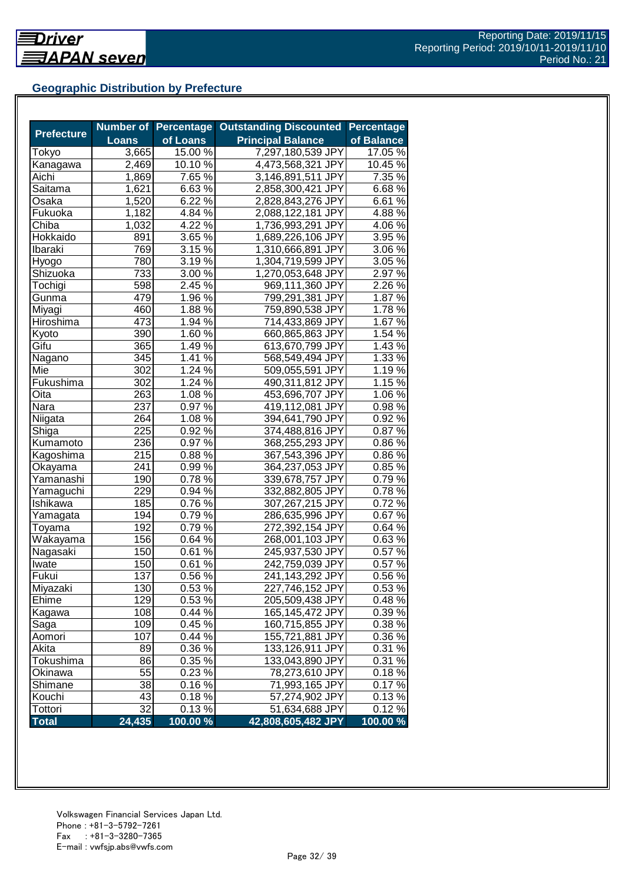## **Geographic Distribution by Prefecture**

|                   |              | <b>Number of Percentage</b> | <b>Outstanding Discounted</b> | <b>Percentage</b> |
|-------------------|--------------|-----------------------------|-------------------------------|-------------------|
| <b>Prefecture</b> | <b>Loans</b> | of Loans                    | <b>Principal Balance</b>      | of Balance        |
| Tokyo             | 3,665        | 15.00 %                     | 7,297,180,539 JPY             | 17.05 %           |
| Kanagawa          | 2,469        | 10.10 %                     | 4,473,568,321 JPY             | 10.45 %           |
| Aichi             | 1,869        | 7.65 %                      | 3,146,891,511 JPY             | 7.35 %            |
| Saitama           | 1,621        | 6.63%                       | 2,858,300,421 JPY             | 6.68%             |
| Osaka             | 1,520        | 6.22 %                      | 2,828,843,276 JPY             | 6.61%             |
| Fukuoka           | 1,182        | $4.84\%$                    | 2,088,122,181 JPY             | 4.88%             |
| Chiba             | 1,032        | $4.22\sqrt{6}$              | 1,736,993,291 JPY             | 4.06%             |
| Hokkaido          | 891          | $3.65\%$                    | 1,689,226,106 JPY             | 3.95 %            |
| Ibaraki           | 769          | 3.15 %                      | 1,310,666,891 JPY             | 3.06 %            |
| Hyogo             | 780          | 3.19 $\sqrt{8}$             | 1,304,719,599 JPY             | 3.05 %            |
| Shizuoka          | 733          | 3.00 %                      | 1,270,053,648 JPY             | 2.97 %            |
| Tochigi           | 598          | 2.45 %                      | 969,111,360 JPY               | 2.26 %            |
| Gunma             | 479          | 1.96 %                      | 799,291,381 JPY               | 1.87%             |
| Miyagi            | 460          | 1.88%                       | 759,890,538 JPY               | 1.78%             |
| Hiroshima         | 473          | 1.94 %                      | 714,433,869 JPY               | 1.67%             |
| Kyoto             | 390          | 1.60 %                      | 660,865,863 JPY               | 1.54 %            |
| Gifu              | 365          | 1.49 %                      | 613,670,799 JPY               | 1.43 %            |
| Nagano            | 345          | 1.41 $\sqrt{2}$             | 568,549,494 JPY               | 1.33 %            |
| Mie               | 302          | $1.24\%$                    | 509,055,591 JPY               | 1.19%             |
| Fukushima         | 302          | $1.24\%$                    | 490,311,812 JPY               | 1.15 %            |
| Oita              | 263          | $1.08\%$                    | 453,696,707 JPY               | $1.06\%$          |
| Nara              | 237          | $0.97\%$                    | 419,112,081 JPY               | 0.98%             |
| Niigata           | 264          | 1.08%                       | 394,641,790 JPY               | 0.92%             |
| Shiga             | 225          | 0.92%                       | 374,488,816 JPY               | 0.87%             |
| Kumamoto          | 236          | $0.97\%$                    | 368,255,293 JPY               | 0.86%             |
| Kagoshima         | 215          | 0.88%                       | 367,543,396 JPY               | 0.86%             |
| Okayama           | 241          | 0.99%                       | 364,237,053 JPY               | 0.85%             |
| Yamanashi         | 190          | 0.78%                       | 339,678,757 JPY               | 0.79%             |
| Yamaguchi         | 229          | 0.94 %                      | 332,882,805 JPY               | 0.78%             |
| Ishikawa          | 185          | 0.76%                       | 307,267,215 JPY               | 0.72%             |
| Yamagata          | 194          | 0.79%                       | 286,635,996 JPY               | 0.67%             |
| Toyama            | 192          | $0.79\sqrt{26}$             | 272,392,154 JPY               | 0.64 %            |
| Wakayama          | 156          | $0.64\sqrt{2}$              | 268,001,103 JPY               | 0.63%             |
| Nagasaki          | 150          | $0.61\%$                    | 245,937,530 JPY               | 0.57%             |
| Iwate             | 150          | 0.61%                       | 242,759,039 JPY               | 0.57%             |
| Fukui             | 137          | 0.56 %                      | 241,143,292 JPY               | 0.56%             |
| Miyazaki          | 130          | 0.53%                       | 227,746,152 JPY               | 0.53%             |
| Ehime             | 129          | 0.53 %                      | 205,509,438 JPY               | 0.48%             |
| Kagawa            | 108          | 0.44%                       | 165,145,472 JPY               | 0.39%             |
| Saga              | 109          | 0.45%                       | 160,715,855 JPY               | 0.38 %            |
| Aomori            | 107          | 0.44%                       | 155,721,881 JPY               | 0.36 %            |
| Akita             | 89           | 0.36 %                      | 133,126,911 JPY               | 0.31%             |
| Tokushima         | 86           | 0.35 %                      | 133,043,890 JPY               | 0.31%             |
| Okinawa           | 55           | $0.23\sqrt{2}$              | 78,273,610 JPY                | 0.18%             |
| Shimane           | 38           | $0.16\,\sqrt{2}$            | 71,993,165 JPY                | 0.17%             |
| Kouchi            | 43           | 0.18%                       | 57,274,902 JPY                | 0.13%             |
| Tottori           | 32           | 0.13%                       | 51,634,688 JPY                | 0.12%             |
| <b>Total</b>      | 24,435       | $100.00\%$                  | 42,808,605,482 JPY            | 100.00 %          |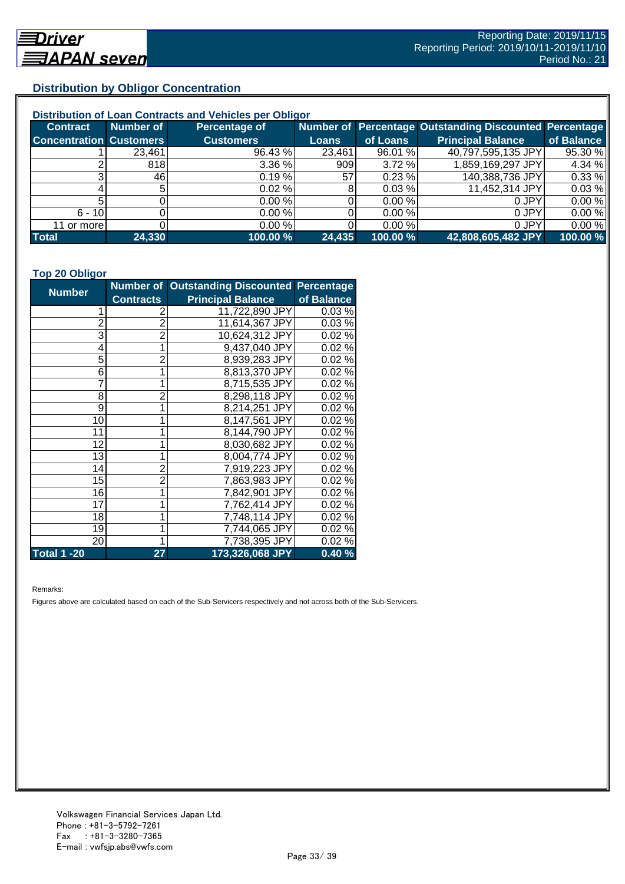## **Distribution by Obligor Concentration**

| Distribution of Loan Contracts and Vehicles per Obligor |           |                  |        |          |                                                        |            |  |
|---------------------------------------------------------|-----------|------------------|--------|----------|--------------------------------------------------------|------------|--|
| <b>Contract</b>                                         | Number of | Percentage of    |        |          | Number of Percentage Outstanding Discounted Percentage |            |  |
| <b>Concentration Customers</b>                          |           | <b>Customers</b> | Loans  | of Loans | <b>Principal Balance</b>                               | of Balance |  |
|                                                         | 23,461    | 96.43 %          | 23,461 | 96.01 %  | 40,797,595,135 JPY                                     | 95.30 %    |  |
|                                                         | 818       | 3.36%            | 909    | 3.72%    | 1,859,169,297 JPY                                      | 4.34 %     |  |
| ົ                                                       | 46        | 0.19%            | 57     | 0.23%    | 140,388,736 JPY                                        | 0.33 %     |  |
|                                                         |           | $0.02 \%$        |        | 0.03%    | 11,452,314 JPY                                         | 0.03%      |  |
|                                                         |           | 0.00%            |        | 0.00 %   | 0 JPY                                                  | 0.00%      |  |
| $6 - 10$                                                |           | 0.00%            |        | 0.00 %   | 0 JPY                                                  | 0.00%      |  |
| 11 or more                                              |           | 0.00%            |        | 0.00 %   | 0 JPY                                                  | 0.00%      |  |
| <b>Total</b>                                            | 24,330    | 100.00 %         | 24,435 | 100.00 % | 42,808,605,482 JPY                                     | 100.00 %   |  |

#### **Top 20 Obligor**

| <b>Number</b>      |                  | <b>Number of Outstanding Discounted Percentage</b> |            |
|--------------------|------------------|----------------------------------------------------|------------|
|                    | <b>Contracts</b> | <b>Principal Balance</b>                           | of Balance |
| 1                  | 2                | 11,722,890 JPY                                     | 0.03%      |
| $\overline{c}$     | $\overline{2}$   | 11,614,367 JPY                                     | 0.03%      |
| 3                  | $\overline{2}$   | 10,624,312 JPY                                     | 0.02%      |
| 4                  | 1                | 9,437,040 JPY                                      | 0.02%      |
| 5                  | $\overline{2}$   | 8,939,283 JPY                                      | 0.02%      |
| 6                  | 1                | 8,813,370 JPY                                      | 0.02%      |
| $\overline{7}$     | 1                | 8,715,535 JPY                                      | 0.02%      |
| 8                  | $\overline{2}$   | 8,298,118 JPY                                      | 0.02%      |
| 9                  | 1                | 8,214,251 JPY                                      | 0.02%      |
| 10                 | 1                | 8,147,561 JPY                                      | 0.02%      |
| 11                 | 1                | 8,144,790 JPY                                      | 0.02%      |
| 12                 | 1                | 8,030,682 JPY                                      | 0.02%      |
| 13                 | 1                | 8,004,774 JPY                                      | 0.02%      |
| 14                 | $\overline{2}$   | 7,919,223 JPY                                      | 0.02%      |
| 15                 | $\overline{2}$   | 7,863,983 JPY                                      | 0.02%      |
| 16                 | 1                | 7,842,901 JPY                                      | 0.02%      |
| 17                 | 1                | 7,762,414 JPY                                      | 0.02%      |
| 18                 | 1                | 7,748,114 JPY                                      | 0.02%      |
| 19                 | 1                | 7,744,065 JPY                                      | 0.02%      |
| 20                 | 1                | 7,738,395 JPY                                      | 0.02%      |
| <b>Total 1 -20</b> | 27               | 173,326,068 JPY                                    | 0.40%      |

Remarks:

Figures above are calculated based on each of the Sub-Servicers respectively and not across both of the Sub-Servicers.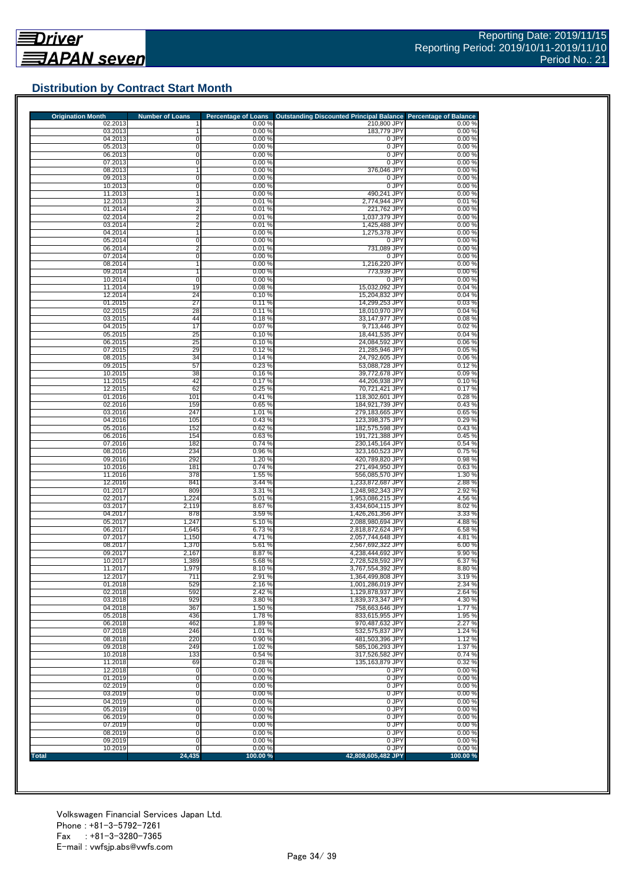## **Distribution by Contract Start Month**

| <b>Origination Month</b> | <b>Number of Loans</b> | <b>Percentage of Loans</b> | Outstanding Discounted Principal Balance Percentage of Balance |                 |
|--------------------------|------------------------|----------------------------|----------------------------------------------------------------|-----------------|
| 02.2013<br>03.2013       |                        | 0.00%<br>0.00%             | 210,800 JPY<br>183,779 JPY                                     | 0.00%<br>0.00%  |
| 04.2013                  | 0                      | 0.00%                      | 0 JPY                                                          | 0.00%           |
| 05.2013                  | 0                      | 0.00%                      | 0 JPY                                                          | 0.00%           |
| 06.2013                  | 0                      | 0.00%                      | 0 JPY                                                          | 0.00%           |
| 07.2013                  | 0                      | 0.00%                      | 0 JPY                                                          | 0.00%           |
| 08.2013                  |                        | 0.00%                      | 376,046 JPY                                                    | 0.00%           |
| 09.2013                  | 0                      | 0.00%                      | 0 JPY                                                          | 0.00%           |
| 10.2013<br>11.2013       | 0                      | 0.00%<br>0.00%             | 0 JPY<br>490,241 JPY                                           | 0.00%<br>0.00%  |
| 12.2013                  | 3                      | 0.01%                      | 2,774,944 JPY                                                  | 0.01%           |
| 01.2014                  | 2                      | 0.01%                      | 221,762 JPY                                                    | 0.00%           |
| 02.2014                  | 2                      | 0.01%                      | 1,037,379 JPY                                                  | 0.00%           |
| 03.2014                  | 2                      | 0.01%                      | 1,425,488 JPY                                                  | 0.00%           |
| 04.2014                  | 1                      | 0.00%                      | 1,275,378 JPY                                                  | 0.00%           |
| 05.2014                  | 0                      | 0.00%                      | 0 JPY                                                          | 0.00%           |
| 06.2014                  | $\overline{2}$         | 0.01%                      | 731,089 JPY                                                    | 0.00%           |
| 07.2014                  | 0                      | 0.00%                      | 0 JPY                                                          | 0.00%           |
| 08.2014                  | 1                      | 0.00%                      | 1,216,220 JPY                                                  | 0.00%           |
| 09.2014<br>10.2014       | 1<br>0                 | 0.00%<br>0.00%             | 773,939 JPY<br>0 JPY                                           | 0.00%<br>0.00%  |
| 11.2014                  | 19                     | 0.08%                      | 15,032,092 JPY                                                 | 0.04%           |
| 12.2014                  | 24                     | 0.10%                      | 15,204,832 JPY                                                 | 0.04%           |
| 01.2015                  | 27                     | 0.11%                      | 14,299,253 JPY                                                 | 0.03%           |
| 02.2015                  | 28                     | 0.11%                      | 18,010,970 JPY                                                 | 0.04%           |
| 03.2015                  | 44                     | 0.18%                      | 33,147,977 JPY                                                 | 0.08%           |
| 04.2015                  | 17                     | 0.07%                      | 9,713,446 JPY                                                  | 0.02%           |
| 05.2015                  | 25                     | 0.10%                      | 18,441,535 JPY                                                 | 0.04%           |
| 06.2015                  | 25                     | 0.10%                      | 24,084,592 JPY                                                 | 0.06%           |
| 07.2015                  | 29                     | 0.12%                      | 21,285,946 JPY                                                 | 0.05%           |
| 08.2015<br>09.2015       | 34                     | 0.14%                      | 24,792,605 JPY                                                 | 0.06%           |
| 10.2015                  | 57<br>38               | 0.23%<br>0.16%             | 53,088,728 JPY<br>39,772,678 JPY                               | 0.12%<br>0.09%  |
| 11.2015                  | 42                     | 0.17%                      | 44,206,938 JPY                                                 | 0.10%           |
| 12.2015                  | 62                     | 0.25 %                     | 70,721,421 JPY                                                 | 0.17%           |
| 01.2016                  | 101                    | 0.41%                      | 118,302,601 JPY                                                | 0.28%           |
| 02.2016                  | 159                    | 0.65%                      | 184,921,739 JPY                                                | 0.43%           |
| 03.2016                  | 247                    | 1.01%                      | 279,183,665 JPY                                                | 0.65%           |
| 04.2016                  | 105                    | 0.43%                      | 123,398,375 JPY                                                | 0.29%           |
| 05.2016                  | 152                    | 0.62%                      | 182,575,598 JPY                                                | 0.43%           |
| 06.2016                  | 154                    | 0.63%                      | 191,721,388 JPY                                                | 0.45%           |
| 07.2016                  | 182                    | 0.74%                      | 230,145,164 JPY                                                | 0.54%           |
| 08.2016<br>09.2016       | 234<br>292             | 0.96%<br>1.20 %            | 323,160,523 JPY<br>420,789,820 JPY                             | 0.75%<br>0.98 % |
| 10.2016                  | 181                    | 0.74%                      | 271,494,950 JPY                                                | 0.63%           |
| 11.2016                  | 378                    | 1.55 %                     | 556,085,570 JPY                                                | 1.30 %          |
| 12.2016                  | 841                    | 3.44 %                     | 1,233,872,687 JPY                                              | 2.88%           |
| 01.2017                  | 809                    | 3.31%                      | 1,248,982,343 JPY                                              | 2.92 %          |
| 02.2017                  | 1,224                  | 5.01%                      | 1,953,086,215 JPY                                              | 4.56 %          |
| 03.2017                  | 2,119                  | 8.67%                      | 3,434,604,115 JPY                                              | 8.02%           |
| 04.2017                  | 878                    | 3.59%                      | 1,426,261,356 JPY                                              | 3.33%           |
| 05.2017<br>06.2017       | 1,247                  | 5.10%                      | 2,088,980,694 JPY                                              | 4.88%           |
| 07.2017                  | 1,645<br>1,150         | 6.73%<br>4.71 %            | 2,818,872,624 JPY<br>2,057,744,648 JPY                         | 6.58%<br>4.81%  |
| 08.2017                  | 1,370                  | 5.61 %                     | 2,567,692,322 JPY                                              | 6.00%           |
| 09.2017                  | 2,167                  | 8.87 %                     | 4,238,444,692 JPY                                              | 9.90 %          |
| 10.2017                  | 1,389                  | 5.68 %                     | 2,728,528,592 JPY                                              | 6.37%           |
| 11.2017                  | 1,979                  | 8.10%                      | 3,767,554,392 JPY                                              | 8.80%           |
| 12.2017                  | 711                    | 2.91 %                     | 1,364,499,808 JPY                                              | 3.19%           |
| 01.2018                  | 529                    | 2.16%                      | 1,001,286,019 JPY                                              | 2.34 %          |
| 02.2018                  | 592                    | 2.42 %                     | 1,129,878,937 JPY                                              | 2.64 %          |
| 03.2018                  | 929                    | 3.80 %                     | 1,839,373,347 JPY                                              | 4.30 %          |
| 04.2018                  | 367                    | 1.50 %                     | 758,663,646 JPY<br>833.615.955 JPY                             | 1.77%           |
| 05.2018<br>06.2018       | 436<br>462             | 1.78%<br>1.89%             | 970.487.632 JPY                                                | 1.95%<br>2.27 % |
| 07.2018                  | 246                    | 1.01%                      | 532.575.837 JPY                                                | 1.24 %          |
| 08.2018                  | 220                    | 0.90%                      | 481.503.396 JPY                                                | 1.12%           |
| 09.2018                  | 249                    | 1.02 %                     | 585,106,293 JPY                                                | 1.37%           |
| 10.2018                  | 133                    | 0.54%                      | 317,526,582 JPY                                                | 0.74%           |
| 11.2018                  | 69                     | 0.28%                      | 135,163,879 JPY                                                | 0.32%           |
| 12.2018                  | 0                      | 0.00%                      | 0 JPY                                                          | 0.00%           |
| 01.2019                  | $\mathbf 0$            | 0.00%                      | 0 JPY                                                          | 0.00%           |
| 02.2019                  | 0                      | 0.00 %                     | 0 JPY                                                          | 0.00%           |
| 03.2019                  | 0                      | 0.00%                      | 0 JPY                                                          | 0.00%           |
| 04.2019                  | 0                      | 0.00%                      | 0 JPY                                                          | 0.00%           |
| 05.2019<br>06.2019       | 0<br>0                 | 0.00%<br>0.00%             | 0 JPY<br>0 JPY                                                 | 0.00%           |
| 07.2019                  | 0                      | 0.00%                      | 0 JPY                                                          | 0.00%<br>0.00%  |
| 08.2019                  | 0                      | 0.00%                      | 0 JPY                                                          | 0.00%           |
| 09.2019                  | 0                      | 0.00%                      | 0 JPY                                                          | 0.00%           |
| 10.2019                  | 0                      | 0.00%                      | 0 JPY                                                          | 0.00%           |
|                          |                        | 100.00%                    | 42,808,605,482 JPY                                             |                 |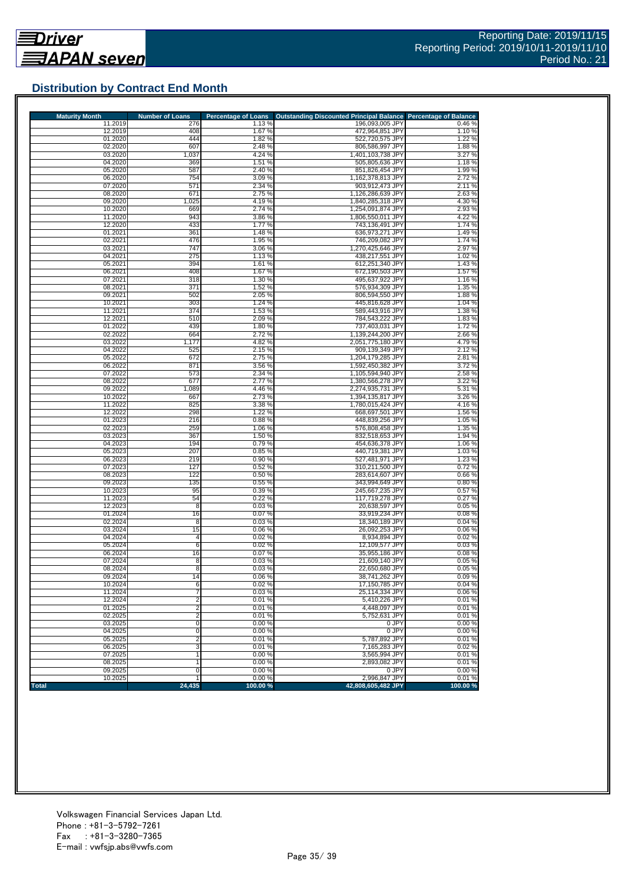## **Distribution by Contract End Month**

| <b>Maturity Month</b> | <b>Number of Loans</b>  | <b>Percentage of Loans</b> | <b>Outstanding Discounted Principal Balance</b> | <b>Percentage of Balance</b> |
|-----------------------|-------------------------|----------------------------|-------------------------------------------------|------------------------------|
| 11.2019               | 276                     | 1.13 %                     | 196,093,005 JPY                                 | 0.46%                        |
| 12.2019               | 408                     | 1.67%                      | 472,964,851 JPY                                 | 1.10%                        |
| 01.2020               | 444                     | 1.82%                      | 522,720,575 JPY                                 | 1.22 %<br>1.88%              |
| 02.2020<br>03.2020    | 607<br>1,037            | 2.48 %<br>4.24 %           | 806,586,997 JPY<br>1,401,103,738 JPY            | 3.27 %                       |
| 04.2020               | 369                     | 1.51 %                     | 505,805,636 JPY                                 | 1.18%                        |
| 05.2020               | 587                     | 2.40 %                     | 851,826,454 JPY                                 | 1.99%                        |
| 06.2020               | 754                     | 3.09 %                     | 1,162,378,813 JPY                               | 2.72%                        |
| 07.2020               | 571                     | 2.34 %                     | 903,912,473 JPY                                 | 2.11 %                       |
| 08.2020               | 671                     | 2.75 %                     | 1,126,286,639 JPY                               | 2.63%                        |
| 09.2020               | 1,025                   | 4.19%                      | 1,840,285,318 JPY                               | 4.30 %                       |
| 10.2020               | 669                     | 2.74 %                     | 1,254,091,874 JPY                               | 2.93 %                       |
| 11.2020               | 943                     | 3.86 %                     | 1,806,550,011 JPY                               | 4.22 %                       |
| 12.2020               | 433                     | 1.77 %                     | 743,136,491 JPY                                 | 1.74 %                       |
| 01.2021               | 361                     | 1.48%                      | 636,973,271 JPY                                 | 1.49%                        |
| 02.2021<br>03.2021    | 476<br>747              | 1.95 %<br>3.06 %           | 746,209,082 JPY<br>1,270,425,646 JPY            | 1.74 %<br>2.97 %             |
| 04.2021               | 275                     | 1.13 %                     | 438,217,551 JPY                                 | 1.02 %                       |
| 05.2021               | 394                     | 1.61 %                     | 612,251,340 JPY                                 | 1.43%                        |
| 06.2021               | 408                     | 1.67%                      | 672,190,503 JPY                                 | 1.57%                        |
| 07.2021               | 318                     | 1.30 %                     | 495,637,922 JPY                                 | 1.16%                        |
| 08.2021               | 371                     | 1.52 %                     | 576,934,309 JPY                                 | 1.35 %                       |
| 09.2021               | 502                     | 2.05 %                     | 806,594,550 JPY                                 | 1.88%                        |
| 10.2021               | 303                     | 1.24%                      | 445,816,628 JPY                                 | 1.04 %                       |
| 11.2021               | 374                     | 1.53%                      | 589,443,916 JPY                                 | 1.38%                        |
| 12.2021               | 510                     | 2.09 %                     | 784.543.222 JPY                                 | 1.83%                        |
| 01.2022               | 439                     | 1.80%                      | 737,403,031 JPY                                 | 1.72%                        |
| 02.2022<br>03.2022    | 664<br>1,177            | 2.72 %<br>4.82 %           | 1,139,244,200 JPY<br>2,051,775,180 JPY          | 2.66%<br>4.79%               |
| 04.2022               | 525                     | 2.15%                      | 909.139.349 JPY                                 | 2.12%                        |
| 05.2022               | 672                     | 2.75 %                     | 1,204,179,285 JPY                               | 2.81%                        |
| 06.2022               | 871                     | 3.56 %                     | 1,592,450,382 JPY                               | 3.72 %                       |
| 07.2022               | 573                     | 2.34 %                     | 1,105,594,940 JPY                               | 2.58%                        |
| 08.2022               | 677                     | 2.77 %                     | 1,380,566,278 JPY                               | 3.22 %                       |
| 09.2022               | 1,089                   | 4.46 %                     | 2,274,935,731 JPY                               | 5.31 %                       |
| 10.2022               | 667                     | 2.73 %                     | 1,394,135,817 JPY                               | 3.26 %                       |
| 11.2022               | 825                     | 3.38 %                     | 1,780,015,424 JPY                               | 4.16%                        |
| 12.2022               | 298                     | 1.22 %                     | 668,697,501 JPY                                 | 1.56 %                       |
| 01.2023               | 216                     | 0.88%                      | 448,839,256 JPY                                 | 1.05 %                       |
| 02.2023<br>03.2023    | 259<br>367              | 1.06 %<br>1.50 %           | 576,808,458 JPY<br>832,518,653 JPY              | 1.35 %<br>1.94 %             |
| 04.2023               | 194                     | 0.79%                      | 454,636,378 JPY                                 | 1.06%                        |
| 05.2023               | 207                     | 0.85%                      | 440,719,381 JPY                                 | 1.03 %                       |
| 06.2023               | 219                     | 0.90%                      | 527,481,971 JPY                                 | 1.23 %                       |
| 07.2023               | 127                     | 0.52%                      | 310,211,500 JPY                                 | 0.72%                        |
| 08.2023               | 122                     | 0.50%                      | 283,614,607 JPY                                 | 0.66%                        |
| 09.2023               | 135                     | 0.55 %                     | 343,994,649 JPY                                 | 0.80%                        |
| 10.2023               | 95                      | 0.39 %                     | 245,667,235 JPY                                 | 0.57%                        |
| 11.2023               | 54                      | 0.22%                      | 117,719,278 JPY                                 | 0.27%                        |
| 12.2023               | 8                       | 0.03%                      | 20,638,597 JPY                                  | 0.05%                        |
| 01.2024<br>02.2024    | 16                      | 0.07%<br>0.03%             | 33,919,234 JPY<br>18,340,189 JPY                | 0.08%<br>0.04%               |
| 03.2024               | 8<br>15                 | 0.06 %                     | 26,092,253 JPY                                  | 0.06%                        |
| 04.2024               | $\overline{4}$          | 0.02%                      | 8,934,894 JPY                                   | 0.02%                        |
| 05.2024               | 6                       | 0.02%                      | 12,109,577 JPY                                  | 0.03%                        |
| 06.2024               | 16                      | 0.07%                      | 35,955,186 JPY                                  | 0.08%                        |
| 07.2024               | 8                       | 0.03%                      | 21,609,140 JPY                                  | 0.05%                        |
| 08.2024               | 8                       | 0.03%                      | 22,650,680 JPY                                  | 0.05%                        |
| 09.2024               | 14                      | 0.06%                      | 38.741.262 JPY                                  | 0.09%                        |
| 10.2024               | 6                       | 0.02%                      | 17,150,785 JPY                                  | 0.04%                        |
| 11.2024               | 7                       | 0.03%                      | 25,114,334 JPY                                  | 0.06%                        |
| 12.2024               | $\overline{\mathbf{c}}$ | 0.01%                      | 5,410,226 JPY                                   | 0.01%                        |
| 01.2025               | 2                       | 0.01%                      | 4,448,097 JPY<br>5,752,631 JPY                  | 0.01%                        |
| 02.2025<br>03.2025    | 2<br>0                  | 0.01%<br>0.00%             | 0 JPY                                           | 0.01%<br>0.00%               |
| 04.2025               | 0                       | 0.00%                      | 0 JPY                                           | 0.00%                        |
| 05.2025               | $\overline{\mathbf{c}}$ | 0.01%                      | 5,787,892 JPY                                   | 0.01%                        |
| 06.2025               | 3                       | 0.01%                      | 7,165,283 JPY                                   | 0.02%                        |
| 07.2025               |                         | 0.00%                      | 3,565,994 JPY                                   | 0.01%                        |
| 08.2025               |                         | 0.00%                      | 2,893,082 JPY                                   | 0.01%                        |
| 09.2025               | 0                       | 0.00%                      | 0 JPY                                           | 0.00%                        |
| 10.2025               |                         | 0.00%                      | 2,996,847 JPY                                   | 0.01%                        |
| <b>Total</b>          | 24,435                  | 100.00%                    | 42.808.605.482 JPY                              | 100.00 %                     |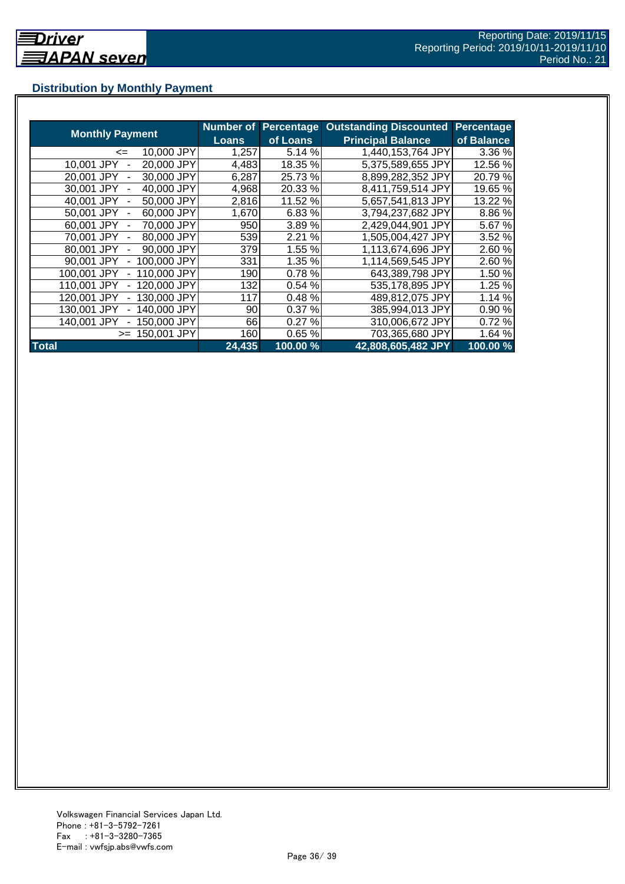## **Distribution by Monthly Payment**

|                            | <b>Number of</b> | <b>Percentage</b> | <b>Outstanding Discounted</b> | Percentage |
|----------------------------|------------------|-------------------|-------------------------------|------------|
| <b>Monthly Payment</b>     | <b>Loans</b>     | of Loans          | <b>Principal Balance</b>      | of Balance |
| 10,000 JPY<br><=           | 1,257            | 5.14 %            | 1,440,153,764 JPY             | 3.36 %     |
| 10,001 JPY<br>20,000 JPY   | 4,483            | 18.35 %           | 5,375,589,655 JPY             | 12.56 %    |
| 30,000 JPY<br>20.001 JPY   | 6,287            | 25.73%            | 8,899,282,352 JPY             | 20.79 %    |
| 30,001 JPY<br>40,000 JPY   | 4,968            | 20.33 %           | 8,411,759,514 JPY             | 19.65 %    |
| 40,001 JPY<br>50,000 JPY   | 2,816            | 11.52 %           | 5,657,541,813 JPY             | 13.22 %    |
| 50,001 JPY<br>60,000 JPY   | 1,670            | 6.83%             | 3,794,237,682 JPY             | 8.86 %     |
| 60,001 JPY<br>70,000 JPY   | 950              | 3.89%             | 2,429,044,901 JPY             | 5.67 %     |
| 70,001 JPY<br>80,000 JPY   | 539              | 2.21 %            | 1.505,004,427 JPY             | 3.52 %     |
| 90,000 JPY<br>80,001 JPY   | 379              | 1.55 %            | 1,113,674,696 JPY             | 2.60 %     |
| 100,000 JPY<br>90,001 JPY  | 331              | 1.35 %            | 1,114,569,545 JPY             | 2.60 %     |
| 110,000 JPY<br>100,001 JPY | 190              | 0.78%             | 643,389,798 JPY               | 1.50 %     |
| 120,000 JPY<br>110,001 JPY | 132              | 0.54 %            | 535,178,895 JPY               | 1.25 %     |
| 130,000 JPY<br>120,001 JPY | 117              | 0.48%             | 489,812,075 JPY               | 1.14 %     |
| 140,000 JPY<br>130,001 JPY | 90               | 0.37%             | 385,994,013 JPY               | 0.90 %     |
| 140,001 JPY<br>150,000 JPY | 66               | 0.27%             | 310,006,672 JPY               | 0.72%      |
| 150,001 JPY<br>$>=$        | 160              | 0.65%             | 703,365,680 JPY               | 1.64 %     |
| <b>Total</b>               | 24,435           | 100.00 %          | 42,808,605,482 JPY            | 100.00%    |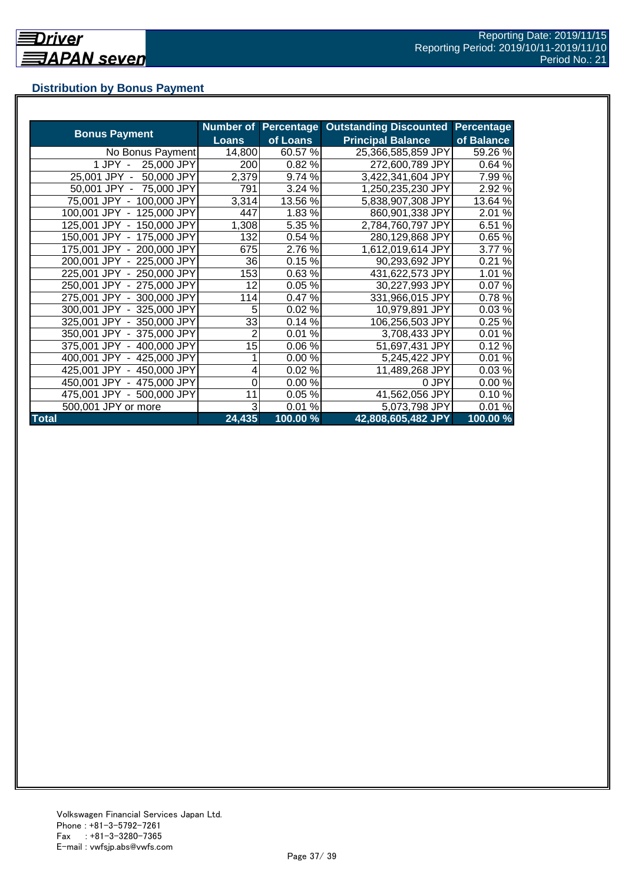## **Distribution by Bonus Payment**

|                              | <b>Number of</b> |          | <b>Percentage Outstanding Discounted</b> | <b>Percentage</b>   |
|------------------------------|------------------|----------|------------------------------------------|---------------------|
| <b>Bonus Payment</b>         | <b>Loans</b>     | of Loans | <b>Principal Balance</b>                 | of Balance          |
| No Bonus Payment             | 14,800           | 60.57 %  | 25,366,585,859 JPY                       | 59.26 %             |
| $1$ JPY $-$<br>25,000 JPY    | 200              | 0.82%    | 272,600,789 JPY                          | 0.64 %              |
| 50,000 JPY<br>25,001 JPY -   | 2,379            | 9.74 %   | 3,422,341,604 JPY                        | 7.99%               |
| 75,000 JPY<br>50,001 JPY -   | 791              | 3.24 %   | 1,250,235,230 JPY                        | 2.92 %              |
| 100,000 JPY<br>75,001 JPY -  | 3,314            | 13.56 %  | 5,838,907,308 JPY                        | 13.64 %             |
| 100,001 JPY - 125,000 JPY    | 447              | 1.83%    | 860,901,338 JPY                          | 2.01 %              |
| 125,001 JPY -<br>150,000 JPY | 1,308            | 5.35 %   | 2,784,760,797 JPY                        | 6.51%               |
| 150,001 JPY - 175,000 JPY    | 132              | 0.54 %   | 280,129,868 JPY                          | 0.65%               |
| 175,001 JPY - 200,000 JPY    | 675              | 2.76 %   | 1,612,019,614 JPY                        | 3.77 %              |
| 200,001 JPY - 225,000 JPY    | 36               | 0.15%    | 90,293,692 JPY                           | 0.21%               |
| 225,001 JPY - 250,000 JPY    | 153              | 0.63%    | 431,622,573 JPY                          | 1.01%               |
| 250,001 JPY - 275,000 JPY    | 12               | 0.05%    | 30,227,993 JPY                           | 0.07%               |
| 275,001 JPY - 300,000 JPY    | 114              | 0.47%    | 331,966,015 JPY                          | 0.78%               |
| 300,001 JPY - 325,000 JPY    | 5                | 0.02%    | 10,979,891 JPY                           | 0.03%               |
| 325,001 JPY - 350,000 JPY    | 33               | 0.14%    | 106,256,503 JPY                          | 0.25%               |
| 350,001 JPY - 375,000 JPY    | 2                | 0.01%    | 3,708,433 JPY                            | 0.01%               |
| 375,001 JPY - 400,000 JPY    | 15               | 0.06%    | 51,697,431 JPY                           | 0.12%               |
| 400,001 JPY - 425,000 JPY    |                  | 0.00%    | 5,245,422 JPY                            | 0.01%               |
| 425,001 JPY - 450,000 JPY    |                  | 0.02%    | 11,489,268 JPY                           | 0.03%               |
| 450,001 JPY - 475,000 JPY    | 0                | 0.00%    | 0 JPY                                    | 0.00%               |
| 475,001 JPY - 500,000 JPY    | 11               | 0.05%    | 41,562,056 JPY                           | 0.10%               |
| 500,001 JPY or more          | 3                | 0.01%    | 5,073,798 JPY                            | 0.01%               |
| <b>Total</b>                 | 24,435           | 100.00 % | 42,808,605,482 JPY                       | $100.00\frac{9}{6}$ |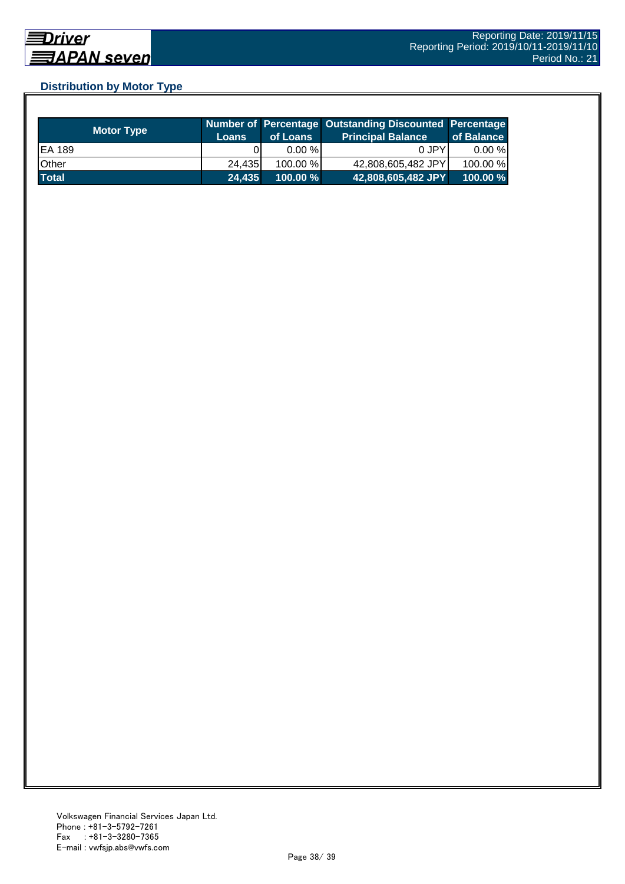## **Distribution by Motor Type**

| <b>Motor Type</b> | <b>Loans</b> | of Loans    | Number of Percentage Outstanding Discounted Percentage<br>Principal Balance <sup>'</sup> | of Balance |
|-------------------|--------------|-------------|------------------------------------------------------------------------------------------|------------|
| EA 189            |              | $0.00 \%$   | 0 JPY                                                                                    | $0.00 \%$  |
| Other             | 24.435       | $100.00\%$  | 42,808,605,482 JPY                                                                       | 100.00 %   |
| <b>Total</b>      | 24,435       | $100.00 \%$ | 42,808,605,482 JPY                                                                       | 100.00%    |